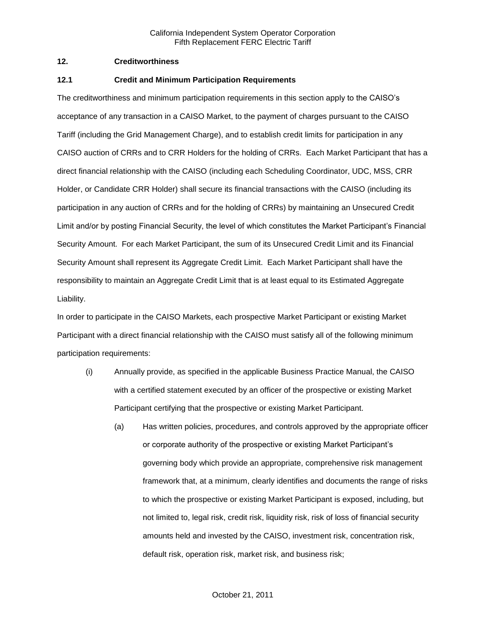### **12. Creditworthiness**

#### **12.1 Credit and Minimum Participation Requirements**

The creditworthiness and minimum participation requirements in this section apply to the CAISO's acceptance of any transaction in a CAISO Market, to the payment of charges pursuant to the CAISO Tariff (including the Grid Management Charge), and to establish credit limits for participation in any CAISO auction of CRRs and to CRR Holders for the holding of CRRs. Each Market Participant that has a direct financial relationship with the CAISO (including each Scheduling Coordinator, UDC, MSS, CRR Holder, or Candidate CRR Holder) shall secure its financial transactions with the CAISO (including its participation in any auction of CRRs and for the holding of CRRs) by maintaining an Unsecured Credit Limit and/or by posting Financial Security, the level of which constitutes the Market Participant's Financial Security Amount. For each Market Participant, the sum of its Unsecured Credit Limit and its Financial Security Amount shall represent its Aggregate Credit Limit. Each Market Participant shall have the responsibility to maintain an Aggregate Credit Limit that is at least equal to its Estimated Aggregate Liability.

In order to participate in the CAISO Markets, each prospective Market Participant or existing Market Participant with a direct financial relationship with the CAISO must satisfy all of the following minimum participation requirements:

- (i) Annually provide, as specified in the applicable Business Practice Manual, the CAISO with a certified statement executed by an officer of the prospective or existing Market Participant certifying that the prospective or existing Market Participant.
	- (a) Has written policies, procedures, and controls approved by the appropriate officer or corporate authority of the prospective or existing Market Participant's governing body which provide an appropriate, comprehensive risk management framework that, at a minimum, clearly identifies and documents the range of risks to which the prospective or existing Market Participant is exposed, including, but not limited to, legal risk, credit risk, liquidity risk, risk of loss of financial security amounts held and invested by the CAISO, investment risk, concentration risk, default risk, operation risk, market risk, and business risk;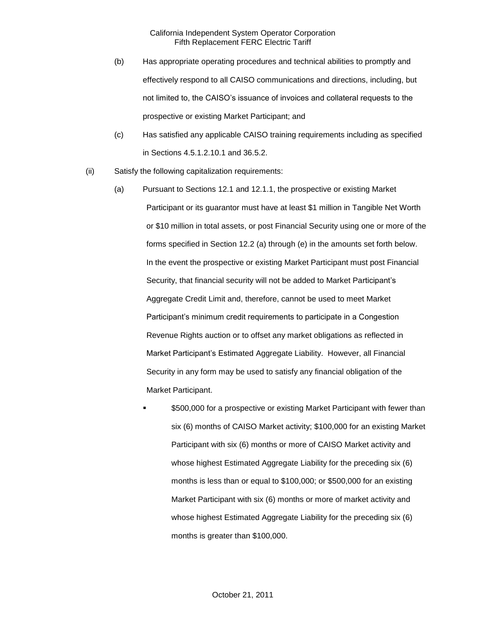- (b) Has appropriate operating procedures and technical abilities to promptly and effectively respond to all CAISO communications and directions, including, but not limited to, the CAISO's issuance of invoices and collateral requests to the prospective or existing Market Participant; and
- (c) Has satisfied any applicable CAISO training requirements including as specified in Sections 4.5.1.2.10.1 and 36.5.2.
- (ii) Satisfy the following capitalization requirements:
	- (a) Pursuant to Sections 12.1 and 12.1.1, the prospective or existing Market Participant or its guarantor must have at least \$1 million in Tangible Net Worth or \$10 million in total assets, or post Financial Security using one or more of the forms specified in Section 12.2 (a) through (e) in the amounts set forth below. In the event the prospective or existing Market Participant must post Financial Security, that financial security will not be added to Market Participant's Aggregate Credit Limit and, therefore, cannot be used to meet Market Participant's minimum credit requirements to participate in a Congestion Revenue Rights auction or to offset any market obligations as reflected in Market Participant's Estimated Aggregate Liability. However, all Financial Security in any form may be used to satisfy any financial obligation of the Market Participant.
		- \$500,000 for a prospective or existing Market Participant with fewer than six (6) months of CAISO Market activity; \$100,000 for an existing Market Participant with six (6) months or more of CAISO Market activity and whose highest Estimated Aggregate Liability for the preceding six (6) months is less than or equal to \$100,000; or \$500,000 for an existing Market Participant with six (6) months or more of market activity and whose highest Estimated Aggregate Liability for the preceding six (6) months is greater than \$100,000.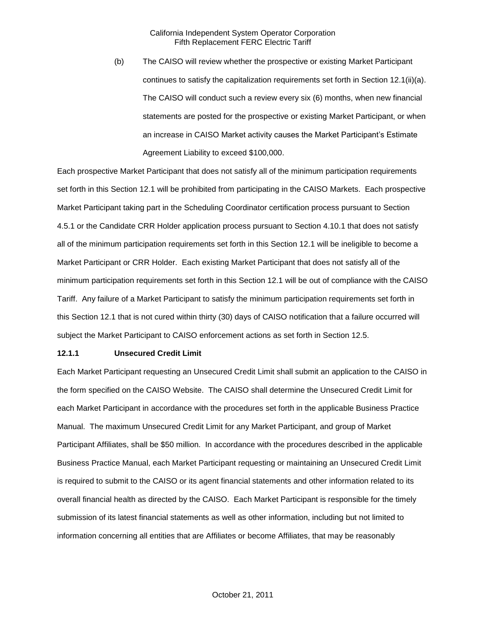(b) The CAISO will review whether the prospective or existing Market Participant continues to satisfy the capitalization requirements set forth in Section 12.1(ii)(a). The CAISO will conduct such a review every six (6) months, when new financial statements are posted for the prospective or existing Market Participant, or when an increase in CAISO Market activity causes the Market Participant's Estimate Agreement Liability to exceed \$100,000.

Each prospective Market Participant that does not satisfy all of the minimum participation requirements set forth in this Section 12.1 will be prohibited from participating in the CAISO Markets. Each prospective Market Participant taking part in the Scheduling Coordinator certification process pursuant to Section 4.5.1 or the Candidate CRR Holder application process pursuant to Section 4.10.1 that does not satisfy all of the minimum participation requirements set forth in this Section 12.1 will be ineligible to become a Market Participant or CRR Holder. Each existing Market Participant that does not satisfy all of the minimum participation requirements set forth in this Section 12.1 will be out of compliance with the CAISO Tariff. Any failure of a Market Participant to satisfy the minimum participation requirements set forth in this Section 12.1 that is not cured within thirty (30) days of CAISO notification that a failure occurred will subject the Market Participant to CAISO enforcement actions as set forth in Section 12.5.

#### **12.1.1 Unsecured Credit Limit**

Each Market Participant requesting an Unsecured Credit Limit shall submit an application to the CAISO in the form specified on the CAISO Website. The CAISO shall determine the Unsecured Credit Limit for each Market Participant in accordance with the procedures set forth in the applicable Business Practice Manual. The maximum Unsecured Credit Limit for any Market Participant, and group of Market Participant Affiliates, shall be \$50 million. In accordance with the procedures described in the applicable Business Practice Manual, each Market Participant requesting or maintaining an Unsecured Credit Limit is required to submit to the CAISO or its agent financial statements and other information related to its overall financial health as directed by the CAISO. Each Market Participant is responsible for the timely submission of its latest financial statements as well as other information, including but not limited to information concerning all entities that are Affiliates or become Affiliates, that may be reasonably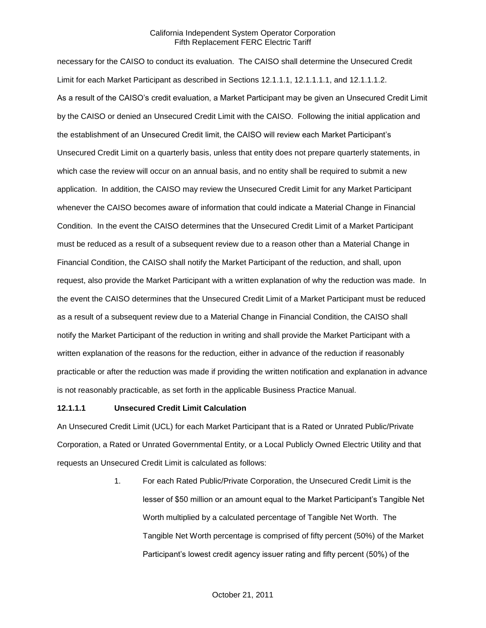necessary for the CAISO to conduct its evaluation. The CAISO shall determine the Unsecured Credit Limit for each Market Participant as described in Sections 12.1.1.1, 12.1.1.1.1, and 12.1.1.1.2. As a result of the CAISO's credit evaluation, a Market Participant may be given an Unsecured Credit Limit by the CAISO or denied an Unsecured Credit Limit with the CAISO. Following the initial application and the establishment of an Unsecured Credit limit, the CAISO will review each Market Participant's Unsecured Credit Limit on a quarterly basis, unless that entity does not prepare quarterly statements, in which case the review will occur on an annual basis, and no entity shall be required to submit a new application. In addition, the CAISO may review the Unsecured Credit Limit for any Market Participant whenever the CAISO becomes aware of information that could indicate a Material Change in Financial Condition. In the event the CAISO determines that the Unsecured Credit Limit of a Market Participant must be reduced as a result of a subsequent review due to a reason other than a Material Change in Financial Condition, the CAISO shall notify the Market Participant of the reduction, and shall, upon request, also provide the Market Participant with a written explanation of why the reduction was made. In the event the CAISO determines that the Unsecured Credit Limit of a Market Participant must be reduced as a result of a subsequent review due to a Material Change in Financial Condition, the CAISO shall notify the Market Participant of the reduction in writing and shall provide the Market Participant with a written explanation of the reasons for the reduction, either in advance of the reduction if reasonably practicable or after the reduction was made if providing the written notification and explanation in advance is not reasonably practicable, as set forth in the applicable Business Practice Manual.

### **12.1.1.1 Unsecured Credit Limit Calculation**

An Unsecured Credit Limit (UCL) for each Market Participant that is a Rated or Unrated Public/Private Corporation, a Rated or Unrated Governmental Entity, or a Local Publicly Owned Electric Utility and that requests an Unsecured Credit Limit is calculated as follows:

> 1. For each Rated Public/Private Corporation, the Unsecured Credit Limit is the lesser of \$50 million or an amount equal to the Market Participant's Tangible Net Worth multiplied by a calculated percentage of Tangible Net Worth. The Tangible Net Worth percentage is comprised of fifty percent (50%) of the Market Participant's lowest credit agency issuer rating and fifty percent (50%) of the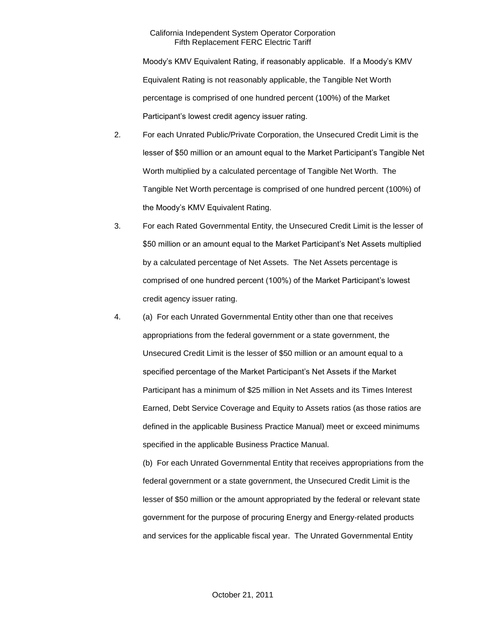Moody's KMV Equivalent Rating, if reasonably applicable. If a Moody's KMV Equivalent Rating is not reasonably applicable, the Tangible Net Worth percentage is comprised of one hundred percent (100%) of the Market Participant's lowest credit agency issuer rating.

- 2. For each Unrated Public/Private Corporation, the Unsecured Credit Limit is the lesser of \$50 million or an amount equal to the Market Participant's Tangible Net Worth multiplied by a calculated percentage of Tangible Net Worth. The Tangible Net Worth percentage is comprised of one hundred percent (100%) of the Moody's KMV Equivalent Rating.
- 3. For each Rated Governmental Entity, the Unsecured Credit Limit is the lesser of \$50 million or an amount equal to the Market Participant's Net Assets multiplied by a calculated percentage of Net Assets. The Net Assets percentage is comprised of one hundred percent (100%) of the Market Participant's lowest credit agency issuer rating.
- 4. (a) For each Unrated Governmental Entity other than one that receives appropriations from the federal government or a state government, the Unsecured Credit Limit is the lesser of \$50 million or an amount equal to a specified percentage of the Market Participant's Net Assets if the Market Participant has a minimum of \$25 million in Net Assets and its Times Interest Earned, Debt Service Coverage and Equity to Assets ratios (as those ratios are defined in the applicable Business Practice Manual) meet or exceed minimums specified in the applicable Business Practice Manual.

(b) For each Unrated Governmental Entity that receives appropriations from the federal government or a state government, the Unsecured Credit Limit is the lesser of \$50 million or the amount appropriated by the federal or relevant state government for the purpose of procuring Energy and Energy-related products and services for the applicable fiscal year. The Unrated Governmental Entity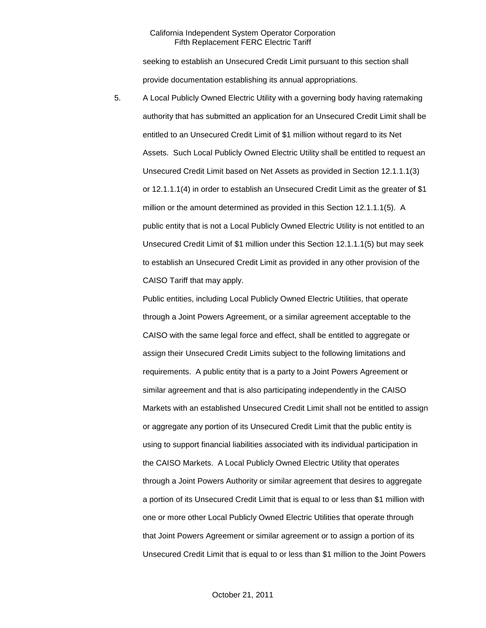seeking to establish an Unsecured Credit Limit pursuant to this section shall provide documentation establishing its annual appropriations.

5. A Local Publicly Owned Electric Utility with a governing body having ratemaking authority that has submitted an application for an Unsecured Credit Limit shall be entitled to an Unsecured Credit Limit of \$1 million without regard to its Net Assets. Such Local Publicly Owned Electric Utility shall be entitled to request an Unsecured Credit Limit based on Net Assets as provided in Section 12.1.1.1(3) or 12.1.1.1(4) in order to establish an Unsecured Credit Limit as the greater of \$1 million or the amount determined as provided in this Section 12.1.1.1(5). A public entity that is not a Local Publicly Owned Electric Utility is not entitled to an Unsecured Credit Limit of \$1 million under this Section 12.1.1.1(5) but may seek to establish an Unsecured Credit Limit as provided in any other provision of the CAISO Tariff that may apply.

Public entities, including Local Publicly Owned Electric Utilities, that operate through a Joint Powers Agreement, or a similar agreement acceptable to the CAISO with the same legal force and effect, shall be entitled to aggregate or assign their Unsecured Credit Limits subject to the following limitations and requirements. A public entity that is a party to a Joint Powers Agreement or similar agreement and that is also participating independently in the CAISO Markets with an established Unsecured Credit Limit shall not be entitled to assign or aggregate any portion of its Unsecured Credit Limit that the public entity is using to support financial liabilities associated with its individual participation in the CAISO Markets. A Local Publicly Owned Electric Utility that operates through a Joint Powers Authority or similar agreement that desires to aggregate a portion of its Unsecured Credit Limit that is equal to or less than \$1 million with one or more other Local Publicly Owned Electric Utilities that operate through that Joint Powers Agreement or similar agreement or to assign a portion of its Unsecured Credit Limit that is equal to or less than \$1 million to the Joint Powers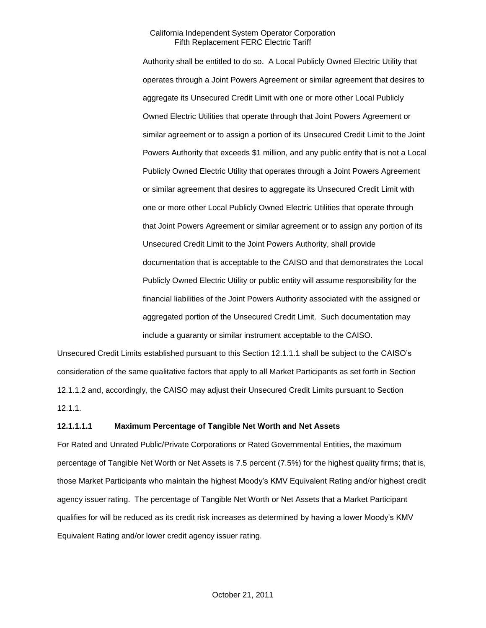Authority shall be entitled to do so. A Local Publicly Owned Electric Utility that operates through a Joint Powers Agreement or similar agreement that desires to aggregate its Unsecured Credit Limit with one or more other Local Publicly Owned Electric Utilities that operate through that Joint Powers Agreement or similar agreement or to assign a portion of its Unsecured Credit Limit to the Joint Powers Authority that exceeds \$1 million, and any public entity that is not a Local Publicly Owned Electric Utility that operates through a Joint Powers Agreement or similar agreement that desires to aggregate its Unsecured Credit Limit with one or more other Local Publicly Owned Electric Utilities that operate through that Joint Powers Agreement or similar agreement or to assign any portion of its Unsecured Credit Limit to the Joint Powers Authority, shall provide documentation that is acceptable to the CAISO and that demonstrates the Local Publicly Owned Electric Utility or public entity will assume responsibility for the financial liabilities of the Joint Powers Authority associated with the assigned or aggregated portion of the Unsecured Credit Limit. Such documentation may include a guaranty or similar instrument acceptable to the CAISO.

Unsecured Credit Limits established pursuant to this Section 12.1.1.1 shall be subject to the CAISO's consideration of the same qualitative factors that apply to all Market Participants as set forth in Section 12.1.1.2 and, accordingly, the CAISO may adjust their Unsecured Credit Limits pursuant to Section 12.1.1.

#### **12.1.1.1.1 Maximum Percentage of Tangible Net Worth and Net Assets**

For Rated and Unrated Public/Private Corporations or Rated Governmental Entities, the maximum percentage of Tangible Net Worth or Net Assets is 7.5 percent (7.5%) for the highest quality firms; that is, those Market Participants who maintain the highest Moody's KMV Equivalent Rating and/or highest credit agency issuer rating. The percentage of Tangible Net Worth or Net Assets that a Market Participant qualifies for will be reduced as its credit risk increases as determined by having a lower Moody's KMV Equivalent Rating and/or lower credit agency issuer rating.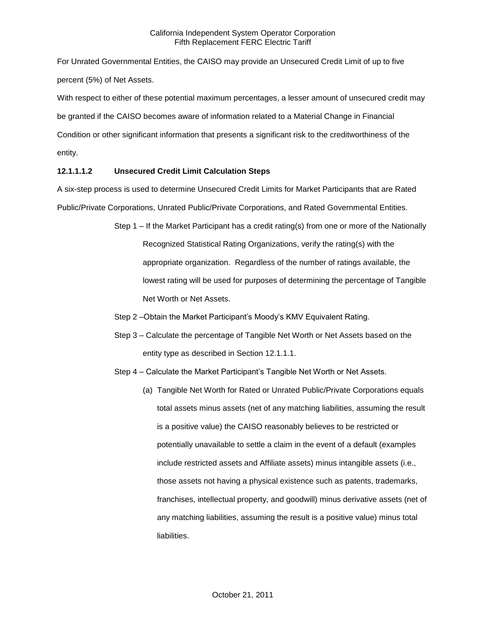For Unrated Governmental Entities, the CAISO may provide an Unsecured Credit Limit of up to five percent (5%) of Net Assets.

With respect to either of these potential maximum percentages, a lesser amount of unsecured credit may be granted if the CAISO becomes aware of information related to a Material Change in Financial Condition or other significant information that presents a significant risk to the creditworthiness of the entity.

# **12.1.1.1.2 Unsecured Credit Limit Calculation Steps**

A six-step process is used to determine Unsecured Credit Limits for Market Participants that are Rated Public/Private Corporations, Unrated Public/Private Corporations, and Rated Governmental Entities.

- Step 1 If the Market Participant has a credit rating(s) from one or more of the Nationally Recognized Statistical Rating Organizations, verify the rating(s) with the appropriate organization. Regardless of the number of ratings available, the lowest rating will be used for purposes of determining the percentage of Tangible Net Worth or Net Assets.
- Step 2 –Obtain the Market Participant's Moody's KMV Equivalent Rating.
- Step 3 Calculate the percentage of Tangible Net Worth or Net Assets based on the entity type as described in Section 12.1.1.1.
- Step 4 Calculate the Market Participant's Tangible Net Worth or Net Assets.
	- (a) Tangible Net Worth for Rated or Unrated Public/Private Corporations equals total assets minus assets (net of any matching liabilities, assuming the result is a positive value) the CAISO reasonably believes to be restricted or potentially unavailable to settle a claim in the event of a default (examples include restricted assets and Affiliate assets) minus intangible assets (i.e., those assets not having a physical existence such as patents, trademarks, franchises, intellectual property, and goodwill) minus derivative assets (net of any matching liabilities, assuming the result is a positive value) minus total liabilities.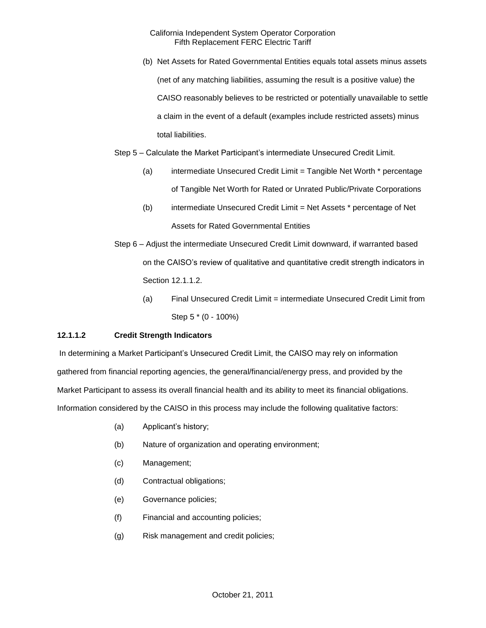(b) Net Assets for Rated Governmental Entities equals total assets minus assets (net of any matching liabilities, assuming the result is a positive value) the CAISO reasonably believes to be restricted or potentially unavailable to settle a claim in the event of a default (examples include restricted assets) minus total liabilities.

Step 5 – Calculate the Market Participant's intermediate Unsecured Credit Limit.

- (a) intermediate Unsecured Credit Limit = Tangible Net Worth \* percentage of Tangible Net Worth for Rated or Unrated Public/Private Corporations
- (b) intermediate Unsecured Credit Limit = Net Assets \* percentage of Net Assets for Rated Governmental Entities
- Step 6 Adjust the intermediate Unsecured Credit Limit downward, if warranted based on the CAISO's review of qualitative and quantitative credit strength indicators in Section 12.1.1.2.
	- (a) Final Unsecured Credit Limit = intermediate Unsecured Credit Limit from Step 5 \* (0 - 100%)

# **12.1.1.2 Credit Strength Indicators**

In determining a Market Participant's Unsecured Credit Limit, the CAISO may rely on information gathered from financial reporting agencies, the general/financial/energy press, and provided by the Market Participant to assess its overall financial health and its ability to meet its financial obligations. Information considered by the CAISO in this process may include the following qualitative factors:

- (a) Applicant's history;
- (b) Nature of organization and operating environment;
- (c) Management;
- (d) Contractual obligations;
- (e) Governance policies;
- (f) Financial and accounting policies;
- (g) Risk management and credit policies;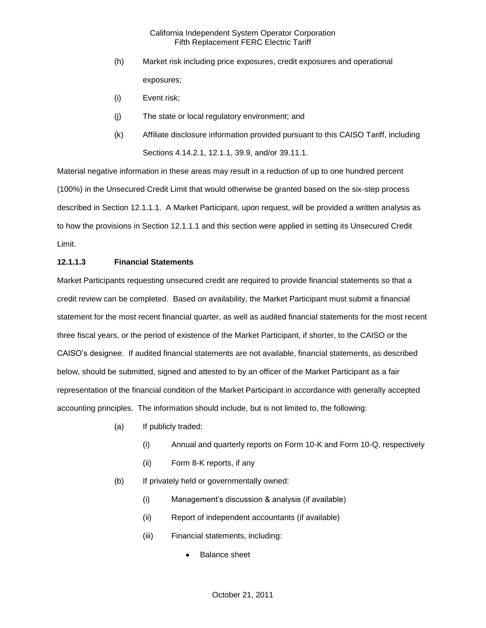- (h) Market risk including price exposures, credit exposures and operational exposures;
- (i) Event risk;
- (j) The state or local regulatory environment; and
- (k) Affiliate disclosure information provided pursuant to this CAISO Tariff, including Sections 4.14.2.1, 12.1.1, 39.9, and/or 39.11.1.

Material negative information in these areas may result in a reduction of up to one hundred percent (100%) in the Unsecured Credit Limit that would otherwise be granted based on the six-step process described in Section 12.1.1.1. A Market Participant, upon request, will be provided a written analysis as to how the provisions in Section 12.1.1.1 and this section were applied in setting its Unsecured Credit Limit.

### **12.1.1.3 Financial Statements**

Market Participants requesting unsecured credit are required to provide financial statements so that a credit review can be completed. Based on availability, the Market Participant must submit a financial statement for the most recent financial quarter, as well as audited financial statements for the most recent three fiscal years, or the period of existence of the Market Participant, if shorter, to the CAISO or the CAISO's designee. If audited financial statements are not available, financial statements, as described below, should be submitted, signed and attested to by an officer of the Market Participant as a fair representation of the financial condition of the Market Participant in accordance with generally accepted accounting principles. The information should include, but is not limited to, the following:

- (a) If publicly traded:
	- (i) Annual and quarterly reports on Form 10-K and Form 10-Q, respectively
	- (ii) Form 8-K reports, if any
- (b) If privately held or governmentally owned:
	- (i) Management's discussion & analysis (if available)
	- (ii) Report of independent accountants (if available)
	- (iii) Financial statements, including:
		- Balance sheet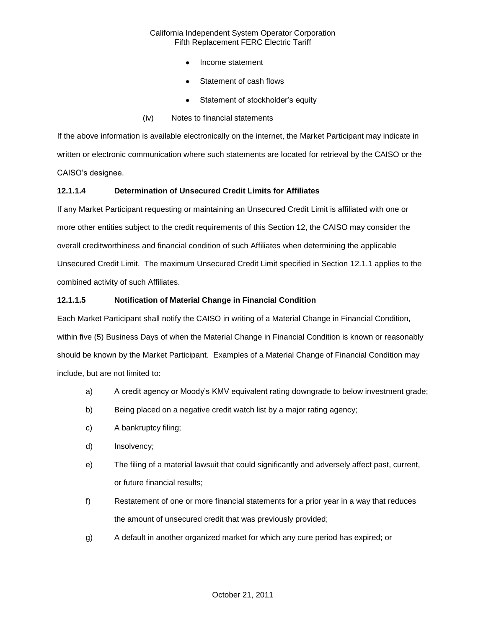- Income statement
- Statement of cash flows
- Statement of stockholder's equity
- (iv) Notes to financial statements

If the above information is available electronically on the internet, the Market Participant may indicate in written or electronic communication where such statements are located for retrieval by the CAISO or the CAISO's designee.

# **12.1.1.4 Determination of Unsecured Credit Limits for Affiliates**

If any Market Participant requesting or maintaining an Unsecured Credit Limit is affiliated with one or more other entities subject to the credit requirements of this Section 12, the CAISO may consider the overall creditworthiness and financial condition of such Affiliates when determining the applicable Unsecured Credit Limit. The maximum Unsecured Credit Limit specified in Section 12.1.1 applies to the combined activity of such Affiliates.

# **12.1.1.5 Notification of Material Change in Financial Condition**

Each Market Participant shall notify the CAISO in writing of a Material Change in Financial Condition, within five (5) Business Days of when the Material Change in Financial Condition is known or reasonably should be known by the Market Participant. Examples of a Material Change of Financial Condition may include, but are not limited to:

- a) A credit agency or Moody's KMV equivalent rating downgrade to below investment grade;
- b) Being placed on a negative credit watch list by a major rating agency;
- c) A bankruptcy filing;
- d) Insolvency;
- e) The filing of a material lawsuit that could significantly and adversely affect past, current, or future financial results;
- f) Restatement of one or more financial statements for a prior year in a way that reduces the amount of unsecured credit that was previously provided;
- g) A default in another organized market for which any cure period has expired; or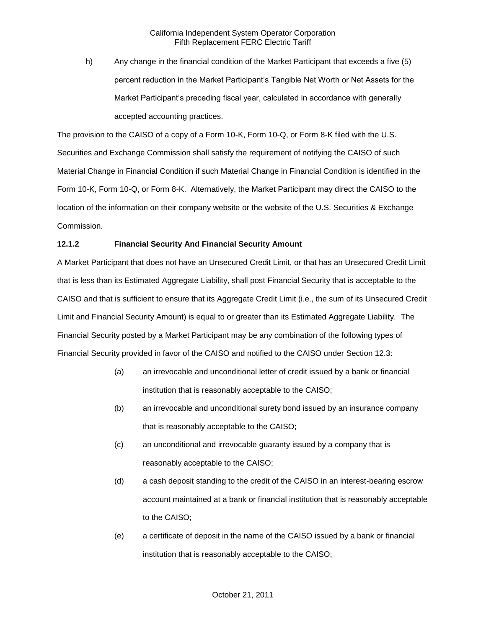h) Any change in the financial condition of the Market Participant that exceeds a five (5) percent reduction in the Market Participant's Tangible Net Worth or Net Assets for the Market Participant's preceding fiscal year, calculated in accordance with generally accepted accounting practices.

The provision to the CAISO of a copy of a Form 10-K, Form 10-Q, or Form 8-K filed with the U.S. Securities and Exchange Commission shall satisfy the requirement of notifying the CAISO of such Material Change in Financial Condition if such Material Change in Financial Condition is identified in the Form 10-K, Form 10-Q, or Form 8-K. Alternatively, the Market Participant may direct the CAISO to the location of the information on their company website or the website of the U.S. Securities & Exchange Commission.

# **12.1.2 Financial Security And Financial Security Amount**

A Market Participant that does not have an Unsecured Credit Limit, or that has an Unsecured Credit Limit that is less than its Estimated Aggregate Liability, shall post Financial Security that is acceptable to the CAISO and that is sufficient to ensure that its Aggregate Credit Limit (i.e., the sum of its Unsecured Credit Limit and Financial Security Amount) is equal to or greater than its Estimated Aggregate Liability. The Financial Security posted by a Market Participant may be any combination of the following types of Financial Security provided in favor of the CAISO and notified to the CAISO under Section 12.3:

- (a) an irrevocable and unconditional letter of credit issued by a bank or financial institution that is reasonably acceptable to the CAISO;
- (b) an irrevocable and unconditional surety bond issued by an insurance company that is reasonably acceptable to the CAISO;
- (c) an unconditional and irrevocable guaranty issued by a company that is reasonably acceptable to the CAISO;
- (d) a cash deposit standing to the credit of the CAISO in an interest-bearing escrow account maintained at a bank or financial institution that is reasonably acceptable to the CAISO;
- (e) a certificate of deposit in the name of the CAISO issued by a bank or financial institution that is reasonably acceptable to the CAISO;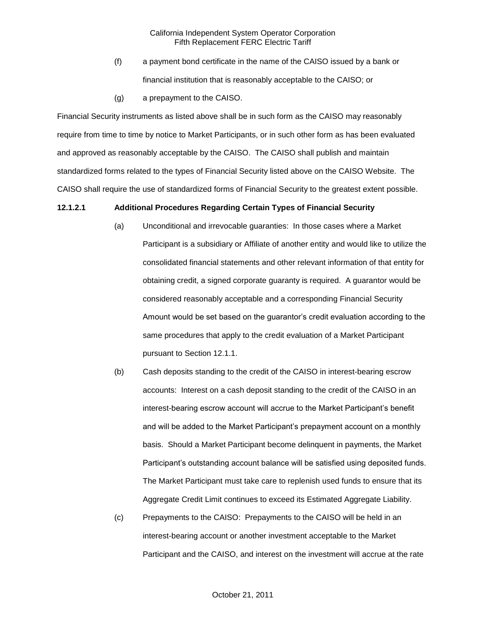- (f) a payment bond certificate in the name of the CAISO issued by a bank or financial institution that is reasonably acceptable to the CAISO; or
- (g) a prepayment to the CAISO.

Financial Security instruments as listed above shall be in such form as the CAISO may reasonably require from time to time by notice to Market Participants, or in such other form as has been evaluated and approved as reasonably acceptable by the CAISO. The CAISO shall publish and maintain standardized forms related to the types of Financial Security listed above on the CAISO Website. The CAISO shall require the use of standardized forms of Financial Security to the greatest extent possible.

#### **12.1.2.1 Additional Procedures Regarding Certain Types of Financial Security**

- (a) Unconditional and irrevocable guaranties: In those cases where a Market Participant is a subsidiary or Affiliate of another entity and would like to utilize the consolidated financial statements and other relevant information of that entity for obtaining credit, a signed corporate guaranty is required. A guarantor would be considered reasonably acceptable and a corresponding Financial Security Amount would be set based on the guarantor's credit evaluation according to the same procedures that apply to the credit evaluation of a Market Participant pursuant to Section 12.1.1.
- (b) Cash deposits standing to the credit of the CAISO in interest-bearing escrow accounts: Interest on a cash deposit standing to the credit of the CAISO in an interest-bearing escrow account will accrue to the Market Participant's benefit and will be added to the Market Participant's prepayment account on a monthly basis. Should a Market Participant become delinquent in payments, the Market Participant's outstanding account balance will be satisfied using deposited funds. The Market Participant must take care to replenish used funds to ensure that its Aggregate Credit Limit continues to exceed its Estimated Aggregate Liability.
- (c) Prepayments to the CAISO: Prepayments to the CAISO will be held in an interest-bearing account or another investment acceptable to the Market Participant and the CAISO, and interest on the investment will accrue at the rate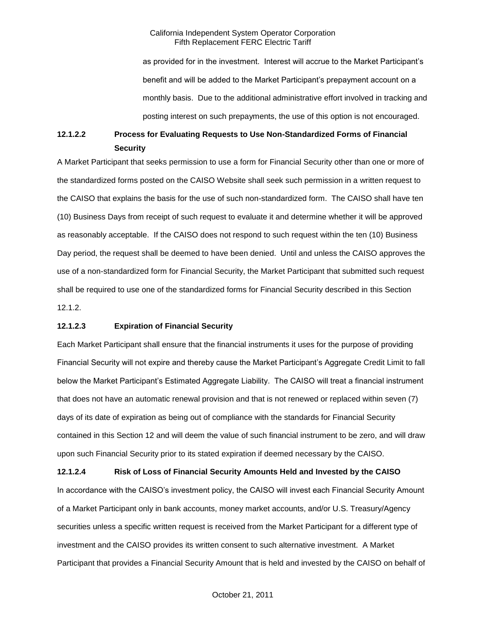as provided for in the investment. Interest will accrue to the Market Participant's benefit and will be added to the Market Participant's prepayment account on a monthly basis. Due to the additional administrative effort involved in tracking and posting interest on such prepayments, the use of this option is not encouraged.

# **12.1.2.2 Process for Evaluating Requests to Use Non-Standardized Forms of Financial Security**

A Market Participant that seeks permission to use a form for Financial Security other than one or more of the standardized forms posted on the CAISO Website shall seek such permission in a written request to the CAISO that explains the basis for the use of such non-standardized form. The CAISO shall have ten (10) Business Days from receipt of such request to evaluate it and determine whether it will be approved as reasonably acceptable. If the CAISO does not respond to such request within the ten (10) Business Day period, the request shall be deemed to have been denied. Until and unless the CAISO approves the use of a non-standardized form for Financial Security, the Market Participant that submitted such request shall be required to use one of the standardized forms for Financial Security described in this Section 12.1.2.

### **12.1.2.3 Expiration of Financial Security**

Each Market Participant shall ensure that the financial instruments it uses for the purpose of providing Financial Security will not expire and thereby cause the Market Participant's Aggregate Credit Limit to fall below the Market Participant's Estimated Aggregate Liability. The CAISO will treat a financial instrument that does not have an automatic renewal provision and that is not renewed or replaced within seven (7) days of its date of expiration as being out of compliance with the standards for Financial Security contained in this Section 12 and will deem the value of such financial instrument to be zero, and will draw upon such Financial Security prior to its stated expiration if deemed necessary by the CAISO.

**12.1.2.4 Risk of Loss of Financial Security Amounts Held and Invested by the CAISO** In accordance with the CAISO's investment policy, the CAISO will invest each Financial Security Amount of a Market Participant only in bank accounts, money market accounts, and/or U.S. Treasury/Agency securities unless a specific written request is received from the Market Participant for a different type of investment and the CAISO provides its written consent to such alternative investment. A Market Participant that provides a Financial Security Amount that is held and invested by the CAISO on behalf of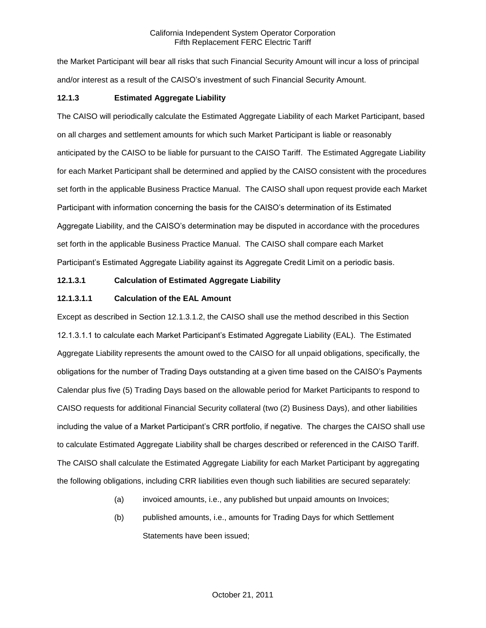the Market Participant will bear all risks that such Financial Security Amount will incur a loss of principal and/or interest as a result of the CAISO's investment of such Financial Security Amount.

### **12.1.3 Estimated Aggregate Liability**

The CAISO will periodically calculate the Estimated Aggregate Liability of each Market Participant, based on all charges and settlement amounts for which such Market Participant is liable or reasonably anticipated by the CAISO to be liable for pursuant to the CAISO Tariff. The Estimated Aggregate Liability for each Market Participant shall be determined and applied by the CAISO consistent with the procedures set forth in the applicable Business Practice Manual. The CAISO shall upon request provide each Market Participant with information concerning the basis for the CAISO's determination of its Estimated Aggregate Liability, and the CAISO's determination may be disputed in accordance with the procedures set forth in the applicable Business Practice Manual. The CAISO shall compare each Market Participant's Estimated Aggregate Liability against its Aggregate Credit Limit on a periodic basis.

### **12.1.3.1 Calculation of Estimated Aggregate Liability**

### **12.1.3.1.1 Calculation of the EAL Amount**

Except as described in Section 12.1.3.1.2, the CAISO shall use the method described in this Section 12.1.3.1.1 to calculate each Market Participant's Estimated Aggregate Liability (EAL). The Estimated Aggregate Liability represents the amount owed to the CAISO for all unpaid obligations, specifically, the obligations for the number of Trading Days outstanding at a given time based on the CAISO's Payments Calendar plus five (5) Trading Days based on the allowable period for Market Participants to respond to CAISO requests for additional Financial Security collateral (two (2) Business Days), and other liabilities including the value of a Market Participant's CRR portfolio, if negative. The charges the CAISO shall use to calculate Estimated Aggregate Liability shall be charges described or referenced in the CAISO Tariff. The CAISO shall calculate the Estimated Aggregate Liability for each Market Participant by aggregating the following obligations, including CRR liabilities even though such liabilities are secured separately:

- (a) invoiced amounts, i.e., any published but unpaid amounts on Invoices;
- (b) published amounts, i.e., amounts for Trading Days for which Settlement Statements have been issued;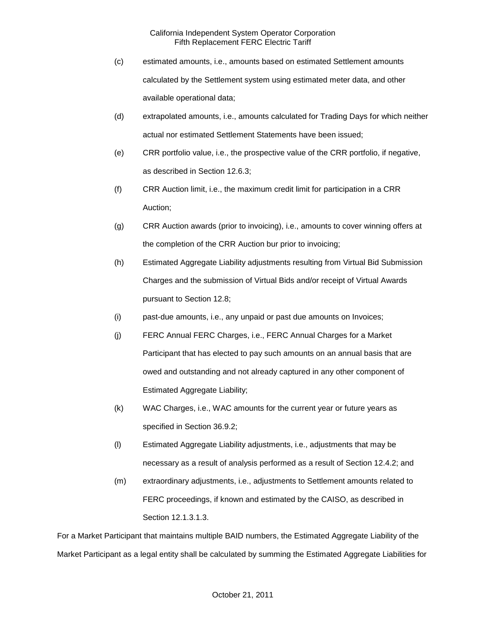- (c) estimated amounts, i.e., amounts based on estimated Settlement amounts calculated by the Settlement system using estimated meter data, and other available operational data;
- (d) extrapolated amounts, i.e., amounts calculated for Trading Days for which neither actual nor estimated Settlement Statements have been issued;
- (e) CRR portfolio value, i.e., the prospective value of the CRR portfolio, if negative, as described in Section 12.6.3;
- (f) CRR Auction limit, i.e., the maximum credit limit for participation in a CRR Auction;
- (g) CRR Auction awards (prior to invoicing), i.e., amounts to cover winning offers at the completion of the CRR Auction bur prior to invoicing;
- (h) Estimated Aggregate Liability adjustments resulting from Virtual Bid Submission Charges and the submission of Virtual Bids and/or receipt of Virtual Awards pursuant to Section 12.8;
- (i) past-due amounts, i.e., any unpaid or past due amounts on Invoices;
- (j) FERC Annual FERC Charges, i.e., FERC Annual Charges for a Market Participant that has elected to pay such amounts on an annual basis that are owed and outstanding and not already captured in any other component of Estimated Aggregate Liability;
- (k) WAC Charges, i.e., WAC amounts for the current year or future years as specified in Section 36.9.2;
- (l) Estimated Aggregate Liability adjustments, i.e., adjustments that may be necessary as a result of analysis performed as a result of Section 12.4.2; and
- (m) extraordinary adjustments, i.e., adjustments to Settlement amounts related to FERC proceedings, if known and estimated by the CAISO, as described in Section 12.1.3.1.3.

For a Market Participant that maintains multiple BAID numbers, the Estimated Aggregate Liability of the Market Participant as a legal entity shall be calculated by summing the Estimated Aggregate Liabilities for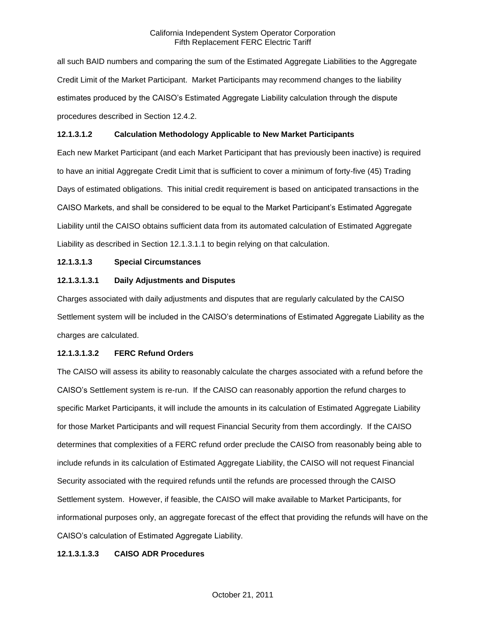all such BAID numbers and comparing the sum of the Estimated Aggregate Liabilities to the Aggregate Credit Limit of the Market Participant. Market Participants may recommend changes to the liability estimates produced by the CAISO's Estimated Aggregate Liability calculation through the dispute procedures described in Section 12.4.2.

# **12.1.3.1.2 Calculation Methodology Applicable to New Market Participants**

Each new Market Participant (and each Market Participant that has previously been inactive) is required to have an initial Aggregate Credit Limit that is sufficient to cover a minimum of forty-five (45) Trading Days of estimated obligations. This initial credit requirement is based on anticipated transactions in the CAISO Markets, and shall be considered to be equal to the Market Participant's Estimated Aggregate Liability until the CAISO obtains sufficient data from its automated calculation of Estimated Aggregate Liability as described in Section 12.1.3.1.1 to begin relying on that calculation.

# **12.1.3.1.3 Special Circumstances**

# **12.1.3.1.3.1 Daily Adjustments and Disputes**

Charges associated with daily adjustments and disputes that are regularly calculated by the CAISO Settlement system will be included in the CAISO's determinations of Estimated Aggregate Liability as the charges are calculated.

### **12.1.3.1.3.2 FERC Refund Orders**

The CAISO will assess its ability to reasonably calculate the charges associated with a refund before the CAISO's Settlement system is re-run. If the CAISO can reasonably apportion the refund charges to specific Market Participants, it will include the amounts in its calculation of Estimated Aggregate Liability for those Market Participants and will request Financial Security from them accordingly. If the CAISO determines that complexities of a FERC refund order preclude the CAISO from reasonably being able to include refunds in its calculation of Estimated Aggregate Liability, the CAISO will not request Financial Security associated with the required refunds until the refunds are processed through the CAISO Settlement system. However, if feasible, the CAISO will make available to Market Participants, for informational purposes only, an aggregate forecast of the effect that providing the refunds will have on the CAISO's calculation of Estimated Aggregate Liability.

### **12.1.3.1.3.3 CAISO ADR Procedures**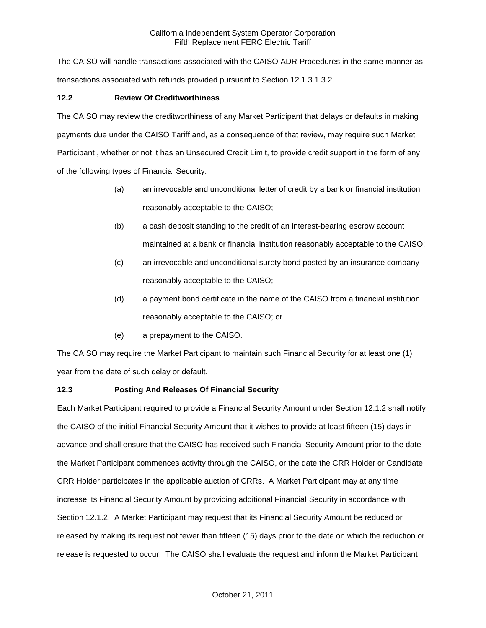The CAISO will handle transactions associated with the CAISO ADR Procedures in the same manner as transactions associated with refunds provided pursuant to Section 12.1.3.1.3.2.

# **12.2 Review Of Creditworthiness**

The CAISO may review the creditworthiness of any Market Participant that delays or defaults in making payments due under the CAISO Tariff and, as a consequence of that review, may require such Market Participant , whether or not it has an Unsecured Credit Limit, to provide credit support in the form of any of the following types of Financial Security:

- (a) an irrevocable and unconditional letter of credit by a bank or financial institution reasonably acceptable to the CAISO;
- (b) a cash deposit standing to the credit of an interest-bearing escrow account maintained at a bank or financial institution reasonably acceptable to the CAISO;
- (c) an irrevocable and unconditional surety bond posted by an insurance company reasonably acceptable to the CAISO;
- (d) a payment bond certificate in the name of the CAISO from a financial institution reasonably acceptable to the CAISO; or
- (e) a prepayment to the CAISO.

The CAISO may require the Market Participant to maintain such Financial Security for at least one (1) year from the date of such delay or default.

# **12.3 Posting And Releases Of Financial Security**

Each Market Participant required to provide a Financial Security Amount under Section 12.1.2 shall notify the CAISO of the initial Financial Security Amount that it wishes to provide at least fifteen (15) days in advance and shall ensure that the CAISO has received such Financial Security Amount prior to the date the Market Participant commences activity through the CAISO, or the date the CRR Holder or Candidate CRR Holder participates in the applicable auction of CRRs. A Market Participant may at any time increase its Financial Security Amount by providing additional Financial Security in accordance with Section 12.1.2. A Market Participant may request that its Financial Security Amount be reduced or released by making its request not fewer than fifteen (15) days prior to the date on which the reduction or release is requested to occur. The CAISO shall evaluate the request and inform the Market Participant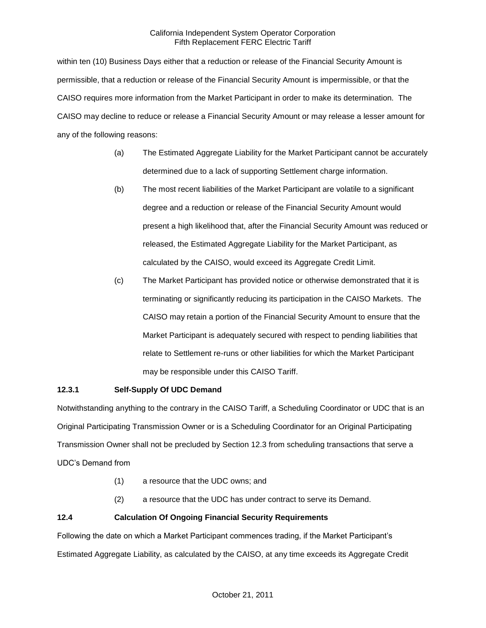within ten (10) Business Days either that a reduction or release of the Financial Security Amount is permissible, that a reduction or release of the Financial Security Amount is impermissible, or that the CAISO requires more information from the Market Participant in order to make its determination. The CAISO may decline to reduce or release a Financial Security Amount or may release a lesser amount for any of the following reasons:

- (a) The Estimated Aggregate Liability for the Market Participant cannot be accurately determined due to a lack of supporting Settlement charge information.
- (b) The most recent liabilities of the Market Participant are volatile to a significant degree and a reduction or release of the Financial Security Amount would present a high likelihood that, after the Financial Security Amount was reduced or released, the Estimated Aggregate Liability for the Market Participant, as calculated by the CAISO, would exceed its Aggregate Credit Limit.
- (c) The Market Participant has provided notice or otherwise demonstrated that it is terminating or significantly reducing its participation in the CAISO Markets. The CAISO may retain a portion of the Financial Security Amount to ensure that the Market Participant is adequately secured with respect to pending liabilities that relate to Settlement re-runs or other liabilities for which the Market Participant may be responsible under this CAISO Tariff.

# **12.3.1 Self-Supply Of UDC Demand**

Notwithstanding anything to the contrary in the CAISO Tariff, a Scheduling Coordinator or UDC that is an Original Participating Transmission Owner or is a Scheduling Coordinator for an Original Participating Transmission Owner shall not be precluded by Section 12.3 from scheduling transactions that serve a UDC's Demand from

- (1) a resource that the UDC owns; and
- (2) a resource that the UDC has under contract to serve its Demand.

# **12.4 Calculation Of Ongoing Financial Security Requirements**

Following the date on which a Market Participant commences trading, if the Market Participant's Estimated Aggregate Liability, as calculated by the CAISO, at any time exceeds its Aggregate Credit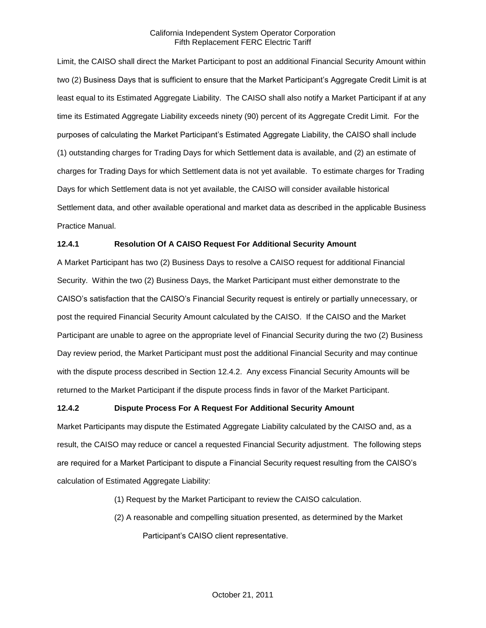Limit, the CAISO shall direct the Market Participant to post an additional Financial Security Amount within two (2) Business Days that is sufficient to ensure that the Market Participant's Aggregate Credit Limit is at least equal to its Estimated Aggregate Liability. The CAISO shall also notify a Market Participant if at any time its Estimated Aggregate Liability exceeds ninety (90) percent of its Aggregate Credit Limit. For the purposes of calculating the Market Participant's Estimated Aggregate Liability, the CAISO shall include (1) outstanding charges for Trading Days for which Settlement data is available, and (2) an estimate of charges for Trading Days for which Settlement data is not yet available. To estimate charges for Trading Days for which Settlement data is not yet available, the CAISO will consider available historical Settlement data, and other available operational and market data as described in the applicable Business Practice Manual.

# **12.4.1 Resolution Of A CAISO Request For Additional Security Amount**

A Market Participant has two (2) Business Days to resolve a CAISO request for additional Financial Security. Within the two (2) Business Days, the Market Participant must either demonstrate to the CAISO's satisfaction that the CAISO's Financial Security request is entirely or partially unnecessary, or post the required Financial Security Amount calculated by the CAISO. If the CAISO and the Market Participant are unable to agree on the appropriate level of Financial Security during the two (2) Business Day review period, the Market Participant must post the additional Financial Security and may continue with the dispute process described in Section 12.4.2. Any excess Financial Security Amounts will be returned to the Market Participant if the dispute process finds in favor of the Market Participant.

### **12.4.2 Dispute Process For A Request For Additional Security Amount**

Market Participants may dispute the Estimated Aggregate Liability calculated by the CAISO and, as a result, the CAISO may reduce or cancel a requested Financial Security adjustment. The following steps are required for a Market Participant to dispute a Financial Security request resulting from the CAISO's calculation of Estimated Aggregate Liability:

- (1) Request by the Market Participant to review the CAISO calculation.
- (2) A reasonable and compelling situation presented, as determined by the Market Participant's CAISO client representative.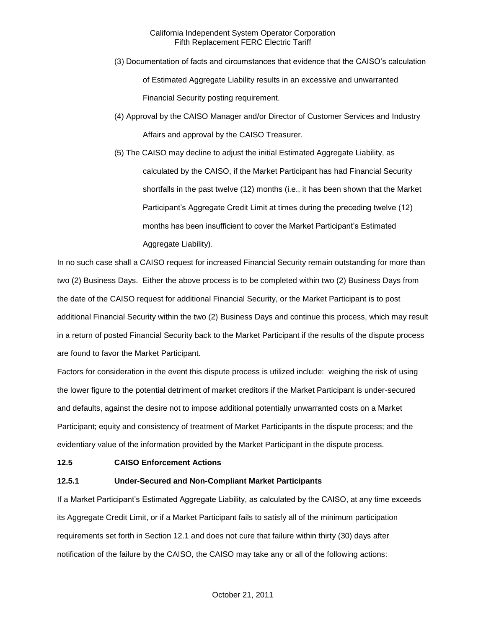- (3) Documentation of facts and circumstances that evidence that the CAISO's calculation of Estimated Aggregate Liability results in an excessive and unwarranted Financial Security posting requirement.
- (4) Approval by the CAISO Manager and/or Director of Customer Services and Industry Affairs and approval by the CAISO Treasurer.
- (5) The CAISO may decline to adjust the initial Estimated Aggregate Liability, as calculated by the CAISO, if the Market Participant has had Financial Security shortfalls in the past twelve (12) months (i.e., it has been shown that the Market Participant's Aggregate Credit Limit at times during the preceding twelve (12) months has been insufficient to cover the Market Participant's Estimated Aggregate Liability).

In no such case shall a CAISO request for increased Financial Security remain outstanding for more than two (2) Business Days. Either the above process is to be completed within two (2) Business Days from the date of the CAISO request for additional Financial Security, or the Market Participant is to post additional Financial Security within the two (2) Business Days and continue this process, which may result in a return of posted Financial Security back to the Market Participant if the results of the dispute process are found to favor the Market Participant.

Factors for consideration in the event this dispute process is utilized include: weighing the risk of using the lower figure to the potential detriment of market creditors if the Market Participant is under-secured and defaults, against the desire not to impose additional potentially unwarranted costs on a Market Participant; equity and consistency of treatment of Market Participants in the dispute process; and the evidentiary value of the information provided by the Market Participant in the dispute process.

### **12.5 CAISO Enforcement Actions**

# **12.5.1 Under-Secured and Non-Compliant Market Participants**

If a Market Participant's Estimated Aggregate Liability, as calculated by the CAISO, at any time exceeds its Aggregate Credit Limit, or if a Market Participant fails to satisfy all of the minimum participation requirements set forth in Section 12.1 and does not cure that failure within thirty (30) days after notification of the failure by the CAISO, the CAISO may take any or all of the following actions: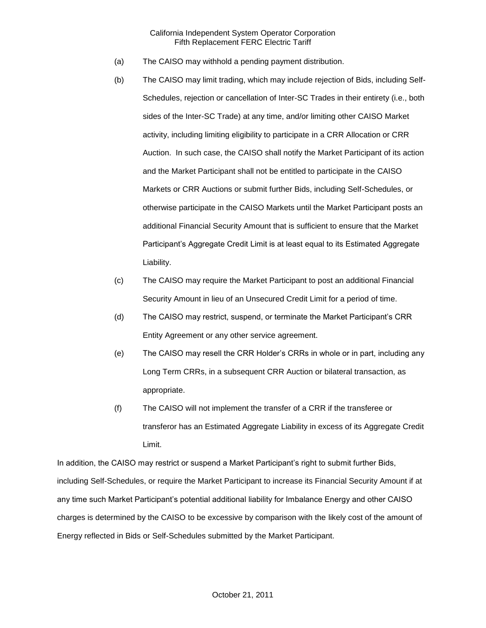- (a) The CAISO may withhold a pending payment distribution.
- (b) The CAISO may limit trading, which may include rejection of Bids, including Self-Schedules, rejection or cancellation of Inter-SC Trades in their entirety (i.e., both sides of the Inter-SC Trade) at any time, and/or limiting other CAISO Market activity, including limiting eligibility to participate in a CRR Allocation or CRR Auction. In such case, the CAISO shall notify the Market Participant of its action and the Market Participant shall not be entitled to participate in the CAISO Markets or CRR Auctions or submit further Bids, including Self-Schedules, or otherwise participate in the CAISO Markets until the Market Participant posts an additional Financial Security Amount that is sufficient to ensure that the Market Participant's Aggregate Credit Limit is at least equal to its Estimated Aggregate Liability.
- (c) The CAISO may require the Market Participant to post an additional Financial Security Amount in lieu of an Unsecured Credit Limit for a period of time.
- (d) The CAISO may restrict, suspend, or terminate the Market Participant's CRR Entity Agreement or any other service agreement.
- (e) The CAISO may resell the CRR Holder's CRRs in whole or in part, including any Long Term CRRs, in a subsequent CRR Auction or bilateral transaction, as appropriate.
- (f) The CAISO will not implement the transfer of a CRR if the transferee or transferor has an Estimated Aggregate Liability in excess of its Aggregate Credit Limit.

In addition, the CAISO may restrict or suspend a Market Participant's right to submit further Bids, including Self-Schedules, or require the Market Participant to increase its Financial Security Amount if at any time such Market Participant's potential additional liability for Imbalance Energy and other CAISO charges is determined by the CAISO to be excessive by comparison with the likely cost of the amount of Energy reflected in Bids or Self-Schedules submitted by the Market Participant.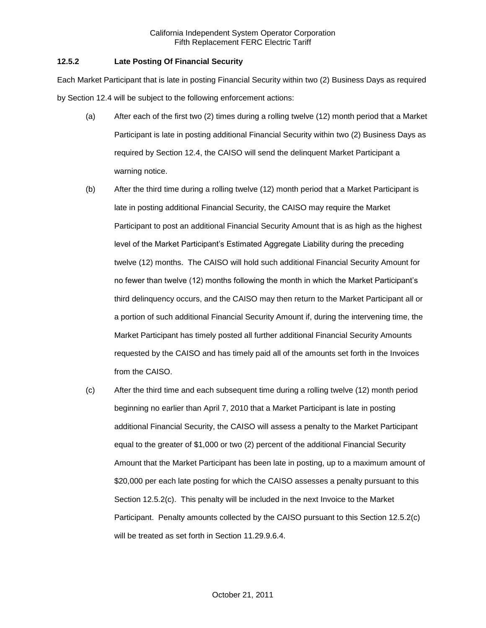# **12.5.2 Late Posting Of Financial Security**

Each Market Participant that is late in posting Financial Security within two (2) Business Days as required by Section 12.4 will be subject to the following enforcement actions:

- (a) After each of the first two (2) times during a rolling twelve (12) month period that a Market Participant is late in posting additional Financial Security within two (2) Business Days as required by Section 12.4, the CAISO will send the delinquent Market Participant a warning notice.
- (b) After the third time during a rolling twelve (12) month period that a Market Participant is late in posting additional Financial Security, the CAISO may require the Market Participant to post an additional Financial Security Amount that is as high as the highest level of the Market Participant's Estimated Aggregate Liability during the preceding twelve (12) months. The CAISO will hold such additional Financial Security Amount for no fewer than twelve (12) months following the month in which the Market Participant's third delinquency occurs, and the CAISO may then return to the Market Participant all or a portion of such additional Financial Security Amount if, during the intervening time, the Market Participant has timely posted all further additional Financial Security Amounts requested by the CAISO and has timely paid all of the amounts set forth in the Invoices from the CAISO.
- (c) After the third time and each subsequent time during a rolling twelve (12) month period beginning no earlier than April 7, 2010 that a Market Participant is late in posting additional Financial Security, the CAISO will assess a penalty to the Market Participant equal to the greater of \$1,000 or two (2) percent of the additional Financial Security Amount that the Market Participant has been late in posting, up to a maximum amount of \$20,000 per each late posting for which the CAISO assesses a penalty pursuant to this Section 12.5.2(c). This penalty will be included in the next Invoice to the Market Participant. Penalty amounts collected by the CAISO pursuant to this Section 12.5.2(c) will be treated as set forth in Section 11.29.9.6.4.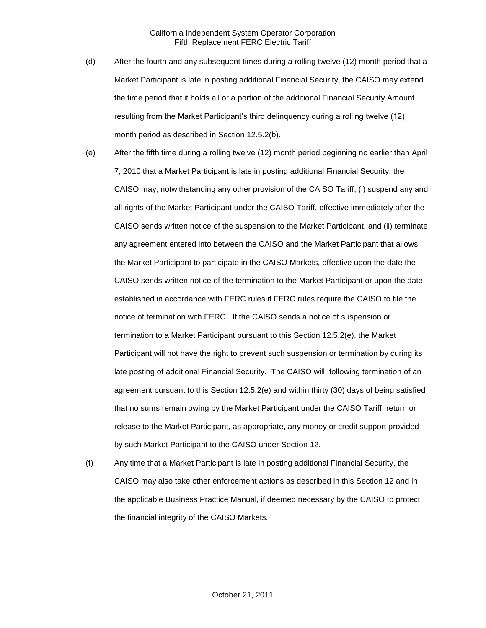- (d) After the fourth and any subsequent times during a rolling twelve (12) month period that a Market Participant is late in posting additional Financial Security, the CAISO may extend the time period that it holds all or a portion of the additional Financial Security Amount resulting from the Market Participant's third delinquency during a rolling twelve (12) month period as described in Section 12.5.2(b).
- (e) After the fifth time during a rolling twelve (12) month period beginning no earlier than April 7, 2010 that a Market Participant is late in posting additional Financial Security, the CAISO may, notwithstanding any other provision of the CAISO Tariff, (i) suspend any and all rights of the Market Participant under the CAISO Tariff, effective immediately after the CAISO sends written notice of the suspension to the Market Participant, and (ii) terminate any agreement entered into between the CAISO and the Market Participant that allows the Market Participant to participate in the CAISO Markets, effective upon the date the CAISO sends written notice of the termination to the Market Participant or upon the date established in accordance with FERC rules if FERC rules require the CAISO to file the notice of termination with FERC. If the CAISO sends a notice of suspension or termination to a Market Participant pursuant to this Section 12.5.2(e), the Market Participant will not have the right to prevent such suspension or termination by curing its late posting of additional Financial Security. The CAISO will, following termination of an agreement pursuant to this Section 12.5.2(e) and within thirty (30) days of being satisfied that no sums remain owing by the Market Participant under the CAISO Tariff, return or release to the Market Participant, as appropriate, any money or credit support provided by such Market Participant to the CAISO under Section 12.
- (f) Any time that a Market Participant is late in posting additional Financial Security, the CAISO may also take other enforcement actions as described in this Section 12 and in the applicable Business Practice Manual, if deemed necessary by the CAISO to protect the financial integrity of the CAISO Markets.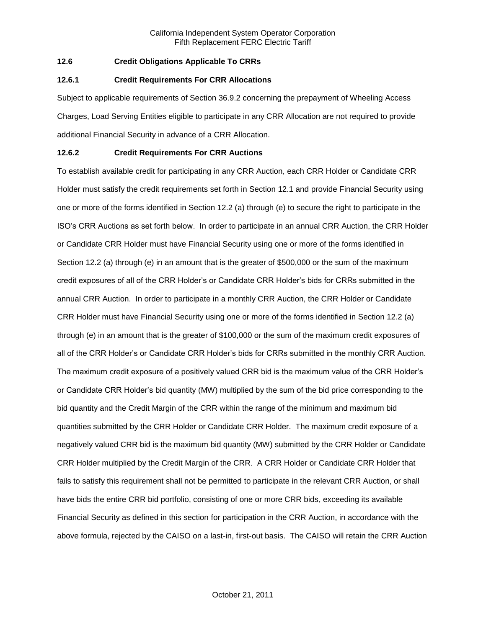# **12.6 Credit Obligations Applicable To CRRs**

### **12.6.1 Credit Requirements For CRR Allocations**

Subject to applicable requirements of Section 36.9.2 concerning the prepayment of Wheeling Access Charges, Load Serving Entities eligible to participate in any CRR Allocation are not required to provide additional Financial Security in advance of a CRR Allocation.

### **12.6.2 Credit Requirements For CRR Auctions**

To establish available credit for participating in any CRR Auction, each CRR Holder or Candidate CRR Holder must satisfy the credit requirements set forth in Section 12.1 and provide Financial Security using one or more of the forms identified in Section 12.2 (a) through (e) to secure the right to participate in the ISO's CRR Auctions as set forth below. In order to participate in an annual CRR Auction, the CRR Holder or Candidate CRR Holder must have Financial Security using one or more of the forms identified in Section 12.2 (a) through (e) in an amount that is the greater of \$500,000 or the sum of the maximum credit exposures of all of the CRR Holder's or Candidate CRR Holder's bids for CRRs submitted in the annual CRR Auction. In order to participate in a monthly CRR Auction, the CRR Holder or Candidate CRR Holder must have Financial Security using one or more of the forms identified in Section 12.2 (a) through (e) in an amount that is the greater of \$100,000 or the sum of the maximum credit exposures of all of the CRR Holder's or Candidate CRR Holder's bids for CRRs submitted in the monthly CRR Auction. The maximum credit exposure of a positively valued CRR bid is the maximum value of the CRR Holder's or Candidate CRR Holder's bid quantity (MW) multiplied by the sum of the bid price corresponding to the bid quantity and the Credit Margin of the CRR within the range of the minimum and maximum bid quantities submitted by the CRR Holder or Candidate CRR Holder. The maximum credit exposure of a negatively valued CRR bid is the maximum bid quantity (MW) submitted by the CRR Holder or Candidate CRR Holder multiplied by the Credit Margin of the CRR. A CRR Holder or Candidate CRR Holder that fails to satisfy this requirement shall not be permitted to participate in the relevant CRR Auction, or shall have bids the entire CRR bid portfolio, consisting of one or more CRR bids, exceeding its available Financial Security as defined in this section for participation in the CRR Auction, in accordance with the above formula, rejected by the CAISO on a last-in, first-out basis. The CAISO will retain the CRR Auction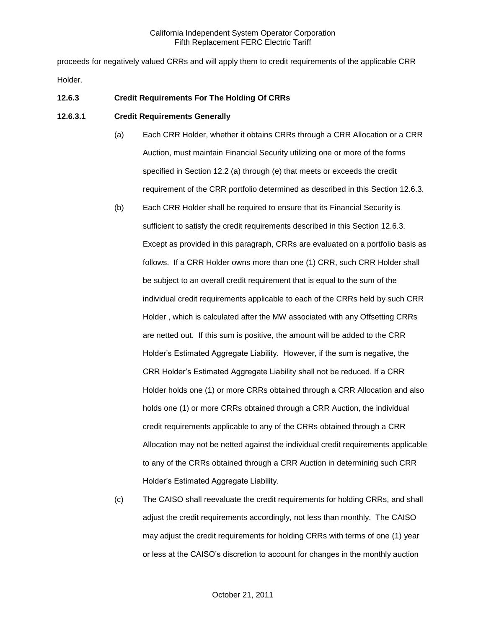proceeds for negatively valued CRRs and will apply them to credit requirements of the applicable CRR Holder.

# **12.6.3 Credit Requirements For The Holding Of CRRs**

### **12.6.3.1 Credit Requirements Generally**

- (a) Each CRR Holder, whether it obtains CRRs through a CRR Allocation or a CRR Auction, must maintain Financial Security utilizing one or more of the forms specified in Section 12.2 (a) through (e) that meets or exceeds the credit requirement of the CRR portfolio determined as described in this Section 12.6.3.
- (b) Each CRR Holder shall be required to ensure that its Financial Security is sufficient to satisfy the credit requirements described in this Section 12.6.3. Except as provided in this paragraph, CRRs are evaluated on a portfolio basis as follows. If a CRR Holder owns more than one (1) CRR, such CRR Holder shall be subject to an overall credit requirement that is equal to the sum of the individual credit requirements applicable to each of the CRRs held by such CRR Holder , which is calculated after the MW associated with any Offsetting CRRs are netted out. If this sum is positive, the amount will be added to the CRR Holder's Estimated Aggregate Liability. However, if the sum is negative, the CRR Holder's Estimated Aggregate Liability shall not be reduced. If a CRR Holder holds one (1) or more CRRs obtained through a CRR Allocation and also holds one (1) or more CRRs obtained through a CRR Auction, the individual credit requirements applicable to any of the CRRs obtained through a CRR Allocation may not be netted against the individual credit requirements applicable to any of the CRRs obtained through a CRR Auction in determining such CRR Holder's Estimated Aggregate Liability.
- (c) The CAISO shall reevaluate the credit requirements for holding CRRs, and shall adjust the credit requirements accordingly, not less than monthly. The CAISO may adjust the credit requirements for holding CRRs with terms of one (1) year or less at the CAISO's discretion to account for changes in the monthly auction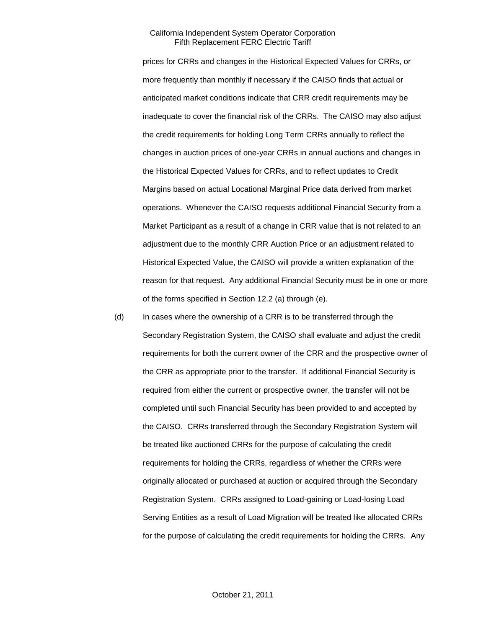prices for CRRs and changes in the Historical Expected Values for CRRs, or more frequently than monthly if necessary if the CAISO finds that actual or anticipated market conditions indicate that CRR credit requirements may be inadequate to cover the financial risk of the CRRs. The CAISO may also adjust the credit requirements for holding Long Term CRRs annually to reflect the changes in auction prices of one-year CRRs in annual auctions and changes in the Historical Expected Values for CRRs, and to reflect updates to Credit Margins based on actual Locational Marginal Price data derived from market operations. Whenever the CAISO requests additional Financial Security from a Market Participant as a result of a change in CRR value that is not related to an adjustment due to the monthly CRR Auction Price or an adjustment related to Historical Expected Value, the CAISO will provide a written explanation of the reason for that request. Any additional Financial Security must be in one or more of the forms specified in Section 12.2 (a) through (e).

(d) In cases where the ownership of a CRR is to be transferred through the Secondary Registration System, the CAISO shall evaluate and adjust the credit requirements for both the current owner of the CRR and the prospective owner of the CRR as appropriate prior to the transfer. If additional Financial Security is required from either the current or prospective owner, the transfer will not be completed until such Financial Security has been provided to and accepted by the CAISO. CRRs transferred through the Secondary Registration System will be treated like auctioned CRRs for the purpose of calculating the credit requirements for holding the CRRs, regardless of whether the CRRs were originally allocated or purchased at auction or acquired through the Secondary Registration System. CRRs assigned to Load-gaining or Load-losing Load Serving Entities as a result of Load Migration will be treated like allocated CRRs for the purpose of calculating the credit requirements for holding the CRRs. Any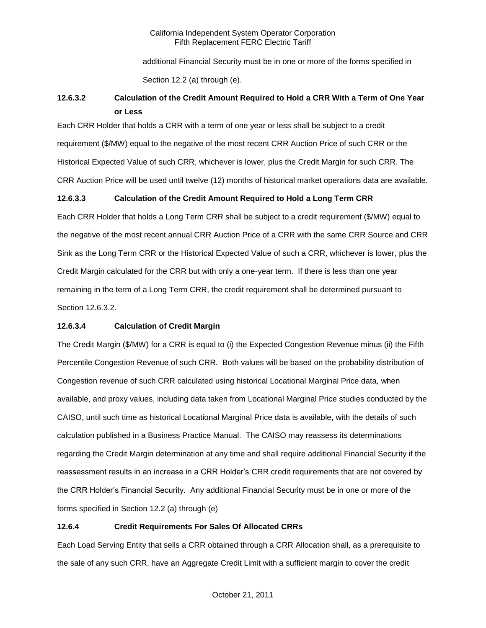additional Financial Security must be in one or more of the forms specified in Section 12.2 (a) through (e).

# **12.6.3.2 Calculation of the Credit Amount Required to Hold a CRR With a Term of One Year or Less**

Each CRR Holder that holds a CRR with a term of one year or less shall be subject to a credit requirement (\$/MW) equal to the negative of the most recent CRR Auction Price of such CRR or the Historical Expected Value of such CRR, whichever is lower, plus the Credit Margin for such CRR. The CRR Auction Price will be used until twelve (12) months of historical market operations data are available.

# **12.6.3.3 Calculation of the Credit Amount Required to Hold a Long Term CRR**

Each CRR Holder that holds a Long Term CRR shall be subject to a credit requirement (\$/MW) equal to the negative of the most recent annual CRR Auction Price of a CRR with the same CRR Source and CRR Sink as the Long Term CRR or the Historical Expected Value of such a CRR, whichever is lower, plus the Credit Margin calculated for the CRR but with only a one-year term. If there is less than one year remaining in the term of a Long Term CRR, the credit requirement shall be determined pursuant to Section 12.6.3.2.

# **12.6.3.4 Calculation of Credit Margin**

The Credit Margin (\$/MW) for a CRR is equal to (i) the Expected Congestion Revenue minus (ii) the Fifth Percentile Congestion Revenue of such CRR. Both values will be based on the probability distribution of Congestion revenue of such CRR calculated using historical Locational Marginal Price data, when available, and proxy values, including data taken from Locational Marginal Price studies conducted by the CAISO, until such time as historical Locational Marginal Price data is available, with the details of such calculation published in a Business Practice Manual. The CAISO may reassess its determinations regarding the Credit Margin determination at any time and shall require additional Financial Security if the reassessment results in an increase in a CRR Holder's CRR credit requirements that are not covered by the CRR Holder's Financial Security. Any additional Financial Security must be in one or more of the forms specified in Section 12.2 (a) through (e)

# **12.6.4 Credit Requirements For Sales Of Allocated CRRs**

Each Load Serving Entity that sells a CRR obtained through a CRR Allocation shall, as a prerequisite to the sale of any such CRR, have an Aggregate Credit Limit with a sufficient margin to cover the credit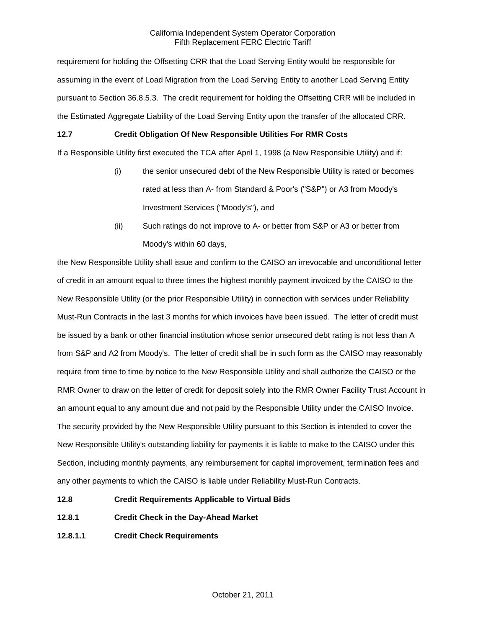requirement for holding the Offsetting CRR that the Load Serving Entity would be responsible for assuming in the event of Load Migration from the Load Serving Entity to another Load Serving Entity pursuant to Section 36.8.5.3. The credit requirement for holding the Offsetting CRR will be included in the Estimated Aggregate Liability of the Load Serving Entity upon the transfer of the allocated CRR.

# **12.7 Credit Obligation Of New Responsible Utilities For RMR Costs**

If a Responsible Utility first executed the TCA after April 1, 1998 (a New Responsible Utility) and if:

- (i) the senior unsecured debt of the New Responsible Utility is rated or becomes rated at less than A- from Standard & Poor's ("S&P") or A3 from Moody's Investment Services ("Moody's"), and
- (ii) Such ratings do not improve to A- or better from S&P or A3 or better from Moody's within 60 days,

the New Responsible Utility shall issue and confirm to the CAISO an irrevocable and unconditional letter of credit in an amount equal to three times the highest monthly payment invoiced by the CAISO to the New Responsible Utility (or the prior Responsible Utility) in connection with services under Reliability Must-Run Contracts in the last 3 months for which invoices have been issued. The letter of credit must be issued by a bank or other financial institution whose senior unsecured debt rating is not less than A from S&P and A2 from Moody's. The letter of credit shall be in such form as the CAISO may reasonably require from time to time by notice to the New Responsible Utility and shall authorize the CAISO or the RMR Owner to draw on the letter of credit for deposit solely into the RMR Owner Facility Trust Account in an amount equal to any amount due and not paid by the Responsible Utility under the CAISO Invoice. The security provided by the New Responsible Utility pursuant to this Section is intended to cover the New Responsible Utility's outstanding liability for payments it is liable to make to the CAISO under this Section, including monthly payments, any reimbursement for capital improvement, termination fees and any other payments to which the CAISO is liable under Reliability Must-Run Contracts.

- **12.8 Credit Requirements Applicable to Virtual Bids**
- **12.8.1 Credit Check in the Day-Ahead Market**
- **12.8.1.1 Credit Check Requirements**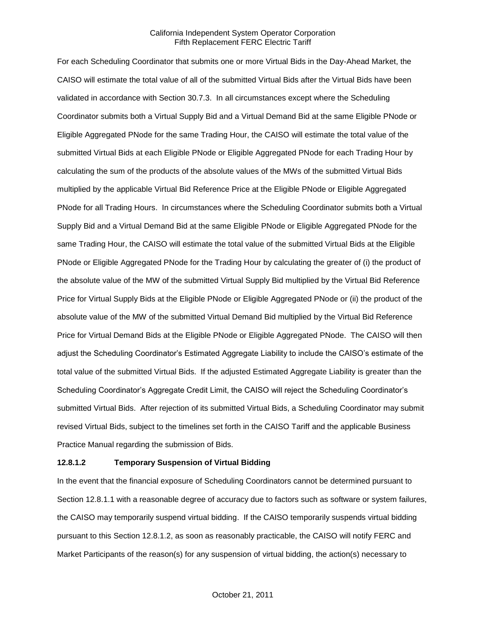For each Scheduling Coordinator that submits one or more Virtual Bids in the Day-Ahead Market, the CAISO will estimate the total value of all of the submitted Virtual Bids after the Virtual Bids have been validated in accordance with Section 30.7.3. In all circumstances except where the Scheduling Coordinator submits both a Virtual Supply Bid and a Virtual Demand Bid at the same Eligible PNode or Eligible Aggregated PNode for the same Trading Hour, the CAISO will estimate the total value of the submitted Virtual Bids at each Eligible PNode or Eligible Aggregated PNode for each Trading Hour by calculating the sum of the products of the absolute values of the MWs of the submitted Virtual Bids multiplied by the applicable Virtual Bid Reference Price at the Eligible PNode or Eligible Aggregated PNode for all Trading Hours. In circumstances where the Scheduling Coordinator submits both a Virtual Supply Bid and a Virtual Demand Bid at the same Eligible PNode or Eligible Aggregated PNode for the same Trading Hour, the CAISO will estimate the total value of the submitted Virtual Bids at the Eligible PNode or Eligible Aggregated PNode for the Trading Hour by calculating the greater of (i) the product of the absolute value of the MW of the submitted Virtual Supply Bid multiplied by the Virtual Bid Reference Price for Virtual Supply Bids at the Eligible PNode or Eligible Aggregated PNode or (ii) the product of the absolute value of the MW of the submitted Virtual Demand Bid multiplied by the Virtual Bid Reference Price for Virtual Demand Bids at the Eligible PNode or Eligible Aggregated PNode. The CAISO will then adjust the Scheduling Coordinator's Estimated Aggregate Liability to include the CAISO's estimate of the total value of the submitted Virtual Bids. If the adjusted Estimated Aggregate Liability is greater than the Scheduling Coordinator's Aggregate Credit Limit, the CAISO will reject the Scheduling Coordinator's submitted Virtual Bids. After rejection of its submitted Virtual Bids, a Scheduling Coordinator may submit revised Virtual Bids, subject to the timelines set forth in the CAISO Tariff and the applicable Business Practice Manual regarding the submission of Bids.

### **12.8.1.2 Temporary Suspension of Virtual Bidding**

In the event that the financial exposure of Scheduling Coordinators cannot be determined pursuant to Section 12.8.1.1 with a reasonable degree of accuracy due to factors such as software or system failures, the CAISO may temporarily suspend virtual bidding. If the CAISO temporarily suspends virtual bidding pursuant to this Section 12.8.1.2, as soon as reasonably practicable, the CAISO will notify FERC and Market Participants of the reason(s) for any suspension of virtual bidding, the action(s) necessary to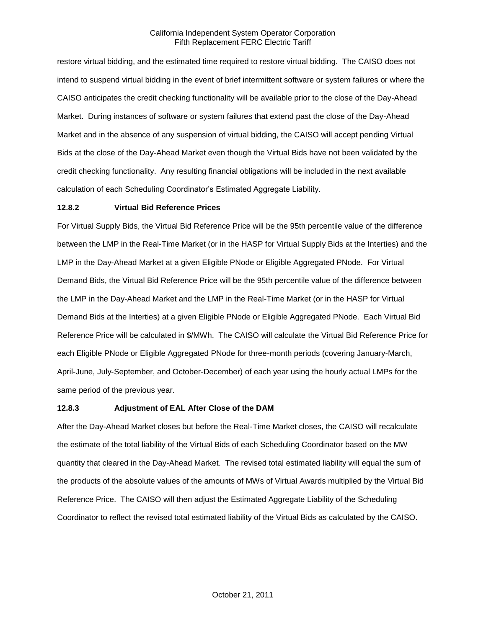restore virtual bidding, and the estimated time required to restore virtual bidding. The CAISO does not intend to suspend virtual bidding in the event of brief intermittent software or system failures or where the CAISO anticipates the credit checking functionality will be available prior to the close of the Day-Ahead Market. During instances of software or system failures that extend past the close of the Day-Ahead Market and in the absence of any suspension of virtual bidding, the CAISO will accept pending Virtual Bids at the close of the Day-Ahead Market even though the Virtual Bids have not been validated by the credit checking functionality. Any resulting financial obligations will be included in the next available calculation of each Scheduling Coordinator's Estimated Aggregate Liability.

# **12.8.2 Virtual Bid Reference Prices**

For Virtual Supply Bids, the Virtual Bid Reference Price will be the 95th percentile value of the difference between the LMP in the Real-Time Market (or in the HASP for Virtual Supply Bids at the Interties) and the LMP in the Day-Ahead Market at a given Eligible PNode or Eligible Aggregated PNode. For Virtual Demand Bids, the Virtual Bid Reference Price will be the 95th percentile value of the difference between the LMP in the Day-Ahead Market and the LMP in the Real-Time Market (or in the HASP for Virtual Demand Bids at the Interties) at a given Eligible PNode or Eligible Aggregated PNode. Each Virtual Bid Reference Price will be calculated in \$/MWh. The CAISO will calculate the Virtual Bid Reference Price for each Eligible PNode or Eligible Aggregated PNode for three-month periods (covering January-March, April-June, July-September, and October-December) of each year using the hourly actual LMPs for the same period of the previous year.

### **12.8.3 Adjustment of EAL After Close of the DAM**

After the Day-Ahead Market closes but before the Real-Time Market closes, the CAISO will recalculate the estimate of the total liability of the Virtual Bids of each Scheduling Coordinator based on the MW quantity that cleared in the Day-Ahead Market. The revised total estimated liability will equal the sum of the products of the absolute values of the amounts of MWs of Virtual Awards multiplied by the Virtual Bid Reference Price. The CAISO will then adjust the Estimated Aggregate Liability of the Scheduling Coordinator to reflect the revised total estimated liability of the Virtual Bids as calculated by the CAISO.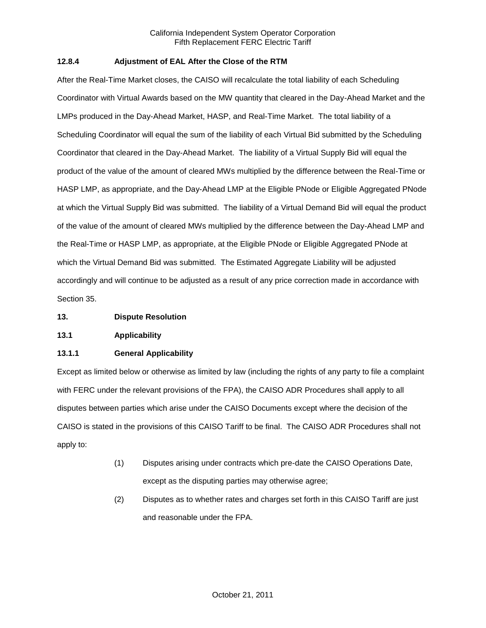# **12.8.4 Adjustment of EAL After the Close of the RTM**

After the Real-Time Market closes, the CAISO will recalculate the total liability of each Scheduling Coordinator with Virtual Awards based on the MW quantity that cleared in the Day-Ahead Market and the LMPs produced in the Day-Ahead Market, HASP, and Real-Time Market. The total liability of a Scheduling Coordinator will equal the sum of the liability of each Virtual Bid submitted by the Scheduling Coordinator that cleared in the Day-Ahead Market. The liability of a Virtual Supply Bid will equal the product of the value of the amount of cleared MWs multiplied by the difference between the Real-Time or HASP LMP, as appropriate, and the Day-Ahead LMP at the Eligible PNode or Eligible Aggregated PNode at which the Virtual Supply Bid was submitted. The liability of a Virtual Demand Bid will equal the product of the value of the amount of cleared MWs multiplied by the difference between the Day-Ahead LMP and the Real-Time or HASP LMP, as appropriate, at the Eligible PNode or Eligible Aggregated PNode at which the Virtual Demand Bid was submitted. The Estimated Aggregate Liability will be adjusted accordingly and will continue to be adjusted as a result of any price correction made in accordance with Section 35.

- **13. Dispute Resolution**
- **13.1 Applicability**

# **13.1.1 General Applicability**

Except as limited below or otherwise as limited by law (including the rights of any party to file a complaint with FERC under the relevant provisions of the FPA), the CAISO ADR Procedures shall apply to all disputes between parties which arise under the CAISO Documents except where the decision of the CAISO is stated in the provisions of this CAISO Tariff to be final. The CAISO ADR Procedures shall not apply to:

- (1) Disputes arising under contracts which pre-date the CAISO Operations Date, except as the disputing parties may otherwise agree;
- (2) Disputes as to whether rates and charges set forth in this CAISO Tariff are just and reasonable under the FPA.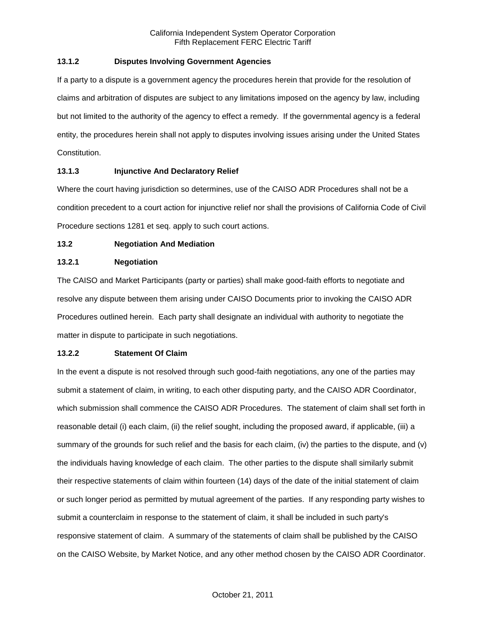# **13.1.2 Disputes Involving Government Agencies**

If a party to a dispute is a government agency the procedures herein that provide for the resolution of claims and arbitration of disputes are subject to any limitations imposed on the agency by law, including but not limited to the authority of the agency to effect a remedy. If the governmental agency is a federal entity, the procedures herein shall not apply to disputes involving issues arising under the United States Constitution.

# **13.1.3 Injunctive And Declaratory Relief**

Where the court having jurisdiction so determines, use of the CAISO ADR Procedures shall not be a condition precedent to a court action for injunctive relief nor shall the provisions of California Code of Civil Procedure sections 1281 et seq. apply to such court actions.

# **13.2 Negotiation And Mediation**

# **13.2.1 Negotiation**

The CAISO and Market Participants (party or parties) shall make good-faith efforts to negotiate and resolve any dispute between them arising under CAISO Documents prior to invoking the CAISO ADR Procedures outlined herein. Each party shall designate an individual with authority to negotiate the matter in dispute to participate in such negotiations.

# **13.2.2 Statement Of Claim**

In the event a dispute is not resolved through such good-faith negotiations, any one of the parties may submit a statement of claim, in writing, to each other disputing party, and the CAISO ADR Coordinator, which submission shall commence the CAISO ADR Procedures. The statement of claim shall set forth in reasonable detail (i) each claim, (ii) the relief sought, including the proposed award, if applicable, (iii) a summary of the grounds for such relief and the basis for each claim, (iv) the parties to the dispute, and (v) the individuals having knowledge of each claim. The other parties to the dispute shall similarly submit their respective statements of claim within fourteen (14) days of the date of the initial statement of claim or such longer period as permitted by mutual agreement of the parties. If any responding party wishes to submit a counterclaim in response to the statement of claim, it shall be included in such party's responsive statement of claim. A summary of the statements of claim shall be published by the CAISO on the CAISO Website, by Market Notice, and any other method chosen by the CAISO ADR Coordinator.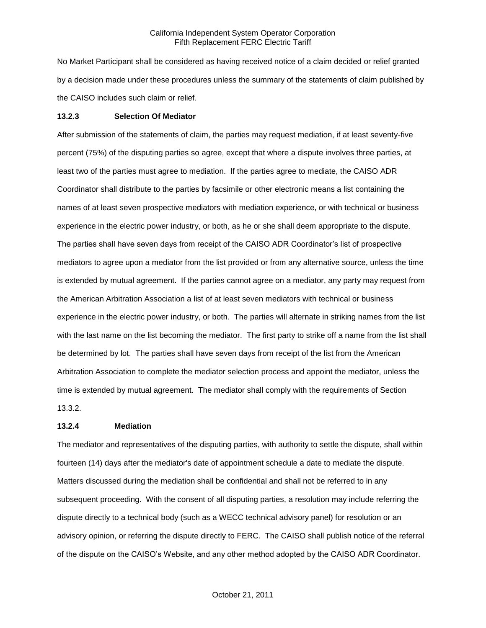No Market Participant shall be considered as having received notice of a claim decided or relief granted by a decision made under these procedures unless the summary of the statements of claim published by the CAISO includes such claim or relief.

#### **13.2.3 Selection Of Mediator**

After submission of the statements of claim, the parties may request mediation, if at least seventy-five percent (75%) of the disputing parties so agree, except that where a dispute involves three parties, at least two of the parties must agree to mediation. If the parties agree to mediate, the CAISO ADR Coordinator shall distribute to the parties by facsimile or other electronic means a list containing the names of at least seven prospective mediators with mediation experience, or with technical or business experience in the electric power industry, or both, as he or she shall deem appropriate to the dispute. The parties shall have seven days from receipt of the CAISO ADR Coordinator's list of prospective mediators to agree upon a mediator from the list provided or from any alternative source, unless the time is extended by mutual agreement. If the parties cannot agree on a mediator, any party may request from the American Arbitration Association a list of at least seven mediators with technical or business experience in the electric power industry, or both. The parties will alternate in striking names from the list with the last name on the list becoming the mediator. The first party to strike off a name from the list shall be determined by lot. The parties shall have seven days from receipt of the list from the American Arbitration Association to complete the mediator selection process and appoint the mediator, unless the time is extended by mutual agreement. The mediator shall comply with the requirements of Section 13.3.2.

#### **13.2.4 Mediation**

The mediator and representatives of the disputing parties, with authority to settle the dispute, shall within fourteen (14) days after the mediator's date of appointment schedule a date to mediate the dispute. Matters discussed during the mediation shall be confidential and shall not be referred to in any subsequent proceeding. With the consent of all disputing parties, a resolution may include referring the dispute directly to a technical body (such as a WECC technical advisory panel) for resolution or an advisory opinion, or referring the dispute directly to FERC. The CAISO shall publish notice of the referral of the dispute on the CAISO's Website, and any other method adopted by the CAISO ADR Coordinator.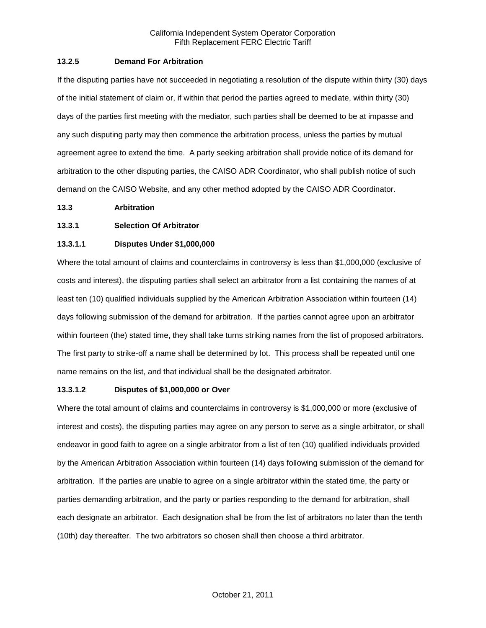### **13.2.5 Demand For Arbitration**

If the disputing parties have not succeeded in negotiating a resolution of the dispute within thirty (30) days of the initial statement of claim or, if within that period the parties agreed to mediate, within thirty (30) days of the parties first meeting with the mediator, such parties shall be deemed to be at impasse and any such disputing party may then commence the arbitration process, unless the parties by mutual agreement agree to extend the time. A party seeking arbitration shall provide notice of its demand for arbitration to the other disputing parties, the CAISO ADR Coordinator, who shall publish notice of such demand on the CAISO Website, and any other method adopted by the CAISO ADR Coordinator.

### **13.3 Arbitration**

### **13.3.1 Selection Of Arbitrator**

### **13.3.1.1 Disputes Under \$1,000,000**

Where the total amount of claims and counterclaims in controversy is less than \$1,000,000 (exclusive of costs and interest), the disputing parties shall select an arbitrator from a list containing the names of at least ten (10) qualified individuals supplied by the American Arbitration Association within fourteen (14) days following submission of the demand for arbitration. If the parties cannot agree upon an arbitrator within fourteen (the) stated time, they shall take turns striking names from the list of proposed arbitrators. The first party to strike-off a name shall be determined by lot. This process shall be repeated until one name remains on the list, and that individual shall be the designated arbitrator.

# **13.3.1.2 Disputes of \$1,000,000 or Over**

Where the total amount of claims and counterclaims in controversy is \$1,000,000 or more (exclusive of interest and costs), the disputing parties may agree on any person to serve as a single arbitrator, or shall endeavor in good faith to agree on a single arbitrator from a list of ten (10) qualified individuals provided by the American Arbitration Association within fourteen (14) days following submission of the demand for arbitration. If the parties are unable to agree on a single arbitrator within the stated time, the party or parties demanding arbitration, and the party or parties responding to the demand for arbitration, shall each designate an arbitrator. Each designation shall be from the list of arbitrators no later than the tenth (10th) day thereafter. The two arbitrators so chosen shall then choose a third arbitrator.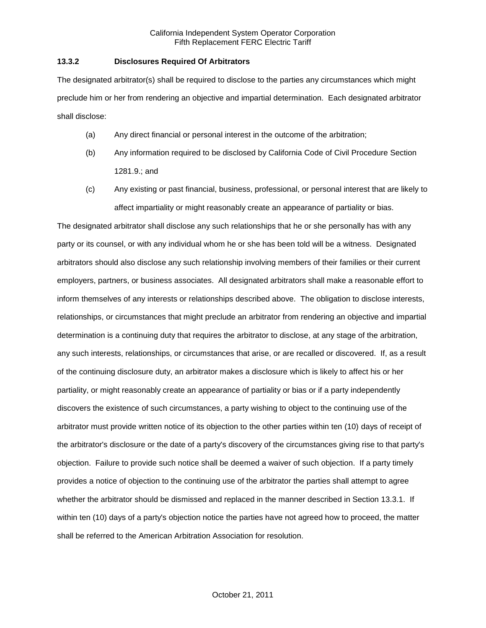### **13.3.2 Disclosures Required Of Arbitrators**

The designated arbitrator(s) shall be required to disclose to the parties any circumstances which might preclude him or her from rendering an objective and impartial determination. Each designated arbitrator shall disclose:

- (a) Any direct financial or personal interest in the outcome of the arbitration;
- (b) Any information required to be disclosed by California Code of Civil Procedure Section 1281.9.; and
- (c) Any existing or past financial, business, professional, or personal interest that are likely to affect impartiality or might reasonably create an appearance of partiality or bias.

The designated arbitrator shall disclose any such relationships that he or she personally has with any party or its counsel, or with any individual whom he or she has been told will be a witness. Designated arbitrators should also disclose any such relationship involving members of their families or their current employers, partners, or business associates. All designated arbitrators shall make a reasonable effort to inform themselves of any interests or relationships described above. The obligation to disclose interests, relationships, or circumstances that might preclude an arbitrator from rendering an objective and impartial determination is a continuing duty that requires the arbitrator to disclose, at any stage of the arbitration, any such interests, relationships, or circumstances that arise, or are recalled or discovered. If, as a result of the continuing disclosure duty, an arbitrator makes a disclosure which is likely to affect his or her partiality, or might reasonably create an appearance of partiality or bias or if a party independently discovers the existence of such circumstances, a party wishing to object to the continuing use of the arbitrator must provide written notice of its objection to the other parties within ten (10) days of receipt of the arbitrator's disclosure or the date of a party's discovery of the circumstances giving rise to that party's objection. Failure to provide such notice shall be deemed a waiver of such objection. If a party timely provides a notice of objection to the continuing use of the arbitrator the parties shall attempt to agree whether the arbitrator should be dismissed and replaced in the manner described in Section 13.3.1. If within ten (10) days of a party's objection notice the parties have not agreed how to proceed, the matter shall be referred to the American Arbitration Association for resolution.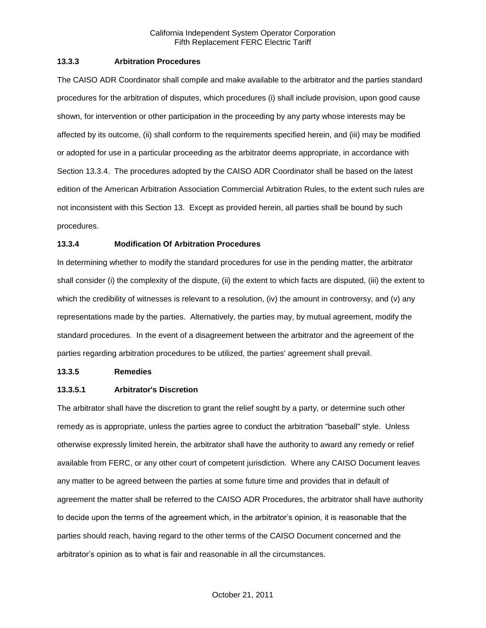### **13.3.3 Arbitration Procedures**

The CAISO ADR Coordinator shall compile and make available to the arbitrator and the parties standard procedures for the arbitration of disputes, which procedures (i) shall include provision, upon good cause shown, for intervention or other participation in the proceeding by any party whose interests may be affected by its outcome, (ii) shall conform to the requirements specified herein, and (iii) may be modified or adopted for use in a particular proceeding as the arbitrator deems appropriate, in accordance with Section 13.3.4. The procedures adopted by the CAISO ADR Coordinator shall be based on the latest edition of the American Arbitration Association Commercial Arbitration Rules, to the extent such rules are not inconsistent with this Section 13. Except as provided herein, all parties shall be bound by such procedures.

# **13.3.4 Modification Of Arbitration Procedures**

In determining whether to modify the standard procedures for use in the pending matter, the arbitrator shall consider (i) the complexity of the dispute, (ii) the extent to which facts are disputed, (iii) the extent to which the credibility of witnesses is relevant to a resolution, (iv) the amount in controversy, and (v) any representations made by the parties. Alternatively, the parties may, by mutual agreement, modify the standard procedures. In the event of a disagreement between the arbitrator and the agreement of the parties regarding arbitration procedures to be utilized, the parties' agreement shall prevail.

## **13.3.5 Remedies**

### **13.3.5.1 Arbitrator's Discretion**

The arbitrator shall have the discretion to grant the relief sought by a party, or determine such other remedy as is appropriate, unless the parties agree to conduct the arbitration "baseball" style. Unless otherwise expressly limited herein, the arbitrator shall have the authority to award any remedy or relief available from FERC, or any other court of competent jurisdiction. Where any CAISO Document leaves any matter to be agreed between the parties at some future time and provides that in default of agreement the matter shall be referred to the CAISO ADR Procedures, the arbitrator shall have authority to decide upon the terms of the agreement which, in the arbitrator's opinion, it is reasonable that the parties should reach, having regard to the other terms of the CAISO Document concerned and the arbitrator's opinion as to what is fair and reasonable in all the circumstances.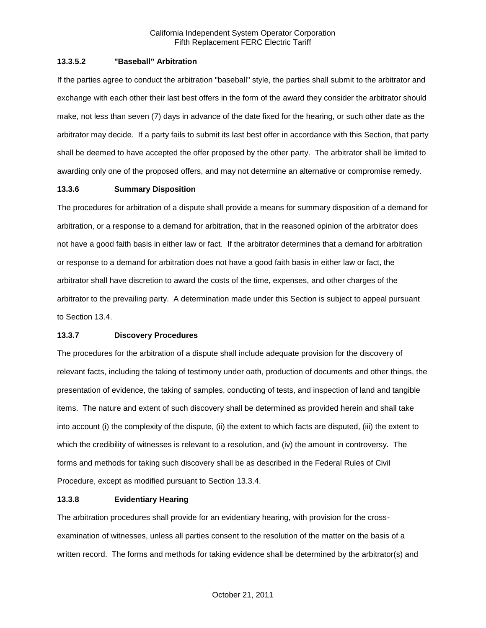### **13.3.5.2 "Baseball" Arbitration**

If the parties agree to conduct the arbitration "baseball" style, the parties shall submit to the arbitrator and exchange with each other their last best offers in the form of the award they consider the arbitrator should make, not less than seven (7) days in advance of the date fixed for the hearing, or such other date as the arbitrator may decide. If a party fails to submit its last best offer in accordance with this Section, that party shall be deemed to have accepted the offer proposed by the other party. The arbitrator shall be limited to awarding only one of the proposed offers, and may not determine an alternative or compromise remedy.

## **13.3.6 Summary Disposition**

The procedures for arbitration of a dispute shall provide a means for summary disposition of a demand for arbitration, or a response to a demand for arbitration, that in the reasoned opinion of the arbitrator does not have a good faith basis in either law or fact. If the arbitrator determines that a demand for arbitration or response to a demand for arbitration does not have a good faith basis in either law or fact, the arbitrator shall have discretion to award the costs of the time, expenses, and other charges of the arbitrator to the prevailing party. A determination made under this Section is subject to appeal pursuant to Section 13.4.

# **13.3.7 Discovery Procedures**

The procedures for the arbitration of a dispute shall include adequate provision for the discovery of relevant facts, including the taking of testimony under oath, production of documents and other things, the presentation of evidence, the taking of samples, conducting of tests, and inspection of land and tangible items. The nature and extent of such discovery shall be determined as provided herein and shall take into account (i) the complexity of the dispute, (ii) the extent to which facts are disputed, (iii) the extent to which the credibility of witnesses is relevant to a resolution, and (iv) the amount in controversy. The forms and methods for taking such discovery shall be as described in the Federal Rules of Civil Procedure, except as modified pursuant to Section 13.3.4.

### **13.3.8 Evidentiary Hearing**

The arbitration procedures shall provide for an evidentiary hearing, with provision for the crossexamination of witnesses, unless all parties consent to the resolution of the matter on the basis of a written record. The forms and methods for taking evidence shall be determined by the arbitrator(s) and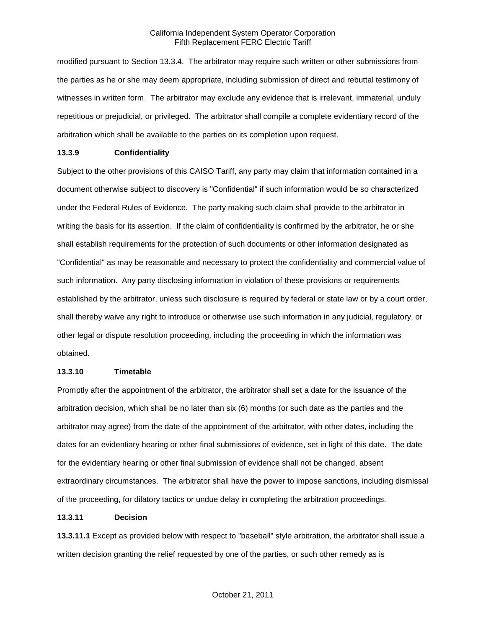modified pursuant to Section 13.3.4. The arbitrator may require such written or other submissions from the parties as he or she may deem appropriate, including submission of direct and rebuttal testimony of witnesses in written form. The arbitrator may exclude any evidence that is irrelevant, immaterial, unduly repetitious or prejudicial, or privileged. The arbitrator shall compile a complete evidentiary record of the arbitration which shall be available to the parties on its completion upon request.

#### **13.3.9 Confidentiality**

Subject to the other provisions of this CAISO Tariff, any party may claim that information contained in a document otherwise subject to discovery is "Confidential" if such information would be so characterized under the Federal Rules of Evidence. The party making such claim shall provide to the arbitrator in writing the basis for its assertion. If the claim of confidentiality is confirmed by the arbitrator, he or she shall establish requirements for the protection of such documents or other information designated as "Confidential" as may be reasonable and necessary to protect the confidentiality and commercial value of such information. Any party disclosing information in violation of these provisions or requirements established by the arbitrator, unless such disclosure is required by federal or state law or by a court order, shall thereby waive any right to introduce or otherwise use such information in any judicial, regulatory, or other legal or dispute resolution proceeding, including the proceeding in which the information was obtained.

#### **13.3.10 Timetable**

Promptly after the appointment of the arbitrator, the arbitrator shall set a date for the issuance of the arbitration decision, which shall be no later than six (6) months (or such date as the parties and the arbitrator may agree) from the date of the appointment of the arbitrator, with other dates, including the dates for an evidentiary hearing or other final submissions of evidence, set in light of this date. The date for the evidentiary hearing or other final submission of evidence shall not be changed, absent extraordinary circumstances. The arbitrator shall have the power to impose sanctions, including dismissal of the proceeding, for dilatory tactics or undue delay in completing the arbitration proceedings.

#### **13.3.11 Decision**

**13.3.11.1** Except as provided below with respect to "baseball" style arbitration, the arbitrator shall issue a written decision granting the relief requested by one of the parties, or such other remedy as is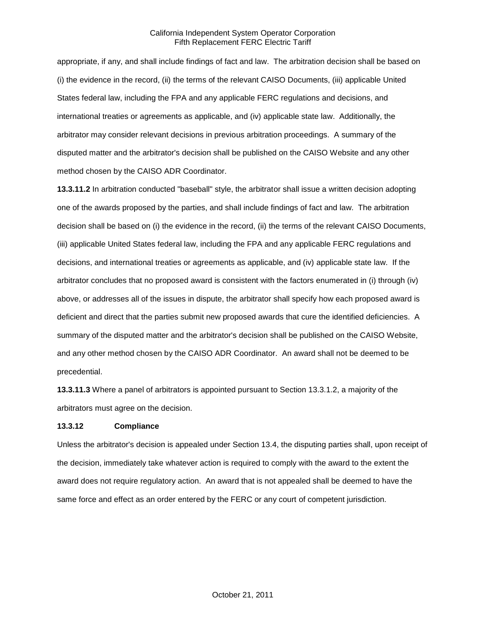appropriate, if any, and shall include findings of fact and law. The arbitration decision shall be based on (i) the evidence in the record, (ii) the terms of the relevant CAISO Documents, (iii) applicable United States federal law, including the FPA and any applicable FERC regulations and decisions, and international treaties or agreements as applicable, and (iv) applicable state law. Additionally, the arbitrator may consider relevant decisions in previous arbitration proceedings. A summary of the disputed matter and the arbitrator's decision shall be published on the CAISO Website and any other method chosen by the CAISO ADR Coordinator.

**13.3.11.2** In arbitration conducted "baseball" style, the arbitrator shall issue a written decision adopting one of the awards proposed by the parties, and shall include findings of fact and law. The arbitration decision shall be based on (i) the evidence in the record, (ii) the terms of the relevant CAISO Documents, (iii) applicable United States federal law, including the FPA and any applicable FERC regulations and decisions, and international treaties or agreements as applicable, and (iv) applicable state law. If the arbitrator concludes that no proposed award is consistent with the factors enumerated in (i) through (iv) above, or addresses all of the issues in dispute, the arbitrator shall specify how each proposed award is deficient and direct that the parties submit new proposed awards that cure the identified deficiencies. A summary of the disputed matter and the arbitrator's decision shall be published on the CAISO Website, and any other method chosen by the CAISO ADR Coordinator. An award shall not be deemed to be precedential.

**13.3.11.3** Where a panel of arbitrators is appointed pursuant to Section 13.3.1.2, a majority of the arbitrators must agree on the decision.

### **13.3.12 Compliance**

Unless the arbitrator's decision is appealed under Section 13.4, the disputing parties shall, upon receipt of the decision, immediately take whatever action is required to comply with the award to the extent the award does not require regulatory action. An award that is not appealed shall be deemed to have the same force and effect as an order entered by the FERC or any court of competent jurisdiction.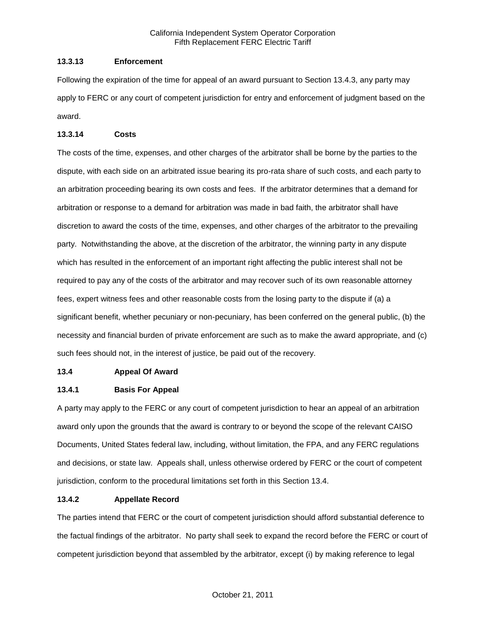### **13.3.13 Enforcement**

Following the expiration of the time for appeal of an award pursuant to Section 13.4.3, any party may apply to FERC or any court of competent jurisdiction for entry and enforcement of judgment based on the award.

### **13.3.14 Costs**

The costs of the time, expenses, and other charges of the arbitrator shall be borne by the parties to the dispute, with each side on an arbitrated issue bearing its pro-rata share of such costs, and each party to an arbitration proceeding bearing its own costs and fees. If the arbitrator determines that a demand for arbitration or response to a demand for arbitration was made in bad faith, the arbitrator shall have discretion to award the costs of the time, expenses, and other charges of the arbitrator to the prevailing party. Notwithstanding the above, at the discretion of the arbitrator, the winning party in any dispute which has resulted in the enforcement of an important right affecting the public interest shall not be required to pay any of the costs of the arbitrator and may recover such of its own reasonable attorney fees, expert witness fees and other reasonable costs from the losing party to the dispute if (a) a significant benefit, whether pecuniary or non-pecuniary, has been conferred on the general public, (b) the necessity and financial burden of private enforcement are such as to make the award appropriate, and (c) such fees should not, in the interest of justice, be paid out of the recovery.

### **13.4 Appeal Of Award**

# **13.4.1 Basis For Appeal**

A party may apply to the FERC or any court of competent jurisdiction to hear an appeal of an arbitration award only upon the grounds that the award is contrary to or beyond the scope of the relevant CAISO Documents, United States federal law, including, without limitation, the FPA, and any FERC regulations and decisions, or state law. Appeals shall, unless otherwise ordered by FERC or the court of competent jurisdiction, conform to the procedural limitations set forth in this Section 13.4.

### **13.4.2 Appellate Record**

The parties intend that FERC or the court of competent jurisdiction should afford substantial deference to the factual findings of the arbitrator. No party shall seek to expand the record before the FERC or court of competent jurisdiction beyond that assembled by the arbitrator, except (i) by making reference to legal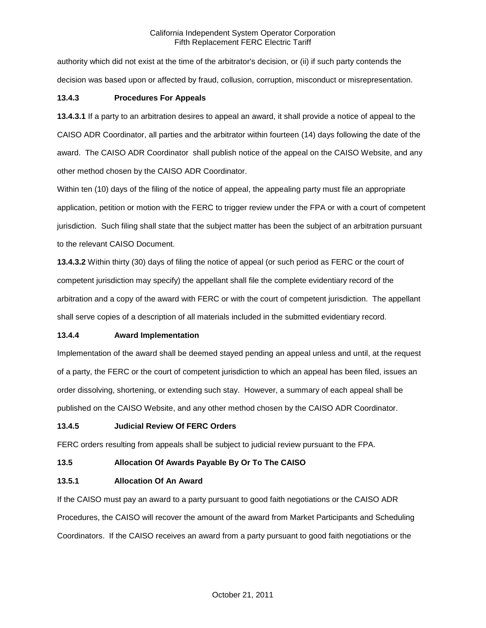authority which did not exist at the time of the arbitrator's decision, or (ii) if such party contends the decision was based upon or affected by fraud, collusion, corruption, misconduct or misrepresentation.

## **13.4.3 Procedures For Appeals**

**13.4.3.1** If a party to an arbitration desires to appeal an award, it shall provide a notice of appeal to the CAISO ADR Coordinator, all parties and the arbitrator within fourteen (14) days following the date of the award. The CAISO ADR Coordinator shall publish notice of the appeal on the CAISO Website, and any other method chosen by the CAISO ADR Coordinator.

Within ten (10) days of the filing of the notice of appeal, the appealing party must file an appropriate application, petition or motion with the FERC to trigger review under the FPA or with a court of competent jurisdiction. Such filing shall state that the subject matter has been the subject of an arbitration pursuant to the relevant CAISO Document.

**13.4.3.2** Within thirty (30) days of filing the notice of appeal (or such period as FERC or the court of competent jurisdiction may specify) the appellant shall file the complete evidentiary record of the arbitration and a copy of the award with FERC or with the court of competent jurisdiction. The appellant shall serve copies of a description of all materials included in the submitted evidentiary record.

# **13.4.4 Award Implementation**

Implementation of the award shall be deemed stayed pending an appeal unless and until, at the request of a party, the FERC or the court of competent jurisdiction to which an appeal has been filed, issues an order dissolving, shortening, or extending such stay. However, a summary of each appeal shall be published on the CAISO Website, and any other method chosen by the CAISO ADR Coordinator.

# **13.4.5 Judicial Review Of FERC Orders**

FERC orders resulting from appeals shall be subject to judicial review pursuant to the FPA.

# **13.5 Allocation Of Awards Payable By Or To The CAISO**

### **13.5.1 Allocation Of An Award**

If the CAISO must pay an award to a party pursuant to good faith negotiations or the CAISO ADR Procedures, the CAISO will recover the amount of the award from Market Participants and Scheduling Coordinators. If the CAISO receives an award from a party pursuant to good faith negotiations or the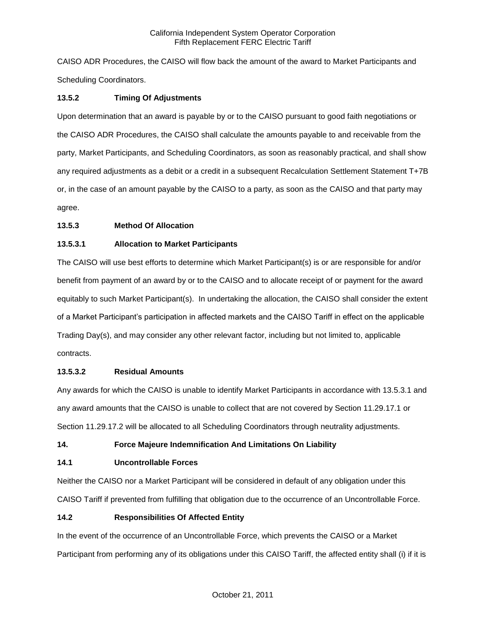CAISO ADR Procedures, the CAISO will flow back the amount of the award to Market Participants and Scheduling Coordinators.

# **13.5.2 Timing Of Adjustments**

Upon determination that an award is payable by or to the CAISO pursuant to good faith negotiations or the CAISO ADR Procedures, the CAISO shall calculate the amounts payable to and receivable from the party, Market Participants, and Scheduling Coordinators, as soon as reasonably practical, and shall show any required adjustments as a debit or a credit in a subsequent Recalculation Settlement Statement T+7B or, in the case of an amount payable by the CAISO to a party, as soon as the CAISO and that party may agree.

# **13.5.3 Method Of Allocation**

# **13.5.3.1 Allocation to Market Participants**

The CAISO will use best efforts to determine which Market Participant(s) is or are responsible for and/or benefit from payment of an award by or to the CAISO and to allocate receipt of or payment for the award equitably to such Market Participant(s). In undertaking the allocation, the CAISO shall consider the extent of a Market Participant's participation in affected markets and the CAISO Tariff in effect on the applicable Trading Day(s), and may consider any other relevant factor, including but not limited to, applicable contracts.

# **13.5.3.2 Residual Amounts**

Any awards for which the CAISO is unable to identify Market Participants in accordance with 13.5.3.1 and any award amounts that the CAISO is unable to collect that are not covered by Section 11.29.17.1 or Section 11.29.17.2 will be allocated to all Scheduling Coordinators through neutrality adjustments.

# **14. Force Majeure Indemnification And Limitations On Liability**

# **14.1 Uncontrollable Forces**

Neither the CAISO nor a Market Participant will be considered in default of any obligation under this CAISO Tariff if prevented from fulfilling that obligation due to the occurrence of an Uncontrollable Force.

# **14.2 Responsibilities Of Affected Entity**

In the event of the occurrence of an Uncontrollable Force, which prevents the CAISO or a Market Participant from performing any of its obligations under this CAISO Tariff, the affected entity shall (i) if it is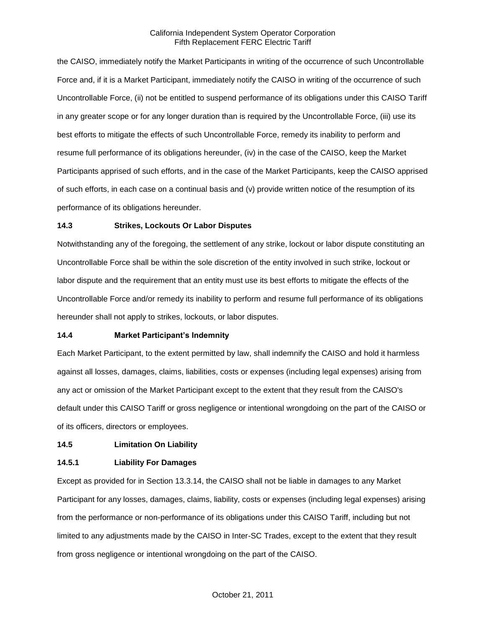the CAISO, immediately notify the Market Participants in writing of the occurrence of such Uncontrollable Force and, if it is a Market Participant, immediately notify the CAISO in writing of the occurrence of such Uncontrollable Force, (ii) not be entitled to suspend performance of its obligations under this CAISO Tariff in any greater scope or for any longer duration than is required by the Uncontrollable Force, (iii) use its best efforts to mitigate the effects of such Uncontrollable Force, remedy its inability to perform and resume full performance of its obligations hereunder, (iv) in the case of the CAISO, keep the Market Participants apprised of such efforts, and in the case of the Market Participants, keep the CAISO apprised of such efforts, in each case on a continual basis and (v) provide written notice of the resumption of its performance of its obligations hereunder.

## **14.3 Strikes, Lockouts Or Labor Disputes**

Notwithstanding any of the foregoing, the settlement of any strike, lockout or labor dispute constituting an Uncontrollable Force shall be within the sole discretion of the entity involved in such strike, lockout or labor dispute and the requirement that an entity must use its best efforts to mitigate the effects of the Uncontrollable Force and/or remedy its inability to perform and resume full performance of its obligations hereunder shall not apply to strikes, lockouts, or labor disputes.

# **14.4 Market Participant's Indemnity**

Each Market Participant, to the extent permitted by law, shall indemnify the CAISO and hold it harmless against all losses, damages, claims, liabilities, costs or expenses (including legal expenses) arising from any act or omission of the Market Participant except to the extent that they result from the CAISO's default under this CAISO Tariff or gross negligence or intentional wrongdoing on the part of the CAISO or of its officers, directors or employees.

# **14.5 Limitation On Liability**

# **14.5.1 Liability For Damages**

Except as provided for in Section 13.3.14, the CAISO shall not be liable in damages to any Market Participant for any losses, damages, claims, liability, costs or expenses (including legal expenses) arising from the performance or non-performance of its obligations under this CAISO Tariff, including but not limited to any adjustments made by the CAISO in Inter-SC Trades, except to the extent that they result from gross negligence or intentional wrongdoing on the part of the CAISO.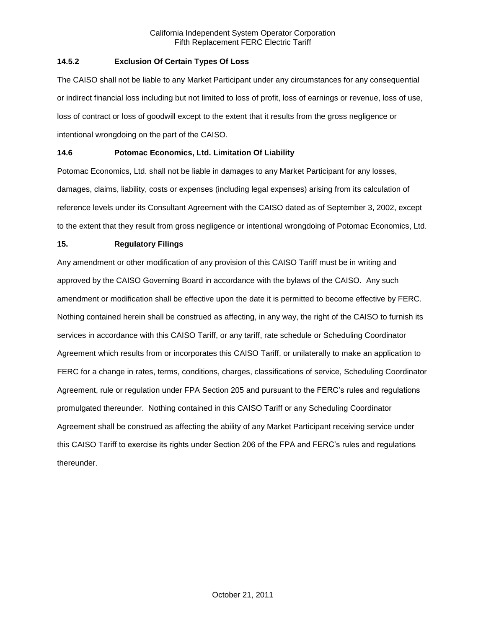# **14.5.2 Exclusion Of Certain Types Of Loss**

The CAISO shall not be liable to any Market Participant under any circumstances for any consequential or indirect financial loss including but not limited to loss of profit, loss of earnings or revenue, loss of use, loss of contract or loss of goodwill except to the extent that it results from the gross negligence or intentional wrongdoing on the part of the CAISO.

# **14.6 Potomac Economics, Ltd. Limitation Of Liability**

Potomac Economics, Ltd. shall not be liable in damages to any Market Participant for any losses, damages, claims, liability, costs or expenses (including legal expenses) arising from its calculation of reference levels under its Consultant Agreement with the CAISO dated as of September 3, 2002, except to the extent that they result from gross negligence or intentional wrongdoing of Potomac Economics, Ltd.

## **15. Regulatory Filings**

Any amendment or other modification of any provision of this CAISO Tariff must be in writing and approved by the CAISO Governing Board in accordance with the bylaws of the CAISO. Any such amendment or modification shall be effective upon the date it is permitted to become effective by FERC. Nothing contained herein shall be construed as affecting, in any way, the right of the CAISO to furnish its services in accordance with this CAISO Tariff, or any tariff, rate schedule or Scheduling Coordinator Agreement which results from or incorporates this CAISO Tariff, or unilaterally to make an application to FERC for a change in rates, terms, conditions, charges, classifications of service, Scheduling Coordinator Agreement, rule or regulation under FPA Section 205 and pursuant to the FERC's rules and regulations promulgated thereunder. Nothing contained in this CAISO Tariff or any Scheduling Coordinator Agreement shall be construed as affecting the ability of any Market Participant receiving service under this CAISO Tariff to exercise its rights under Section 206 of the FPA and FERC's rules and regulations thereunder.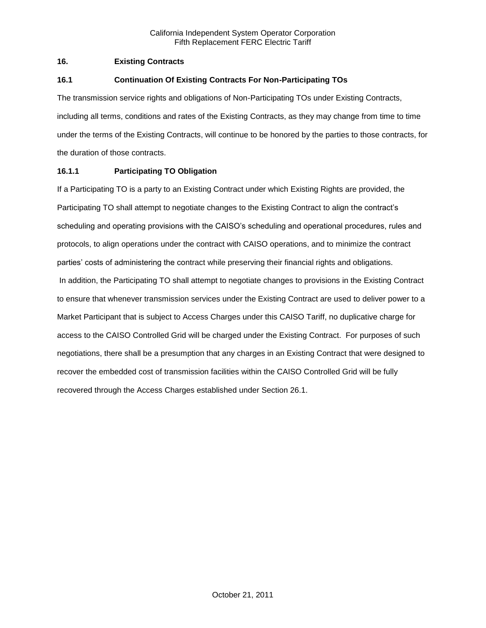## **16. Existing Contracts**

## **16.1 Continuation Of Existing Contracts For Non-Participating TOs**

The transmission service rights and obligations of Non-Participating TOs under Existing Contracts, including all terms, conditions and rates of the Existing Contracts, as they may change from time to time under the terms of the Existing Contracts, will continue to be honored by the parties to those contracts, for the duration of those contracts.

## **16.1.1 Participating TO Obligation**

If a Participating TO is a party to an Existing Contract under which Existing Rights are provided, the Participating TO shall attempt to negotiate changes to the Existing Contract to align the contract's scheduling and operating provisions with the CAISO's scheduling and operational procedures, rules and protocols, to align operations under the contract with CAISO operations, and to minimize the contract parties' costs of administering the contract while preserving their financial rights and obligations. In addition, the Participating TO shall attempt to negotiate changes to provisions in the Existing Contract to ensure that whenever transmission services under the Existing Contract are used to deliver power to a Market Participant that is subject to Access Charges under this CAISO Tariff, no duplicative charge for access to the CAISO Controlled Grid will be charged under the Existing Contract. For purposes of such negotiations, there shall be a presumption that any charges in an Existing Contract that were designed to recover the embedded cost of transmission facilities within the CAISO Controlled Grid will be fully recovered through the Access Charges established under Section 26.1.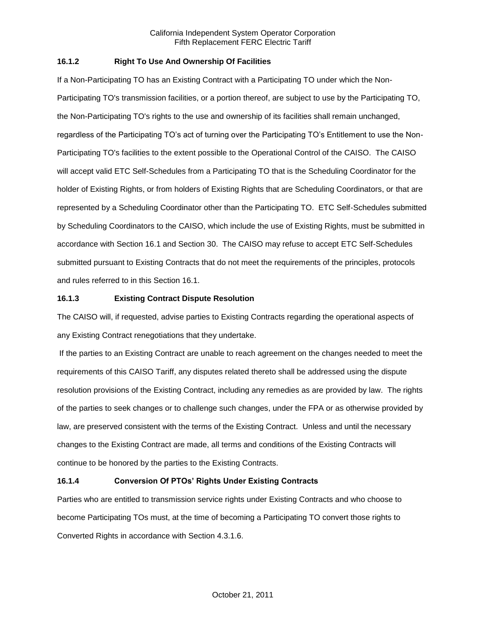## **16.1.2 Right To Use And Ownership Of Facilities**

If a Non-Participating TO has an Existing Contract with a Participating TO under which the Non-Participating TO's transmission facilities, or a portion thereof, are subject to use by the Participating TO, the Non-Participating TO's rights to the use and ownership of its facilities shall remain unchanged, regardless of the Participating TO's act of turning over the Participating TO's Entitlement to use the Non-Participating TO's facilities to the extent possible to the Operational Control of the CAISO. The CAISO will accept valid ETC Self-Schedules from a Participating TO that is the Scheduling Coordinator for the holder of Existing Rights, or from holders of Existing Rights that are Scheduling Coordinators, or that are represented by a Scheduling Coordinator other than the Participating TO. ETC Self-Schedules submitted by Scheduling Coordinators to the CAISO, which include the use of Existing Rights, must be submitted in accordance with Section 16.1 and Section 30. The CAISO may refuse to accept ETC Self-Schedules submitted pursuant to Existing Contracts that do not meet the requirements of the principles, protocols and rules referred to in this Section 16.1.

## **16.1.3 Existing Contract Dispute Resolution**

The CAISO will, if requested, advise parties to Existing Contracts regarding the operational aspects of any Existing Contract renegotiations that they undertake.

If the parties to an Existing Contract are unable to reach agreement on the changes needed to meet the requirements of this CAISO Tariff, any disputes related thereto shall be addressed using the dispute resolution provisions of the Existing Contract, including any remedies as are provided by law. The rights of the parties to seek changes or to challenge such changes, under the FPA or as otherwise provided by law, are preserved consistent with the terms of the Existing Contract. Unless and until the necessary changes to the Existing Contract are made, all terms and conditions of the Existing Contracts will continue to be honored by the parties to the Existing Contracts.

# **16.1.4 Conversion Of PTOs' Rights Under Existing Contracts**

Parties who are entitled to transmission service rights under Existing Contracts and who choose to become Participating TOs must, at the time of becoming a Participating TO convert those rights to Converted Rights in accordance with Section 4.3.1.6.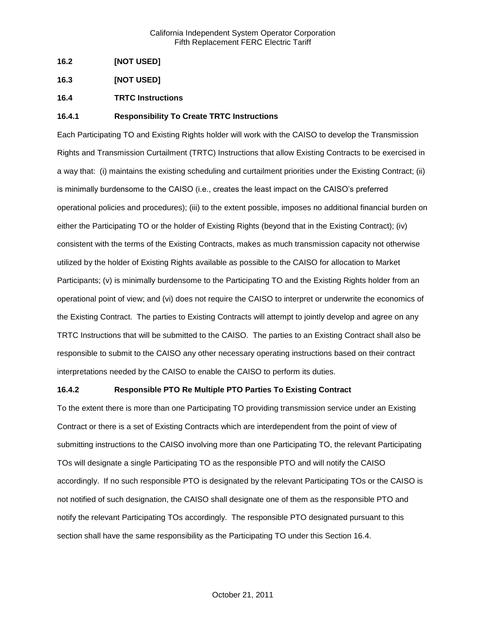- **16.2 [NOT USED]**
- **16.3 [NOT USED]**
- **16.4 TRTC Instructions**

## **16.4.1 Responsibility To Create TRTC Instructions**

Each Participating TO and Existing Rights holder will work with the CAISO to develop the Transmission Rights and Transmission Curtailment (TRTC) Instructions that allow Existing Contracts to be exercised in a way that: (i) maintains the existing scheduling and curtailment priorities under the Existing Contract; (ii) is minimally burdensome to the CAISO (i.e., creates the least impact on the CAISO's preferred operational policies and procedures); (iii) to the extent possible, imposes no additional financial burden on either the Participating TO or the holder of Existing Rights (beyond that in the Existing Contract); (iv) consistent with the terms of the Existing Contracts, makes as much transmission capacity not otherwise utilized by the holder of Existing Rights available as possible to the CAISO for allocation to Market Participants; (v) is minimally burdensome to the Participating TO and the Existing Rights holder from an operational point of view; and (vi) does not require the CAISO to interpret or underwrite the economics of the Existing Contract. The parties to Existing Contracts will attempt to jointly develop and agree on any TRTC Instructions that will be submitted to the CAISO. The parties to an Existing Contract shall also be responsible to submit to the CAISO any other necessary operating instructions based on their contract interpretations needed by the CAISO to enable the CAISO to perform its duties.

### **16.4.2 Responsible PTO Re Multiple PTO Parties To Existing Contract**

To the extent there is more than one Participating TO providing transmission service under an Existing Contract or there is a set of Existing Contracts which are interdependent from the point of view of submitting instructions to the CAISO involving more than one Participating TO, the relevant Participating TOs will designate a single Participating TO as the responsible PTO and will notify the CAISO accordingly. If no such responsible PTO is designated by the relevant Participating TOs or the CAISO is not notified of such designation, the CAISO shall designate one of them as the responsible PTO and notify the relevant Participating TOs accordingly. The responsible PTO designated pursuant to this section shall have the same responsibility as the Participating TO under this Section 16.4.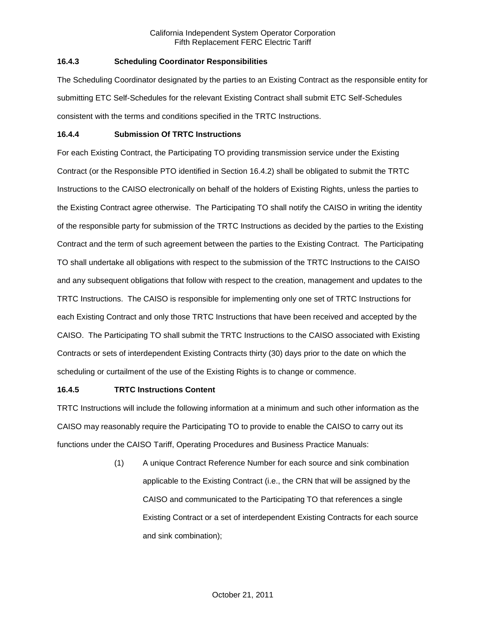## **16.4.3 Scheduling Coordinator Responsibilities**

The Scheduling Coordinator designated by the parties to an Existing Contract as the responsible entity for submitting ETC Self-Schedules for the relevant Existing Contract shall submit ETC Self-Schedules consistent with the terms and conditions specified in the TRTC Instructions.

### **16.4.4 Submission Of TRTC Instructions**

For each Existing Contract, the Participating TO providing transmission service under the Existing Contract (or the Responsible PTO identified in Section 16.4.2) shall be obligated to submit the TRTC Instructions to the CAISO electronically on behalf of the holders of Existing Rights, unless the parties to the Existing Contract agree otherwise. The Participating TO shall notify the CAISO in writing the identity of the responsible party for submission of the TRTC Instructions as decided by the parties to the Existing Contract and the term of such agreement between the parties to the Existing Contract. The Participating TO shall undertake all obligations with respect to the submission of the TRTC Instructions to the CAISO and any subsequent obligations that follow with respect to the creation, management and updates to the TRTC Instructions. The CAISO is responsible for implementing only one set of TRTC Instructions for each Existing Contract and only those TRTC Instructions that have been received and accepted by the CAISO. The Participating TO shall submit the TRTC Instructions to the CAISO associated with Existing Contracts or sets of interdependent Existing Contracts thirty (30) days prior to the date on which the scheduling or curtailment of the use of the Existing Rights is to change or commence.

# **16.4.5 TRTC Instructions Content**

TRTC Instructions will include the following information at a minimum and such other information as the CAISO may reasonably require the Participating TO to provide to enable the CAISO to carry out its functions under the CAISO Tariff, Operating Procedures and Business Practice Manuals:

> (1) A unique Contract Reference Number for each source and sink combination applicable to the Existing Contract (i.e., the CRN that will be assigned by the CAISO and communicated to the Participating TO that references a single Existing Contract or a set of interdependent Existing Contracts for each source and sink combination);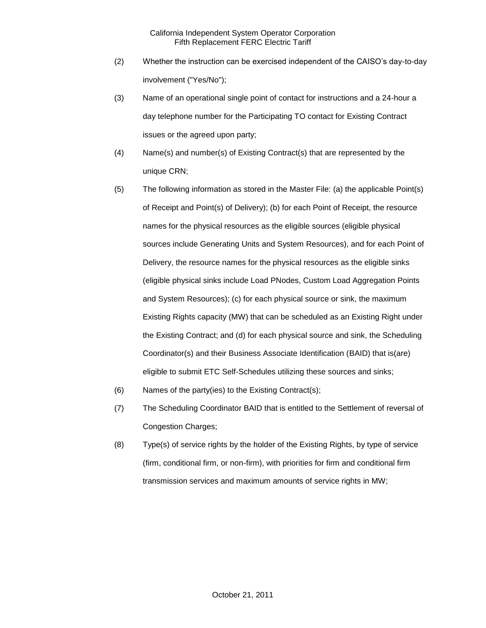- (2) Whether the instruction can be exercised independent of the CAISO's day-to-day involvement ("Yes/No");
- (3) Name of an operational single point of contact for instructions and a 24-hour a day telephone number for the Participating TO contact for Existing Contract issues or the agreed upon party;
- (4) Name(s) and number(s) of Existing Contract(s) that are represented by the unique CRN;
- (5) The following information as stored in the Master File: (a) the applicable Point(s) of Receipt and Point(s) of Delivery); (b) for each Point of Receipt, the resource names for the physical resources as the eligible sources (eligible physical sources include Generating Units and System Resources), and for each Point of Delivery, the resource names for the physical resources as the eligible sinks (eligible physical sinks include Load PNodes, Custom Load Aggregation Points and System Resources); (c) for each physical source or sink, the maximum Existing Rights capacity (MW) that can be scheduled as an Existing Right under the Existing Contract; and (d) for each physical source and sink, the Scheduling Coordinator(s) and their Business Associate Identification (BAID) that is(are) eligible to submit ETC Self-Schedules utilizing these sources and sinks;
- (6) Names of the party(ies) to the Existing Contract(s);
- (7) The Scheduling Coordinator BAID that is entitled to the Settlement of reversal of Congestion Charges;
- (8) Type(s) of service rights by the holder of the Existing Rights, by type of service (firm, conditional firm, or non-firm), with priorities for firm and conditional firm transmission services and maximum amounts of service rights in MW;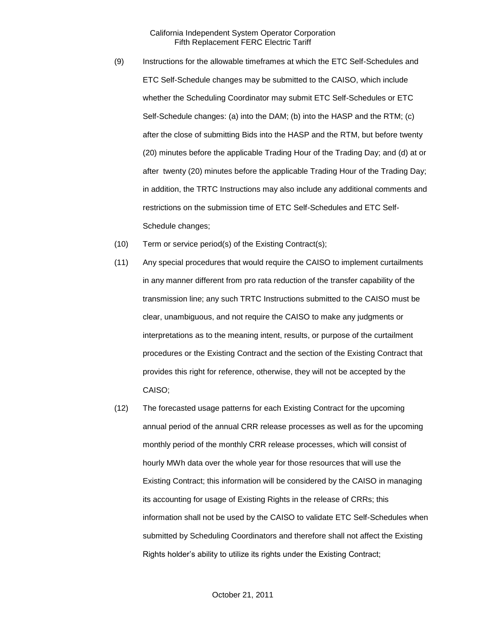- (9) Instructions for the allowable timeframes at which the ETC Self-Schedules and ETC Self-Schedule changes may be submitted to the CAISO, which include whether the Scheduling Coordinator may submit ETC Self-Schedules or ETC Self-Schedule changes: (a) into the DAM; (b) into the HASP and the RTM; (c) after the close of submitting Bids into the HASP and the RTM, but before twenty (20) minutes before the applicable Trading Hour of the Trading Day; and (d) at or after twenty (20) minutes before the applicable Trading Hour of the Trading Day; in addition, the TRTC Instructions may also include any additional comments and restrictions on the submission time of ETC Self-Schedules and ETC Self-Schedule changes;
- (10) Term or service period(s) of the Existing Contract(s);
- (11) Any special procedures that would require the CAISO to implement curtailments in any manner different from pro rata reduction of the transfer capability of the transmission line; any such TRTC Instructions submitted to the CAISO must be clear, unambiguous, and not require the CAISO to make any judgments or interpretations as to the meaning intent, results, or purpose of the curtailment procedures or the Existing Contract and the section of the Existing Contract that provides this right for reference, otherwise, they will not be accepted by the CAISO;
- (12) The forecasted usage patterns for each Existing Contract for the upcoming annual period of the annual CRR release processes as well as for the upcoming monthly period of the monthly CRR release processes, which will consist of hourly MWh data over the whole year for those resources that will use the Existing Contract; this information will be considered by the CAISO in managing its accounting for usage of Existing Rights in the release of CRRs; this information shall not be used by the CAISO to validate ETC Self-Schedules when submitted by Scheduling Coordinators and therefore shall not affect the Existing Rights holder's ability to utilize its rights under the Existing Contract;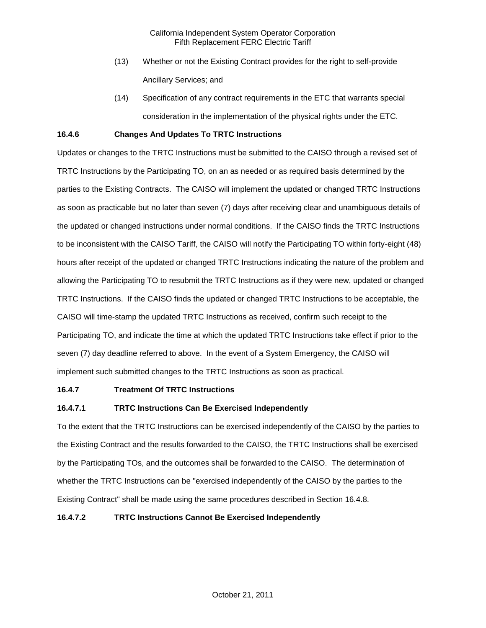- (13) Whether or not the Existing Contract provides for the right to self-provide Ancillary Services; and
- (14) Specification of any contract requirements in the ETC that warrants special consideration in the implementation of the physical rights under the ETC.

### **16.4.6 Changes And Updates To TRTC Instructions**

Updates or changes to the TRTC Instructions must be submitted to the CAISO through a revised set of TRTC Instructions by the Participating TO, on an as needed or as required basis determined by the parties to the Existing Contracts. The CAISO will implement the updated or changed TRTC Instructions as soon as practicable but no later than seven (7) days after receiving clear and unambiguous details of the updated or changed instructions under normal conditions. If the CAISO finds the TRTC Instructions to be inconsistent with the CAISO Tariff, the CAISO will notify the Participating TO within forty-eight (48) hours after receipt of the updated or changed TRTC Instructions indicating the nature of the problem and allowing the Participating TO to resubmit the TRTC Instructions as if they were new, updated or changed TRTC Instructions. If the CAISO finds the updated or changed TRTC Instructions to be acceptable, the CAISO will time-stamp the updated TRTC Instructions as received, confirm such receipt to the Participating TO, and indicate the time at which the updated TRTC Instructions take effect if prior to the seven (7) day deadline referred to above. In the event of a System Emergency, the CAISO will implement such submitted changes to the TRTC Instructions as soon as practical.

### **16.4.7 Treatment Of TRTC Instructions**

# **16.4.7.1 TRTC Instructions Can Be Exercised Independently**

To the extent that the TRTC Instructions can be exercised independently of the CAISO by the parties to the Existing Contract and the results forwarded to the CAISO, the TRTC Instructions shall be exercised by the Participating TOs, and the outcomes shall be forwarded to the CAISO. The determination of whether the TRTC Instructions can be "exercised independently of the CAISO by the parties to the Existing Contract" shall be made using the same procedures described in Section 16.4.8.

## **16.4.7.2 TRTC Instructions Cannot Be Exercised Independently**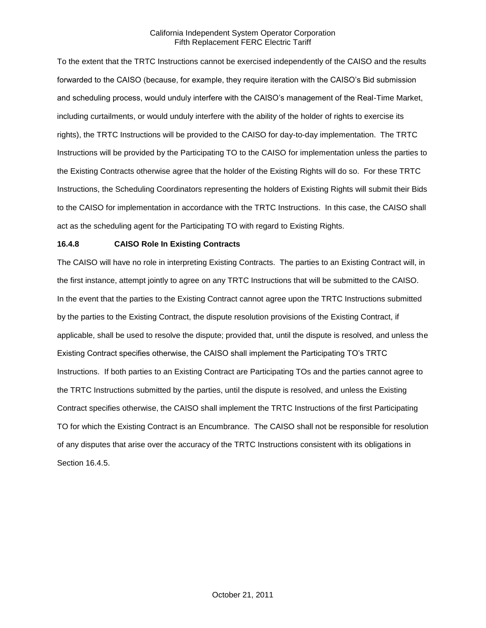To the extent that the TRTC Instructions cannot be exercised independently of the CAISO and the results forwarded to the CAISO (because, for example, they require iteration with the CAISO's Bid submission and scheduling process, would unduly interfere with the CAISO's management of the Real-Time Market, including curtailments, or would unduly interfere with the ability of the holder of rights to exercise its rights), the TRTC Instructions will be provided to the CAISO for day-to-day implementation. The TRTC Instructions will be provided by the Participating TO to the CAISO for implementation unless the parties to the Existing Contracts otherwise agree that the holder of the Existing Rights will do so. For these TRTC Instructions, the Scheduling Coordinators representing the holders of Existing Rights will submit their Bids to the CAISO for implementation in accordance with the TRTC Instructions. In this case, the CAISO shall act as the scheduling agent for the Participating TO with regard to Existing Rights.

## **16.4.8 CAISO Role In Existing Contracts**

The CAISO will have no role in interpreting Existing Contracts. The parties to an Existing Contract will, in the first instance, attempt jointly to agree on any TRTC Instructions that will be submitted to the CAISO. In the event that the parties to the Existing Contract cannot agree upon the TRTC Instructions submitted by the parties to the Existing Contract, the dispute resolution provisions of the Existing Contract, if applicable, shall be used to resolve the dispute; provided that, until the dispute is resolved, and unless the Existing Contract specifies otherwise, the CAISO shall implement the Participating TO's TRTC Instructions. If both parties to an Existing Contract are Participating TOs and the parties cannot agree to the TRTC Instructions submitted by the parties, until the dispute is resolved, and unless the Existing Contract specifies otherwise, the CAISO shall implement the TRTC Instructions of the first Participating TO for which the Existing Contract is an Encumbrance. The CAISO shall not be responsible for resolution of any disputes that arise over the accuracy of the TRTC Instructions consistent with its obligations in Section 16.4.5.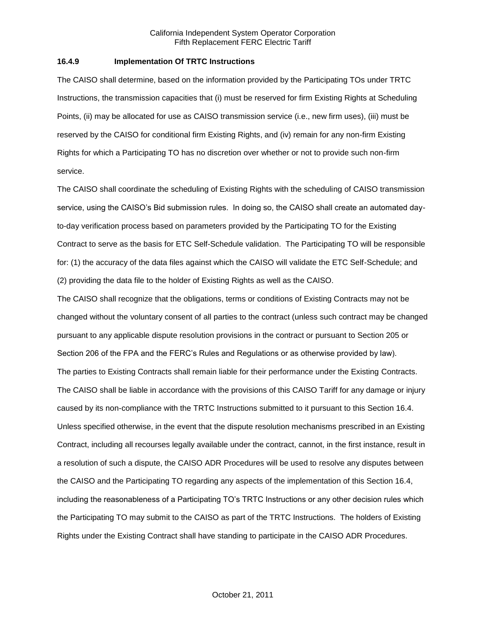#### **16.4.9 Implementation Of TRTC Instructions**

The CAISO shall determine, based on the information provided by the Participating TOs under TRTC Instructions, the transmission capacities that (i) must be reserved for firm Existing Rights at Scheduling Points, (ii) may be allocated for use as CAISO transmission service (i.e., new firm uses), (iii) must be reserved by the CAISO for conditional firm Existing Rights, and (iv) remain for any non-firm Existing Rights for which a Participating TO has no discretion over whether or not to provide such non-firm service.

The CAISO shall coordinate the scheduling of Existing Rights with the scheduling of CAISO transmission service, using the CAISO's Bid submission rules. In doing so, the CAISO shall create an automated dayto-day verification process based on parameters provided by the Participating TO for the Existing Contract to serve as the basis for ETC Self-Schedule validation. The Participating TO will be responsible for: (1) the accuracy of the data files against which the CAISO will validate the ETC Self-Schedule; and (2) providing the data file to the holder of Existing Rights as well as the CAISO.

The CAISO shall recognize that the obligations, terms or conditions of Existing Contracts may not be changed without the voluntary consent of all parties to the contract (unless such contract may be changed pursuant to any applicable dispute resolution provisions in the contract or pursuant to Section 205 or Section 206 of the FPA and the FERC's Rules and Regulations or as otherwise provided by law). The parties to Existing Contracts shall remain liable for their performance under the Existing Contracts. The CAISO shall be liable in accordance with the provisions of this CAISO Tariff for any damage or injury caused by its non-compliance with the TRTC Instructions submitted to it pursuant to this Section 16.4. Unless specified otherwise, in the event that the dispute resolution mechanisms prescribed in an Existing Contract, including all recourses legally available under the contract, cannot, in the first instance, result in a resolution of such a dispute, the CAISO ADR Procedures will be used to resolve any disputes between the CAISO and the Participating TO regarding any aspects of the implementation of this Section 16.4, including the reasonableness of a Participating TO's TRTC Instructions or any other decision rules which the Participating TO may submit to the CAISO as part of the TRTC Instructions. The holders of Existing Rights under the Existing Contract shall have standing to participate in the CAISO ADR Procedures.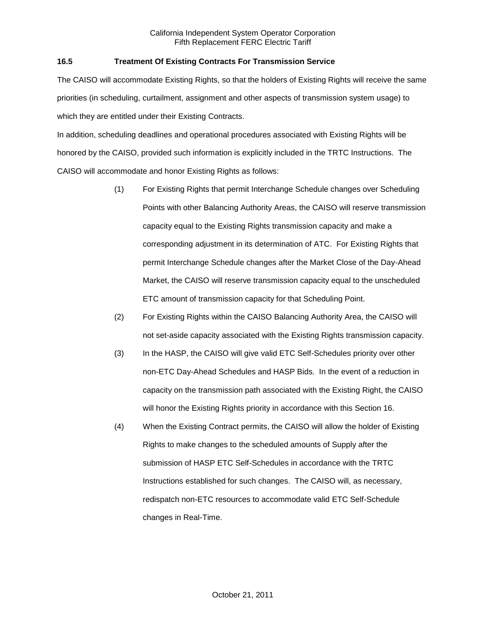## **16.5 Treatment Of Existing Contracts For Transmission Service**

The CAISO will accommodate Existing Rights, so that the holders of Existing Rights will receive the same priorities (in scheduling, curtailment, assignment and other aspects of transmission system usage) to which they are entitled under their Existing Contracts.

In addition, scheduling deadlines and operational procedures associated with Existing Rights will be honored by the CAISO, provided such information is explicitly included in the TRTC Instructions. The CAISO will accommodate and honor Existing Rights as follows:

- (1) For Existing Rights that permit Interchange Schedule changes over Scheduling Points with other Balancing Authority Areas, the CAISO will reserve transmission capacity equal to the Existing Rights transmission capacity and make a corresponding adjustment in its determination of ATC. For Existing Rights that permit Interchange Schedule changes after the Market Close of the Day-Ahead Market, the CAISO will reserve transmission capacity equal to the unscheduled ETC amount of transmission capacity for that Scheduling Point.
- (2) For Existing Rights within the CAISO Balancing Authority Area, the CAISO will not set-aside capacity associated with the Existing Rights transmission capacity.
- (3) In the HASP, the CAISO will give valid ETC Self-Schedules priority over other non-ETC Day-Ahead Schedules and HASP Bids. In the event of a reduction in capacity on the transmission path associated with the Existing Right, the CAISO will honor the Existing Rights priority in accordance with this Section 16.
- (4) When the Existing Contract permits, the CAISO will allow the holder of Existing Rights to make changes to the scheduled amounts of Supply after the submission of HASP ETC Self-Schedules in accordance with the TRTC Instructions established for such changes. The CAISO will, as necessary, redispatch non-ETC resources to accommodate valid ETC Self-Schedule changes in Real-Time.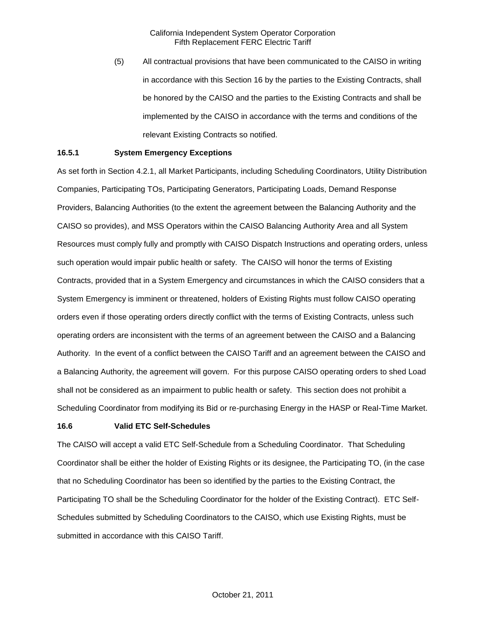(5) All contractual provisions that have been communicated to the CAISO in writing in accordance with this Section 16 by the parties to the Existing Contracts, shall be honored by the CAISO and the parties to the Existing Contracts and shall be implemented by the CAISO in accordance with the terms and conditions of the relevant Existing Contracts so notified.

### **16.5.1 System Emergency Exceptions**

As set forth in Section 4.2.1, all Market Participants, including Scheduling Coordinators, Utility Distribution Companies, Participating TOs, Participating Generators, Participating Loads, Demand Response Providers, Balancing Authorities (to the extent the agreement between the Balancing Authority and the CAISO so provides), and MSS Operators within the CAISO Balancing Authority Area and all System Resources must comply fully and promptly with CAISO Dispatch Instructions and operating orders, unless such operation would impair public health or safety. The CAISO will honor the terms of Existing Contracts, provided that in a System Emergency and circumstances in which the CAISO considers that a System Emergency is imminent or threatened, holders of Existing Rights must follow CAISO operating orders even if those operating orders directly conflict with the terms of Existing Contracts, unless such operating orders are inconsistent with the terms of an agreement between the CAISO and a Balancing Authority. In the event of a conflict between the CAISO Tariff and an agreement between the CAISO and a Balancing Authority, the agreement will govern. For this purpose CAISO operating orders to shed Load shall not be considered as an impairment to public health or safety. This section does not prohibit a Scheduling Coordinator from modifying its Bid or re-purchasing Energy in the HASP or Real-Time Market.

#### **16.6 Valid ETC Self-Schedules**

The CAISO will accept a valid ETC Self-Schedule from a Scheduling Coordinator. That Scheduling Coordinator shall be either the holder of Existing Rights or its designee, the Participating TO, (in the case that no Scheduling Coordinator has been so identified by the parties to the Existing Contract, the Participating TO shall be the Scheduling Coordinator for the holder of the Existing Contract). ETC Self-Schedules submitted by Scheduling Coordinators to the CAISO, which use Existing Rights, must be submitted in accordance with this CAISO Tariff.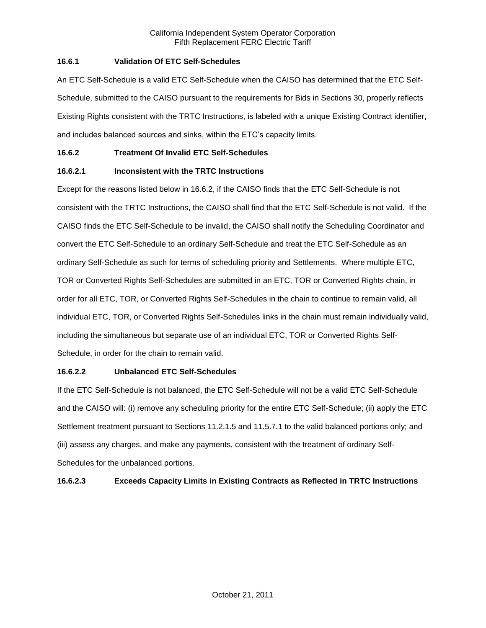## **16.6.1 Validation Of ETC Self-Schedules**

An ETC Self-Schedule is a valid ETC Self-Schedule when the CAISO has determined that the ETC Self-Schedule, submitted to the CAISO pursuant to the requirements for Bids in Sections 30, properly reflects Existing Rights consistent with the TRTC Instructions, is labeled with a unique Existing Contract identifier, and includes balanced sources and sinks, within the ETC's capacity limits.

## **16.6.2 Treatment Of Invalid ETC Self-Schedules**

# **16.6.2.1 Inconsistent with the TRTC Instructions**

Except for the reasons listed below in 16.6.2, if the CAISO finds that the ETC Self-Schedule is not consistent with the TRTC Instructions, the CAISO shall find that the ETC Self-Schedule is not valid. If the CAISO finds the ETC Self-Schedule to be invalid, the CAISO shall notify the Scheduling Coordinator and convert the ETC Self-Schedule to an ordinary Self-Schedule and treat the ETC Self-Schedule as an ordinary Self-Schedule as such for terms of scheduling priority and Settlements. Where multiple ETC, TOR or Converted Rights Self-Schedules are submitted in an ETC, TOR or Converted Rights chain, in order for all ETC, TOR, or Converted Rights Self-Schedules in the chain to continue to remain valid, all individual ETC, TOR, or Converted Rights Self-Schedules links in the chain must remain individually valid, including the simultaneous but separate use of an individual ETC, TOR or Converted Rights Self-Schedule, in order for the chain to remain valid.

### **16.6.2.2 Unbalanced ETC Self-Schedules**

If the ETC Self-Schedule is not balanced, the ETC Self-Schedule will not be a valid ETC Self-Schedule and the CAISO will: (i) remove any scheduling priority for the entire ETC Self-Schedule; (ii) apply the ETC Settlement treatment pursuant to Sections 11.2.1.5 and 11.5.7.1 to the valid balanced portions only; and (iii) assess any charges, and make any payments, consistent with the treatment of ordinary Self-Schedules for the unbalanced portions.

# **16.6.2.3 Exceeds Capacity Limits in Existing Contracts as Reflected in TRTC Instructions**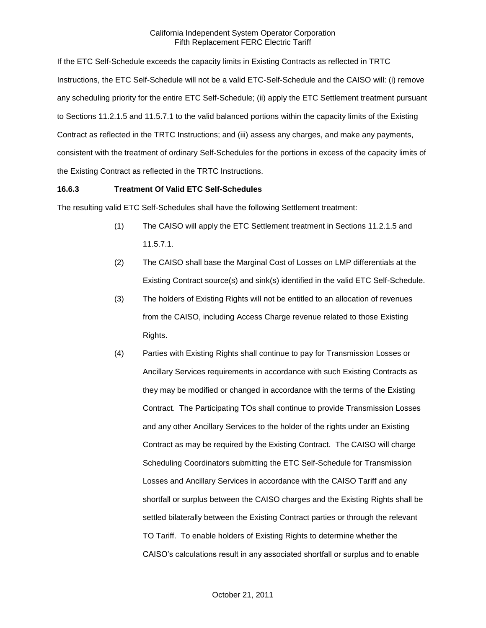If the ETC Self-Schedule exceeds the capacity limits in Existing Contracts as reflected in TRTC Instructions, the ETC Self-Schedule will not be a valid ETC-Self-Schedule and the CAISO will: (i) remove any scheduling priority for the entire ETC Self-Schedule; (ii) apply the ETC Settlement treatment pursuant to Sections 11.2.1.5 and 11.5.7.1 to the valid balanced portions within the capacity limits of the Existing Contract as reflected in the TRTC Instructions; and (iii) assess any charges, and make any payments, consistent with the treatment of ordinary Self-Schedules for the portions in excess of the capacity limits of the Existing Contract as reflected in the TRTC Instructions.

### **16.6.3 Treatment Of Valid ETC Self-Schedules**

The resulting valid ETC Self-Schedules shall have the following Settlement treatment:

- (1) The CAISO will apply the ETC Settlement treatment in Sections 11.2.1.5 and 11.5.7.1.
- (2) The CAISO shall base the Marginal Cost of Losses on LMP differentials at the Existing Contract source(s) and sink(s) identified in the valid ETC Self-Schedule.
- (3) The holders of Existing Rights will not be entitled to an allocation of revenues from the CAISO, including Access Charge revenue related to those Existing Rights.
- (4) Parties with Existing Rights shall continue to pay for Transmission Losses or Ancillary Services requirements in accordance with such Existing Contracts as they may be modified or changed in accordance with the terms of the Existing Contract. The Participating TOs shall continue to provide Transmission Losses and any other Ancillary Services to the holder of the rights under an Existing Contract as may be required by the Existing Contract. The CAISO will charge Scheduling Coordinators submitting the ETC Self-Schedule for Transmission Losses and Ancillary Services in accordance with the CAISO Tariff and any shortfall or surplus between the CAISO charges and the Existing Rights shall be settled bilaterally between the Existing Contract parties or through the relevant TO Tariff. To enable holders of Existing Rights to determine whether the CAISO's calculations result in any associated shortfall or surplus and to enable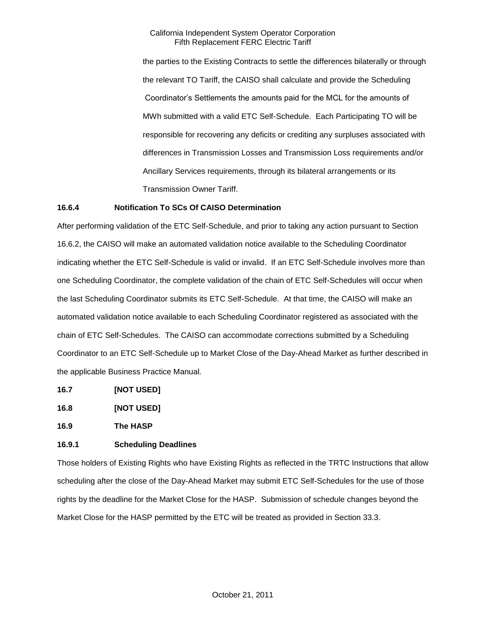the parties to the Existing Contracts to settle the differences bilaterally or through the relevant TO Tariff, the CAISO shall calculate and provide the Scheduling Coordinator's Settlements the amounts paid for the MCL for the amounts of MWh submitted with a valid ETC Self-Schedule. Each Participating TO will be responsible for recovering any deficits or crediting any surpluses associated with differences in Transmission Losses and Transmission Loss requirements and/or Ancillary Services requirements, through its bilateral arrangements or its Transmission Owner Tariff.

## **16.6.4 Notification To SCs Of CAISO Determination**

After performing validation of the ETC Self-Schedule, and prior to taking any action pursuant to Section 16.6.2, the CAISO will make an automated validation notice available to the Scheduling Coordinator indicating whether the ETC Self-Schedule is valid or invalid. If an ETC Self-Schedule involves more than one Scheduling Coordinator, the complete validation of the chain of ETC Self-Schedules will occur when the last Scheduling Coordinator submits its ETC Self-Schedule. At that time, the CAISO will make an automated validation notice available to each Scheduling Coordinator registered as associated with the chain of ETC Self-Schedules. The CAISO can accommodate corrections submitted by a Scheduling Coordinator to an ETC Self-Schedule up to Market Close of the Day-Ahead Market as further described in the applicable Business Practice Manual.

- **16.7 [NOT USED]**
- **16.8 [NOT USED]**

**16.9 The HASP**

### **16.9.1 Scheduling Deadlines**

Those holders of Existing Rights who have Existing Rights as reflected in the TRTC Instructions that allow scheduling after the close of the Day-Ahead Market may submit ETC Self-Schedules for the use of those rights by the deadline for the Market Close for the HASP. Submission of schedule changes beyond the Market Close for the HASP permitted by the ETC will be treated as provided in Section 33.3.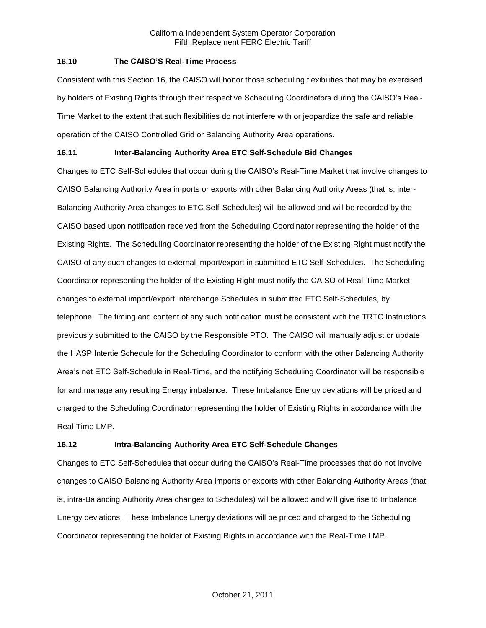### **16.10 The CAISO'S Real-Time Process**

Consistent with this Section 16, the CAISO will honor those scheduling flexibilities that may be exercised by holders of Existing Rights through their respective Scheduling Coordinators during the CAISO's Real-Time Market to the extent that such flexibilities do not interfere with or jeopardize the safe and reliable operation of the CAISO Controlled Grid or Balancing Authority Area operations.

# **16.11 Inter-Balancing Authority Area ETC Self-Schedule Bid Changes**

Changes to ETC Self-Schedules that occur during the CAISO's Real-Time Market that involve changes to CAISO Balancing Authority Area imports or exports with other Balancing Authority Areas (that is, inter-Balancing Authority Area changes to ETC Self-Schedules) will be allowed and will be recorded by the CAISO based upon notification received from the Scheduling Coordinator representing the holder of the Existing Rights. The Scheduling Coordinator representing the holder of the Existing Right must notify the CAISO of any such changes to external import/export in submitted ETC Self-Schedules. The Scheduling Coordinator representing the holder of the Existing Right must notify the CAISO of Real-Time Market changes to external import/export Interchange Schedules in submitted ETC Self-Schedules, by telephone. The timing and content of any such notification must be consistent with the TRTC Instructions previously submitted to the CAISO by the Responsible PTO. The CAISO will manually adjust or update the HASP Intertie Schedule for the Scheduling Coordinator to conform with the other Balancing Authority Area's net ETC Self-Schedule in Real-Time, and the notifying Scheduling Coordinator will be responsible for and manage any resulting Energy imbalance. These Imbalance Energy deviations will be priced and charged to the Scheduling Coordinator representing the holder of Existing Rights in accordance with the Real-Time LMP.

# **16.12 Intra-Balancing Authority Area ETC Self-Schedule Changes**

Changes to ETC Self-Schedules that occur during the CAISO's Real-Time processes that do not involve changes to CAISO Balancing Authority Area imports or exports with other Balancing Authority Areas (that is, intra-Balancing Authority Area changes to Schedules) will be allowed and will give rise to Imbalance Energy deviations. These Imbalance Energy deviations will be priced and charged to the Scheduling Coordinator representing the holder of Existing Rights in accordance with the Real-Time LMP.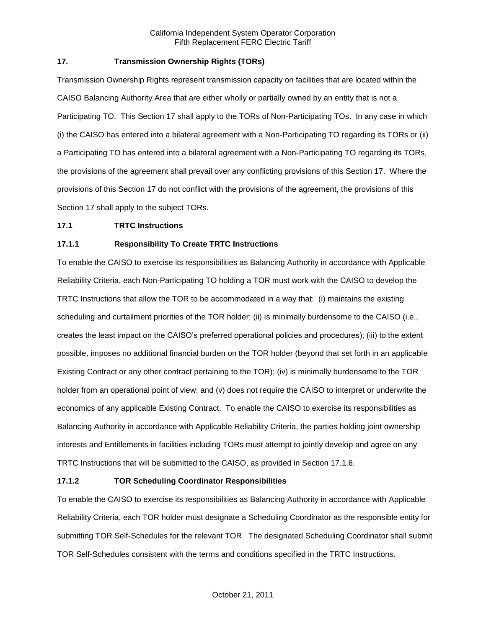## **17. Transmission Ownership Rights (TORs)**

Transmission Ownership Rights represent transmission capacity on facilities that are located within the CAISO Balancing Authority Area that are either wholly or partially owned by an entity that is not a Participating TO. This Section 17 shall apply to the TORs of Non-Participating TOs. In any case in which (i) the CAISO has entered into a bilateral agreement with a Non-Participating TO regarding its TORs or (ii) a Participating TO has entered into a bilateral agreement with a Non-Participating TO regarding its TORs, the provisions of the agreement shall prevail over any conflicting provisions of this Section 17. Where the provisions of this Section 17 do not conflict with the provisions of the agreement, the provisions of this Section 17 shall apply to the subject TORs.

### **17.1 TRTC Instructions**

## **17.1.1 Responsibility To Create TRTC Instructions**

To enable the CAISO to exercise its responsibilities as Balancing Authority in accordance with Applicable Reliability Criteria, each Non-Participating TO holding a TOR must work with the CAISO to develop the TRTC Instructions that allow the TOR to be accommodated in a way that: (i) maintains the existing scheduling and curtailment priorities of the TOR holder; (ii) is minimally burdensome to the CAISO (i.e., creates the least impact on the CAISO's preferred operational policies and procedures); (iii) to the extent possible, imposes no additional financial burden on the TOR holder (beyond that set forth in an applicable Existing Contract or any other contract pertaining to the TOR); (iv) is minimally burdensome to the TOR holder from an operational point of view; and (v) does not require the CAISO to interpret or underwrite the economics of any applicable Existing Contract. To enable the CAISO to exercise its responsibilities as Balancing Authority in accordance with Applicable Reliability Criteria, the parties holding joint ownership interests and Entitlements in facilities including TORs must attempt to jointly develop and agree on any TRTC Instructions that will be submitted to the CAISO, as provided in Section 17.1.6.

### **17.1.2 TOR Scheduling Coordinator Responsibilities**

To enable the CAISO to exercise its responsibilities as Balancing Authority in accordance with Applicable Reliability Criteria, each TOR holder must designate a Scheduling Coordinator as the responsible entity for submitting TOR Self-Schedules for the relevant TOR. The designated Scheduling Coordinator shall submit TOR Self-Schedules consistent with the terms and conditions specified in the TRTC Instructions.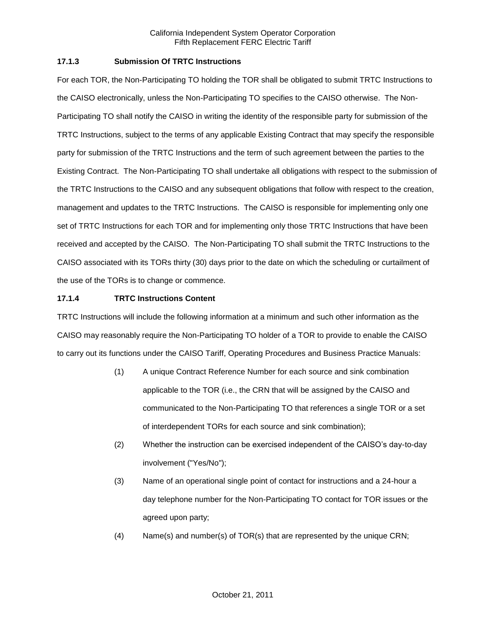## **17.1.3 Submission Of TRTC Instructions**

For each TOR, the Non-Participating TO holding the TOR shall be obligated to submit TRTC Instructions to the CAISO electronically, unless the Non-Participating TO specifies to the CAISO otherwise. The Non-Participating TO shall notify the CAISO in writing the identity of the responsible party for submission of the TRTC Instructions, subject to the terms of any applicable Existing Contract that may specify the responsible party for submission of the TRTC Instructions and the term of such agreement between the parties to the Existing Contract. The Non-Participating TO shall undertake all obligations with respect to the submission of the TRTC Instructions to the CAISO and any subsequent obligations that follow with respect to the creation, management and updates to the TRTC Instructions. The CAISO is responsible for implementing only one set of TRTC Instructions for each TOR and for implementing only those TRTC Instructions that have been received and accepted by the CAISO. The Non-Participating TO shall submit the TRTC Instructions to the CAISO associated with its TORs thirty (30) days prior to the date on which the scheduling or curtailment of the use of the TORs is to change or commence.

## **17.1.4 TRTC Instructions Content**

TRTC Instructions will include the following information at a minimum and such other information as the CAISO may reasonably require the Non-Participating TO holder of a TOR to provide to enable the CAISO to carry out its functions under the CAISO Tariff, Operating Procedures and Business Practice Manuals:

- (1) A unique Contract Reference Number for each source and sink combination applicable to the TOR (i.e., the CRN that will be assigned by the CAISO and communicated to the Non-Participating TO that references a single TOR or a set of interdependent TORs for each source and sink combination);
- (2) Whether the instruction can be exercised independent of the CAISO's day-to-day involvement ("Yes/No");
- (3) Name of an operational single point of contact for instructions and a 24-hour a day telephone number for the Non-Participating TO contact for TOR issues or the agreed upon party;
- (4) Name(s) and number(s) of TOR(s) that are represented by the unique CRN;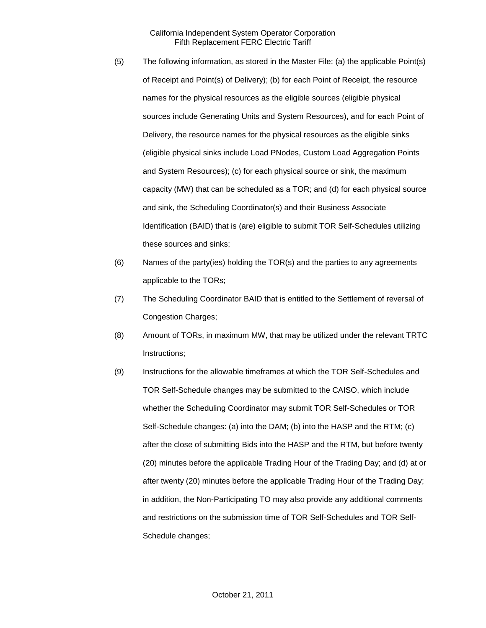- (5) The following information, as stored in the Master File: (a) the applicable Point(s) of Receipt and Point(s) of Delivery); (b) for each Point of Receipt, the resource names for the physical resources as the eligible sources (eligible physical sources include Generating Units and System Resources), and for each Point of Delivery, the resource names for the physical resources as the eligible sinks (eligible physical sinks include Load PNodes, Custom Load Aggregation Points and System Resources); (c) for each physical source or sink, the maximum capacity (MW) that can be scheduled as a TOR; and (d) for each physical source and sink, the Scheduling Coordinator(s) and their Business Associate Identification (BAID) that is (are) eligible to submit TOR Self-Schedules utilizing these sources and sinks;
- (6) Names of the party(ies) holding the TOR(s) and the parties to any agreements applicable to the TORs;
- (7) The Scheduling Coordinator BAID that is entitled to the Settlement of reversal of Congestion Charges;
- (8) Amount of TORs, in maximum MW, that may be utilized under the relevant TRTC Instructions;
- (9) Instructions for the allowable timeframes at which the TOR Self-Schedules and TOR Self-Schedule changes may be submitted to the CAISO, which include whether the Scheduling Coordinator may submit TOR Self-Schedules or TOR Self-Schedule changes: (a) into the DAM; (b) into the HASP and the RTM; (c) after the close of submitting Bids into the HASP and the RTM, but before twenty (20) minutes before the applicable Trading Hour of the Trading Day; and (d) at or after twenty (20) minutes before the applicable Trading Hour of the Trading Day; in addition, the Non-Participating TO may also provide any additional comments and restrictions on the submission time of TOR Self-Schedules and TOR Self-Schedule changes;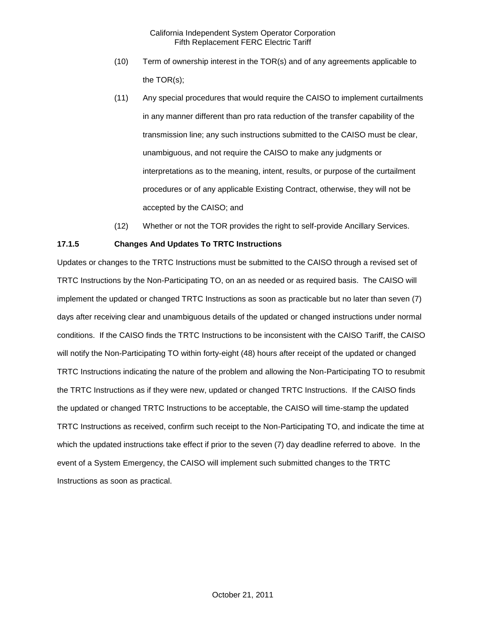- (10) Term of ownership interest in the TOR(s) and of any agreements applicable to the TOR(s);
- (11) Any special procedures that would require the CAISO to implement curtailments in any manner different than pro rata reduction of the transfer capability of the transmission line; any such instructions submitted to the CAISO must be clear, unambiguous, and not require the CAISO to make any judgments or interpretations as to the meaning, intent, results, or purpose of the curtailment procedures or of any applicable Existing Contract, otherwise, they will not be accepted by the CAISO; and
- (12) Whether or not the TOR provides the right to self-provide Ancillary Services.

## **17.1.5 Changes And Updates To TRTC Instructions**

Updates or changes to the TRTC Instructions must be submitted to the CAISO through a revised set of TRTC Instructions by the Non-Participating TO, on an as needed or as required basis. The CAISO will implement the updated or changed TRTC Instructions as soon as practicable but no later than seven (7) days after receiving clear and unambiguous details of the updated or changed instructions under normal conditions. If the CAISO finds the TRTC Instructions to be inconsistent with the CAISO Tariff, the CAISO will notify the Non-Participating TO within forty-eight (48) hours after receipt of the updated or changed TRTC Instructions indicating the nature of the problem and allowing the Non-Participating TO to resubmit the TRTC Instructions as if they were new, updated or changed TRTC Instructions. If the CAISO finds the updated or changed TRTC Instructions to be acceptable, the CAISO will time-stamp the updated TRTC Instructions as received, confirm such receipt to the Non-Participating TO, and indicate the time at which the updated instructions take effect if prior to the seven (7) day deadline referred to above. In the event of a System Emergency, the CAISO will implement such submitted changes to the TRTC Instructions as soon as practical.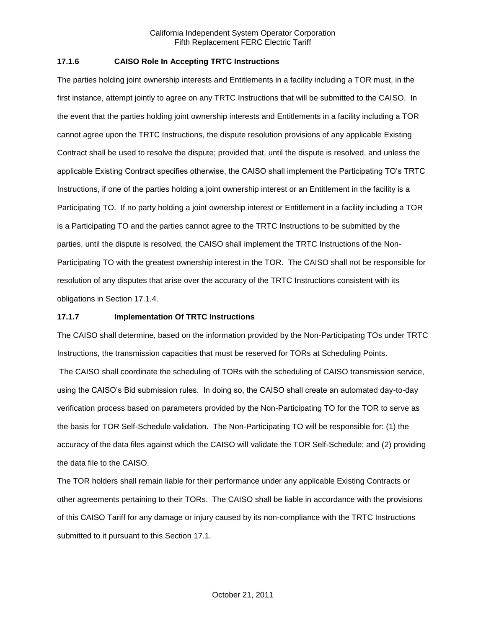### **17.1.6 CAISO Role In Accepting TRTC Instructions**

The parties holding joint ownership interests and Entitlements in a facility including a TOR must, in the first instance, attempt jointly to agree on any TRTC Instructions that will be submitted to the CAISO. In the event that the parties holding joint ownership interests and Entitlements in a facility including a TOR cannot agree upon the TRTC Instructions, the dispute resolution provisions of any applicable Existing Contract shall be used to resolve the dispute; provided that, until the dispute is resolved, and unless the applicable Existing Contract specifies otherwise, the CAISO shall implement the Participating TO's TRTC Instructions, if one of the parties holding a joint ownership interest or an Entitlement in the facility is a Participating TO. If no party holding a joint ownership interest or Entitlement in a facility including a TOR is a Participating TO and the parties cannot agree to the TRTC Instructions to be submitted by the parties, until the dispute is resolved, the CAISO shall implement the TRTC Instructions of the Non-Participating TO with the greatest ownership interest in the TOR. The CAISO shall not be responsible for resolution of any disputes that arise over the accuracy of the TRTC Instructions consistent with its obligations in Section 17.1.4.

### **17.1.7 Implementation Of TRTC Instructions**

The CAISO shall determine, based on the information provided by the Non-Participating TOs under TRTC Instructions, the transmission capacities that must be reserved for TORs at Scheduling Points.

The CAISO shall coordinate the scheduling of TORs with the scheduling of CAISO transmission service, using the CAISO's Bid submission rules. In doing so, the CAISO shall create an automated day-to-day verification process based on parameters provided by the Non-Participating TO for the TOR to serve as the basis for TOR Self-Schedule validation. The Non-Participating TO will be responsible for: (1) the accuracy of the data files against which the CAISO will validate the TOR Self-Schedule; and (2) providing the data file to the CAISO.

The TOR holders shall remain liable for their performance under any applicable Existing Contracts or other agreements pertaining to their TORs. The CAISO shall be liable in accordance with the provisions of this CAISO Tariff for any damage or injury caused by its non-compliance with the TRTC Instructions submitted to it pursuant to this Section 17.1.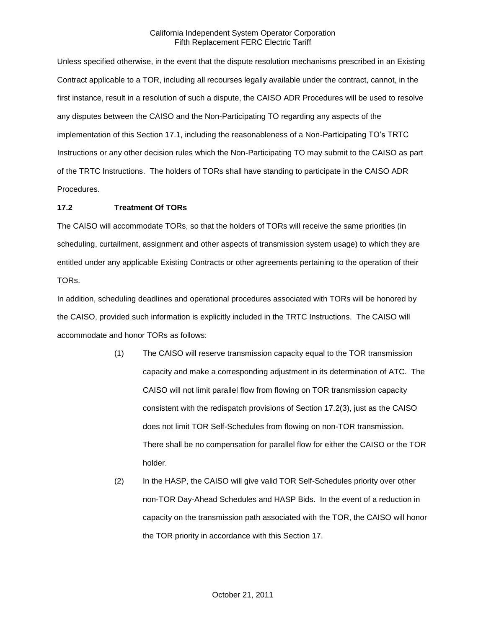Unless specified otherwise, in the event that the dispute resolution mechanisms prescribed in an Existing Contract applicable to a TOR, including all recourses legally available under the contract, cannot, in the first instance, result in a resolution of such a dispute, the CAISO ADR Procedures will be used to resolve any disputes between the CAISO and the Non-Participating TO regarding any aspects of the implementation of this Section 17.1, including the reasonableness of a Non-Participating TO's TRTC Instructions or any other decision rules which the Non-Participating TO may submit to the CAISO as part of the TRTC Instructions. The holders of TORs shall have standing to participate in the CAISO ADR Procedures.

# **17.2 Treatment Of TORs**

The CAISO will accommodate TORs, so that the holders of TORs will receive the same priorities (in scheduling, curtailment, assignment and other aspects of transmission system usage) to which they are entitled under any applicable Existing Contracts or other agreements pertaining to the operation of their TORs.

In addition, scheduling deadlines and operational procedures associated with TORs will be honored by the CAISO, provided such information is explicitly included in the TRTC Instructions. The CAISO will accommodate and honor TORs as follows:

- (1) The CAISO will reserve transmission capacity equal to the TOR transmission capacity and make a corresponding adjustment in its determination of ATC. The CAISO will not limit parallel flow from flowing on TOR transmission capacity consistent with the redispatch provisions of Section 17.2(3), just as the CAISO does not limit TOR Self-Schedules from flowing on non-TOR transmission. There shall be no compensation for parallel flow for either the CAISO or the TOR holder.
- (2) In the HASP, the CAISO will give valid TOR Self-Schedules priority over other non-TOR Day-Ahead Schedules and HASP Bids. In the event of a reduction in capacity on the transmission path associated with the TOR, the CAISO will honor the TOR priority in accordance with this Section 17.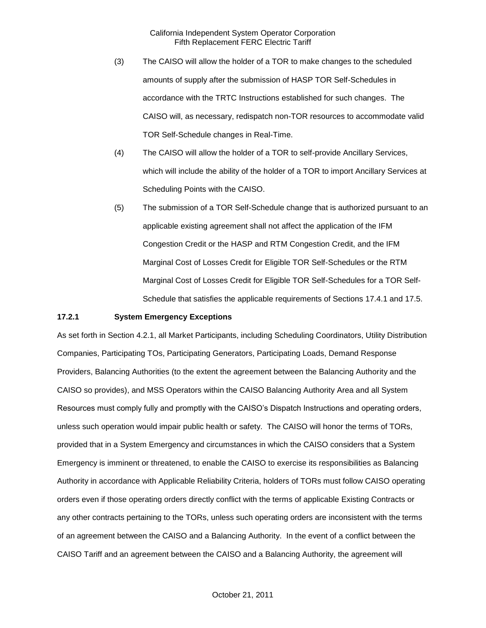- (3) The CAISO will allow the holder of a TOR to make changes to the scheduled amounts of supply after the submission of HASP TOR Self-Schedules in accordance with the TRTC Instructions established for such changes. The CAISO will, as necessary, redispatch non-TOR resources to accommodate valid TOR Self-Schedule changes in Real-Time.
- (4) The CAISO will allow the holder of a TOR to self-provide Ancillary Services, which will include the ability of the holder of a TOR to import Ancillary Services at Scheduling Points with the CAISO.
- (5) The submission of a TOR Self-Schedule change that is authorized pursuant to an applicable existing agreement shall not affect the application of the IFM Congestion Credit or the HASP and RTM Congestion Credit, and the IFM Marginal Cost of Losses Credit for Eligible TOR Self-Schedules or the RTM Marginal Cost of Losses Credit for Eligible TOR Self-Schedules for a TOR Self-Schedule that satisfies the applicable requirements of Sections 17.4.1 and 17.5.

#### **17.2.1 System Emergency Exceptions**

As set forth in Section 4.2.1, all Market Participants, including Scheduling Coordinators, Utility Distribution Companies, Participating TOs, Participating Generators, Participating Loads, Demand Response Providers, Balancing Authorities (to the extent the agreement between the Balancing Authority and the CAISO so provides), and MSS Operators within the CAISO Balancing Authority Area and all System Resources must comply fully and promptly with the CAISO's Dispatch Instructions and operating orders, unless such operation would impair public health or safety. The CAISO will honor the terms of TORs, provided that in a System Emergency and circumstances in which the CAISO considers that a System Emergency is imminent or threatened, to enable the CAISO to exercise its responsibilities as Balancing Authority in accordance with Applicable Reliability Criteria, holders of TORs must follow CAISO operating orders even if those operating orders directly conflict with the terms of applicable Existing Contracts or any other contracts pertaining to the TORs, unless such operating orders are inconsistent with the terms of an agreement between the CAISO and a Balancing Authority. In the event of a conflict between the CAISO Tariff and an agreement between the CAISO and a Balancing Authority, the agreement will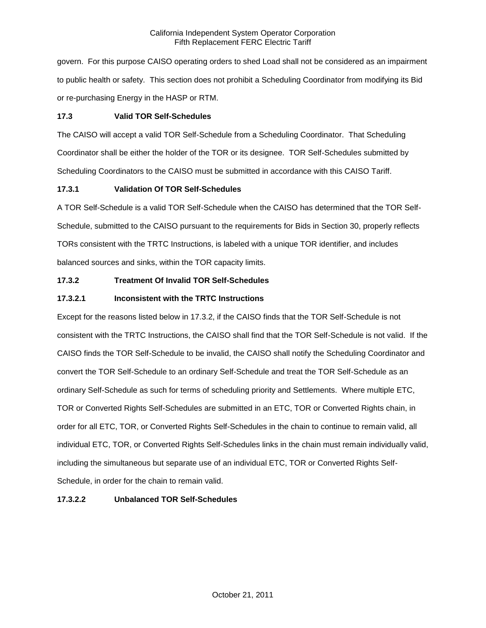govern. For this purpose CAISO operating orders to shed Load shall not be considered as an impairment to public health or safety. This section does not prohibit a Scheduling Coordinator from modifying its Bid or re-purchasing Energy in the HASP or RTM.

## **17.3 Valid TOR Self-Schedules**

The CAISO will accept a valid TOR Self-Schedule from a Scheduling Coordinator. That Scheduling Coordinator shall be either the holder of the TOR or its designee. TOR Self-Schedules submitted by Scheduling Coordinators to the CAISO must be submitted in accordance with this CAISO Tariff.

# **17.3.1 Validation Of TOR Self-Schedules**

A TOR Self-Schedule is a valid TOR Self-Schedule when the CAISO has determined that the TOR Self-Schedule, submitted to the CAISO pursuant to the requirements for Bids in Section 30, properly reflects TORs consistent with the TRTC Instructions, is labeled with a unique TOR identifier, and includes balanced sources and sinks, within the TOR capacity limits.

# **17.3.2 Treatment Of Invalid TOR Self-Schedules**

# **17.3.2.1 Inconsistent with the TRTC Instructions**

Except for the reasons listed below in 17.3.2, if the CAISO finds that the TOR Self-Schedule is not consistent with the TRTC Instructions, the CAISO shall find that the TOR Self-Schedule is not valid. If the CAISO finds the TOR Self-Schedule to be invalid, the CAISO shall notify the Scheduling Coordinator and convert the TOR Self-Schedule to an ordinary Self-Schedule and treat the TOR Self-Schedule as an ordinary Self-Schedule as such for terms of scheduling priority and Settlements. Where multiple ETC, TOR or Converted Rights Self-Schedules are submitted in an ETC, TOR or Converted Rights chain, in order for all ETC, TOR, or Converted Rights Self-Schedules in the chain to continue to remain valid, all individual ETC, TOR, or Converted Rights Self-Schedules links in the chain must remain individually valid, including the simultaneous but separate use of an individual ETC, TOR or Converted Rights Self-Schedule, in order for the chain to remain valid.

# **17.3.2.2 Unbalanced TOR Self-Schedules**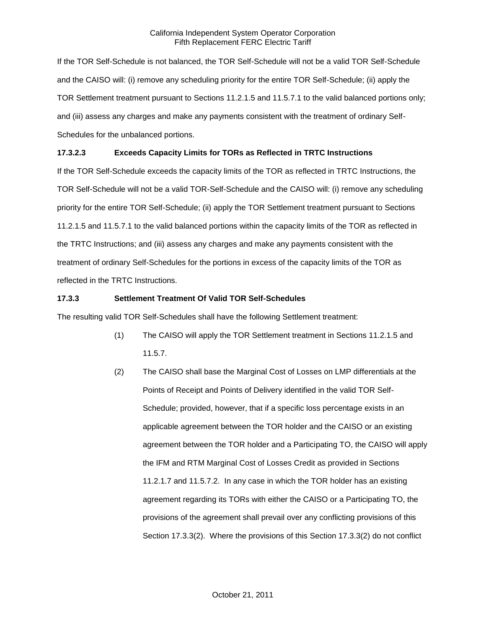If the TOR Self-Schedule is not balanced, the TOR Self-Schedule will not be a valid TOR Self-Schedule and the CAISO will: (i) remove any scheduling priority for the entire TOR Self-Schedule; (ii) apply the TOR Settlement treatment pursuant to Sections 11.2.1.5 and 11.5.7.1 to the valid balanced portions only; and (iii) assess any charges and make any payments consistent with the treatment of ordinary Self-Schedules for the unbalanced portions.

# **17.3.2.3 Exceeds Capacity Limits for TORs as Reflected in TRTC Instructions**

If the TOR Self-Schedule exceeds the capacity limits of the TOR as reflected in TRTC Instructions, the TOR Self-Schedule will not be a valid TOR-Self-Schedule and the CAISO will: (i) remove any scheduling priority for the entire TOR Self-Schedule; (ii) apply the TOR Settlement treatment pursuant to Sections 11.2.1.5 and 11.5.7.1 to the valid balanced portions within the capacity limits of the TOR as reflected in the TRTC Instructions; and (iii) assess any charges and make any payments consistent with the treatment of ordinary Self-Schedules for the portions in excess of the capacity limits of the TOR as reflected in the TRTC Instructions.

# **17.3.3 Settlement Treatment Of Valid TOR Self-Schedules**

The resulting valid TOR Self-Schedules shall have the following Settlement treatment:

- (1) The CAISO will apply the TOR Settlement treatment in Sections 11.2.1.5 and 11.5.7.
- (2) The CAISO shall base the Marginal Cost of Losses on LMP differentials at the Points of Receipt and Points of Delivery identified in the valid TOR Self-Schedule; provided, however, that if a specific loss percentage exists in an applicable agreement between the TOR holder and the CAISO or an existing agreement between the TOR holder and a Participating TO, the CAISO will apply the IFM and RTM Marginal Cost of Losses Credit as provided in Sections 11.2.1.7 and 11.5.7.2. In any case in which the TOR holder has an existing agreement regarding its TORs with either the CAISO or a Participating TO, the provisions of the agreement shall prevail over any conflicting provisions of this Section 17.3.3(2). Where the provisions of this Section 17.3.3(2) do not conflict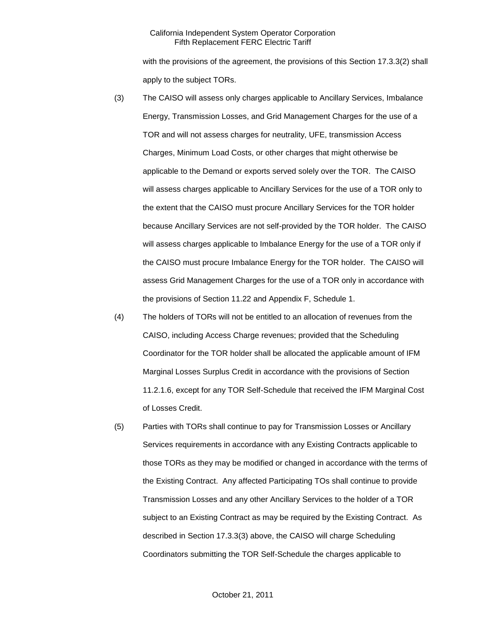with the provisions of the agreement, the provisions of this Section 17.3.3(2) shall apply to the subject TORs.

- (3) The CAISO will assess only charges applicable to Ancillary Services, Imbalance Energy, Transmission Losses, and Grid Management Charges for the use of a TOR and will not assess charges for neutrality, UFE, transmission Access Charges, Minimum Load Costs, or other charges that might otherwise be applicable to the Demand or exports served solely over the TOR. The CAISO will assess charges applicable to Ancillary Services for the use of a TOR only to the extent that the CAISO must procure Ancillary Services for the TOR holder because Ancillary Services are not self-provided by the TOR holder. The CAISO will assess charges applicable to Imbalance Energy for the use of a TOR only if the CAISO must procure Imbalance Energy for the TOR holder. The CAISO will assess Grid Management Charges for the use of a TOR only in accordance with the provisions of Section 11.22 and Appendix F, Schedule 1.
- (4) The holders of TORs will not be entitled to an allocation of revenues from the CAISO, including Access Charge revenues; provided that the Scheduling Coordinator for the TOR holder shall be allocated the applicable amount of IFM Marginal Losses Surplus Credit in accordance with the provisions of Section 11.2.1.6, except for any TOR Self-Schedule that received the IFM Marginal Cost of Losses Credit.
- (5) Parties with TORs shall continue to pay for Transmission Losses or Ancillary Services requirements in accordance with any Existing Contracts applicable to those TORs as they may be modified or changed in accordance with the terms of the Existing Contract. Any affected Participating TOs shall continue to provide Transmission Losses and any other Ancillary Services to the holder of a TOR subject to an Existing Contract as may be required by the Existing Contract. As described in Section 17.3.3(3) above, the CAISO will charge Scheduling Coordinators submitting the TOR Self-Schedule the charges applicable to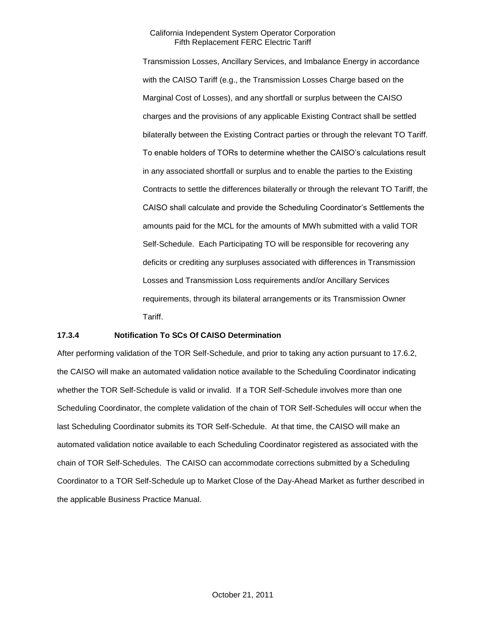Transmission Losses, Ancillary Services, and Imbalance Energy in accordance with the CAISO Tariff (e.g., the Transmission Losses Charge based on the Marginal Cost of Losses), and any shortfall or surplus between the CAISO charges and the provisions of any applicable Existing Contract shall be settled bilaterally between the Existing Contract parties or through the relevant TO Tariff. To enable holders of TORs to determine whether the CAISO's calculations result in any associated shortfall or surplus and to enable the parties to the Existing Contracts to settle the differences bilaterally or through the relevant TO Tariff, the CAISO shall calculate and provide the Scheduling Coordinator's Settlements the amounts paid for the MCL for the amounts of MWh submitted with a valid TOR Self-Schedule. Each Participating TO will be responsible for recovering any deficits or crediting any surpluses associated with differences in Transmission Losses and Transmission Loss requirements and/or Ancillary Services requirements, through its bilateral arrangements or its Transmission Owner Tariff.

### **17.3.4 Notification To SCs Of CAISO Determination**

After performing validation of the TOR Self-Schedule, and prior to taking any action pursuant to 17.6.2, the CAISO will make an automated validation notice available to the Scheduling Coordinator indicating whether the TOR Self-Schedule is valid or invalid. If a TOR Self-Schedule involves more than one Scheduling Coordinator, the complete validation of the chain of TOR Self-Schedules will occur when the last Scheduling Coordinator submits its TOR Self-Schedule. At that time, the CAISO will make an automated validation notice available to each Scheduling Coordinator registered as associated with the chain of TOR Self-Schedules. The CAISO can accommodate corrections submitted by a Scheduling Coordinator to a TOR Self-Schedule up to Market Close of the Day-Ahead Market as further described in the applicable Business Practice Manual.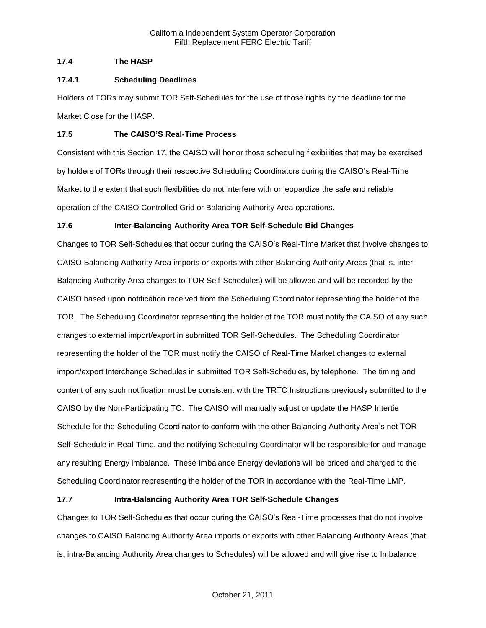## **17.4 The HASP**

## **17.4.1 Scheduling Deadlines**

Holders of TORs may submit TOR Self-Schedules for the use of those rights by the deadline for the Market Close for the HASP.

## **17.5 The CAISO'S Real-Time Process**

Consistent with this Section 17, the CAISO will honor those scheduling flexibilities that may be exercised by holders of TORs through their respective Scheduling Coordinators during the CAISO's Real-Time Market to the extent that such flexibilities do not interfere with or jeopardize the safe and reliable operation of the CAISO Controlled Grid or Balancing Authority Area operations.

# **17.6 Inter-Balancing Authority Area TOR Self-Schedule Bid Changes**

Changes to TOR Self-Schedules that occur during the CAISO's Real-Time Market that involve changes to CAISO Balancing Authority Area imports or exports with other Balancing Authority Areas (that is, inter-Balancing Authority Area changes to TOR Self-Schedules) will be allowed and will be recorded by the CAISO based upon notification received from the Scheduling Coordinator representing the holder of the TOR. The Scheduling Coordinator representing the holder of the TOR must notify the CAISO of any such changes to external import/export in submitted TOR Self-Schedules. The Scheduling Coordinator representing the holder of the TOR must notify the CAISO of Real-Time Market changes to external import/export Interchange Schedules in submitted TOR Self-Schedules, by telephone. The timing and content of any such notification must be consistent with the TRTC Instructions previously submitted to the CAISO by the Non-Participating TO. The CAISO will manually adjust or update the HASP Intertie Schedule for the Scheduling Coordinator to conform with the other Balancing Authority Area's net TOR Self-Schedule in Real-Time, and the notifying Scheduling Coordinator will be responsible for and manage any resulting Energy imbalance. These Imbalance Energy deviations will be priced and charged to the Scheduling Coordinator representing the holder of the TOR in accordance with the Real-Time LMP.

# **17.7 Intra-Balancing Authority Area TOR Self-Schedule Changes**

Changes to TOR Self-Schedules that occur during the CAISO's Real-Time processes that do not involve changes to CAISO Balancing Authority Area imports or exports with other Balancing Authority Areas (that is, intra-Balancing Authority Area changes to Schedules) will be allowed and will give rise to Imbalance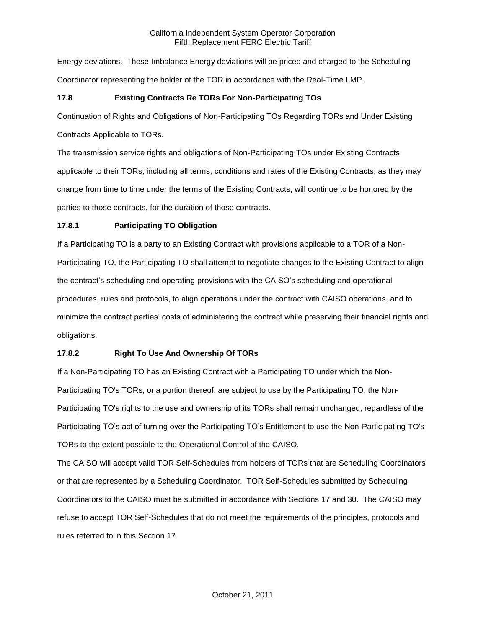Energy deviations. These Imbalance Energy deviations will be priced and charged to the Scheduling Coordinator representing the holder of the TOR in accordance with the Real-Time LMP.

# **17.8 Existing Contracts Re TORs For Non-Participating TOs**

Continuation of Rights and Obligations of Non-Participating TOs Regarding TORs and Under Existing

Contracts Applicable to TORs.

The transmission service rights and obligations of Non-Participating TOs under Existing Contracts applicable to their TORs, including all terms, conditions and rates of the Existing Contracts, as they may change from time to time under the terms of the Existing Contracts, will continue to be honored by the parties to those contracts, for the duration of those contracts.

# **17.8.1 Participating TO Obligation**

If a Participating TO is a party to an Existing Contract with provisions applicable to a TOR of a Non-Participating TO, the Participating TO shall attempt to negotiate changes to the Existing Contract to align the contract's scheduling and operating provisions with the CAISO's scheduling and operational procedures, rules and protocols, to align operations under the contract with CAISO operations, and to minimize the contract parties' costs of administering the contract while preserving their financial rights and obligations.

# **17.8.2 Right To Use And Ownership Of TORs**

If a Non-Participating TO has an Existing Contract with a Participating TO under which the Non-Participating TO's TORs, or a portion thereof, are subject to use by the Participating TO, the Non-Participating TO's rights to the use and ownership of its TORs shall remain unchanged, regardless of the Participating TO's act of turning over the Participating TO's Entitlement to use the Non-Participating TO's TORs to the extent possible to the Operational Control of the CAISO.

The CAISO will accept valid TOR Self-Schedules from holders of TORs that are Scheduling Coordinators or that are represented by a Scheduling Coordinator. TOR Self-Schedules submitted by Scheduling Coordinators to the CAISO must be submitted in accordance with Sections 17 and 30. The CAISO may refuse to accept TOR Self-Schedules that do not meet the requirements of the principles, protocols and rules referred to in this Section 17.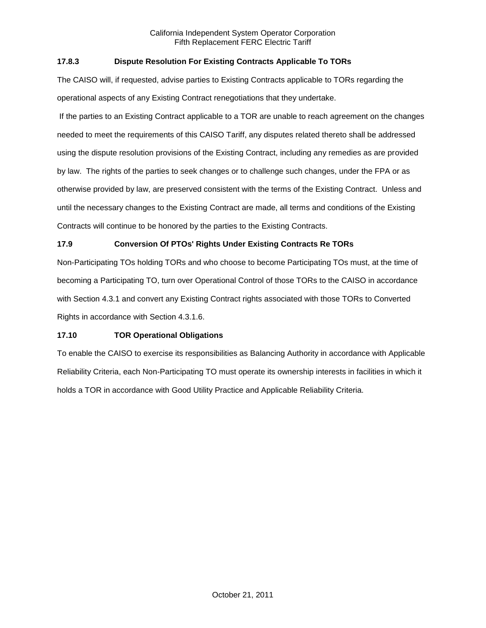# **17.8.3 Dispute Resolution For Existing Contracts Applicable To TORs**

The CAISO will, if requested, advise parties to Existing Contracts applicable to TORs regarding the operational aspects of any Existing Contract renegotiations that they undertake.

If the parties to an Existing Contract applicable to a TOR are unable to reach agreement on the changes needed to meet the requirements of this CAISO Tariff, any disputes related thereto shall be addressed using the dispute resolution provisions of the Existing Contract, including any remedies as are provided by law. The rights of the parties to seek changes or to challenge such changes, under the FPA or as otherwise provided by law, are preserved consistent with the terms of the Existing Contract. Unless and until the necessary changes to the Existing Contract are made, all terms and conditions of the Existing Contracts will continue to be honored by the parties to the Existing Contracts.

# **17.9 Conversion Of PTOs' Rights Under Existing Contracts Re TORs**

Non-Participating TOs holding TORs and who choose to become Participating TOs must, at the time of becoming a Participating TO, turn over Operational Control of those TORs to the CAISO in accordance with Section 4.3.1 and convert any Existing Contract rights associated with those TORs to Converted Rights in accordance with Section 4.3.1.6.

### **17.10 TOR Operational Obligations**

To enable the CAISO to exercise its responsibilities as Balancing Authority in accordance with Applicable Reliability Criteria, each Non-Participating TO must operate its ownership interests in facilities in which it holds a TOR in accordance with Good Utility Practice and Applicable Reliability Criteria.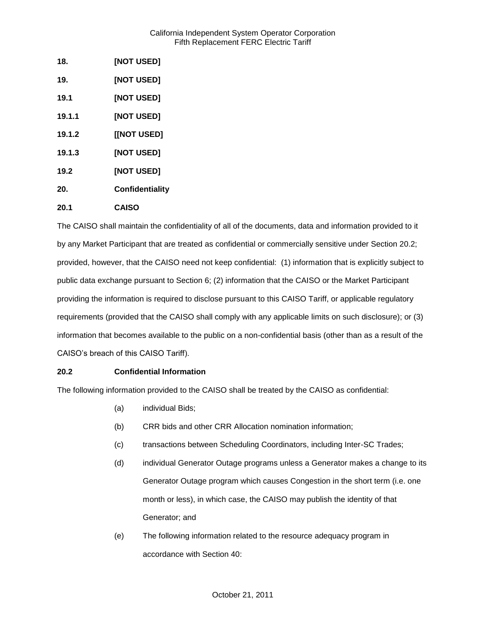| 18.    | [NOT USED]      |
|--------|-----------------|
| 19.    | [NOT USED]      |
| 19.1   | [NOT USED]      |
| 19.1.1 | [NOT USED]      |
| 19.1.2 | [[NOT USED]     |
| 19.1.3 | [NOT USED]      |
| 19.2   | [NOT USED]      |
| 20.    | Confidentiality |
| 20.1   | <b>CAISO</b>    |

The CAISO shall maintain the confidentiality of all of the documents, data and information provided to it by any Market Participant that are treated as confidential or commercially sensitive under Section 20.2; provided, however, that the CAISO need not keep confidential: (1) information that is explicitly subject to public data exchange pursuant to Section 6; (2) information that the CAISO or the Market Participant providing the information is required to disclose pursuant to this CAISO Tariff, or applicable regulatory requirements (provided that the CAISO shall comply with any applicable limits on such disclosure); or (3) information that becomes available to the public on a non-confidential basis (other than as a result of the CAISO's breach of this CAISO Tariff).

# **20.2 Confidential Information**

The following information provided to the CAISO shall be treated by the CAISO as confidential:

- (a) individual Bids;
- (b) CRR bids and other CRR Allocation nomination information;
- (c) transactions between Scheduling Coordinators, including Inter-SC Trades;
- (d) individual Generator Outage programs unless a Generator makes a change to its Generator Outage program which causes Congestion in the short term (i.e. one month or less), in which case, the CAISO may publish the identity of that Generator; and
- (e) The following information related to the resource adequacy program in accordance with Section 40: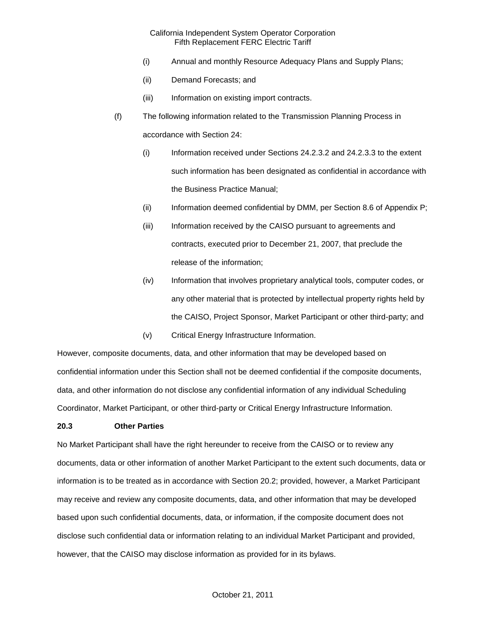- (i) Annual and monthly Resource Adequacy Plans and Supply Plans;
- (ii) Demand Forecasts; and
- (iii) Information on existing import contracts.
- (f) The following information related to the Transmission Planning Process in accordance with Section 24:
	- (i) Information received under Sections 24.2.3.2 and 24.2.3.3 to the extent such information has been designated as confidential in accordance with the Business Practice Manual;
	- (ii) Information deemed confidential by DMM, per Section 8.6 of Appendix P;
	- (iii) Information received by the CAISO pursuant to agreements and contracts, executed prior to December 21, 2007, that preclude the release of the information;
	- (iv) Information that involves proprietary analytical tools, computer codes, or any other material that is protected by intellectual property rights held by the CAISO, Project Sponsor, Market Participant or other third-party; and
	- (v) Critical Energy Infrastructure Information.

However, composite documents, data, and other information that may be developed based on confidential information under this Section shall not be deemed confidential if the composite documents, data, and other information do not disclose any confidential information of any individual Scheduling Coordinator, Market Participant, or other third-party or Critical Energy Infrastructure Information.

### **20.3 Other Parties**

No Market Participant shall have the right hereunder to receive from the CAISO or to review any documents, data or other information of another Market Participant to the extent such documents, data or information is to be treated as in accordance with Section 20.2; provided, however, a Market Participant may receive and review any composite documents, data, and other information that may be developed based upon such confidential documents, data, or information, if the composite document does not disclose such confidential data or information relating to an individual Market Participant and provided, however, that the CAISO may disclose information as provided for in its bylaws.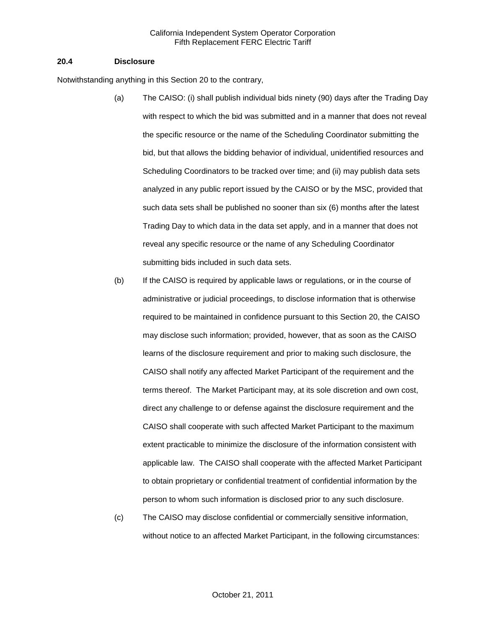#### **20.4 Disclosure**

Notwithstanding anything in this Section 20 to the contrary,

- (a) The CAISO: (i) shall publish individual bids ninety (90) days after the Trading Day with respect to which the bid was submitted and in a manner that does not reveal the specific resource or the name of the Scheduling Coordinator submitting the bid, but that allows the bidding behavior of individual, unidentified resources and Scheduling Coordinators to be tracked over time; and (ii) may publish data sets analyzed in any public report issued by the CAISO or by the MSC, provided that such data sets shall be published no sooner than six (6) months after the latest Trading Day to which data in the data set apply, and in a manner that does not reveal any specific resource or the name of any Scheduling Coordinator submitting bids included in such data sets.
- (b) If the CAISO is required by applicable laws or regulations, or in the course of administrative or judicial proceedings, to disclose information that is otherwise required to be maintained in confidence pursuant to this Section 20, the CAISO may disclose such information; provided, however, that as soon as the CAISO learns of the disclosure requirement and prior to making such disclosure, the CAISO shall notify any affected Market Participant of the requirement and the terms thereof. The Market Participant may, at its sole discretion and own cost, direct any challenge to or defense against the disclosure requirement and the CAISO shall cooperate with such affected Market Participant to the maximum extent practicable to minimize the disclosure of the information consistent with applicable law. The CAISO shall cooperate with the affected Market Participant to obtain proprietary or confidential treatment of confidential information by the person to whom such information is disclosed prior to any such disclosure.
- (c) The CAISO may disclose confidential or commercially sensitive information, without notice to an affected Market Participant, in the following circumstances: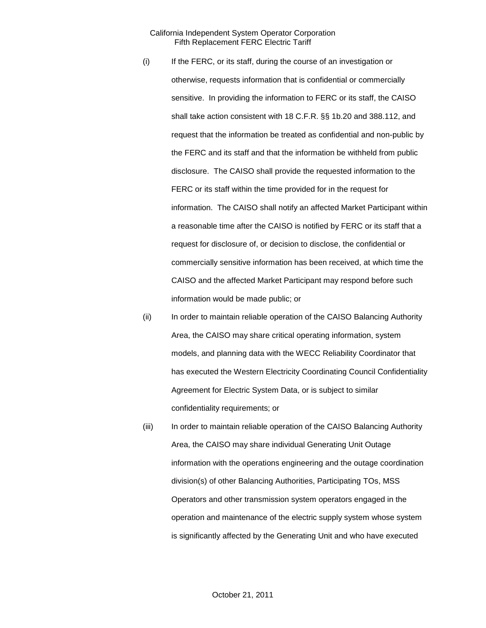- (i) If the FERC, or its staff, during the course of an investigation or otherwise, requests information that is confidential or commercially sensitive. In providing the information to FERC or its staff, the CAISO shall take action consistent with 18 C.F.R. §§ 1b.20 and 388.112, and request that the information be treated as confidential and non-public by the FERC and its staff and that the information be withheld from public disclosure. The CAISO shall provide the requested information to the FERC or its staff within the time provided for in the request for information. The CAISO shall notify an affected Market Participant within a reasonable time after the CAISO is notified by FERC or its staff that a request for disclosure of, or decision to disclose, the confidential or commercially sensitive information has been received, at which time the CAISO and the affected Market Participant may respond before such information would be made public; or
- (ii) In order to maintain reliable operation of the CAISO Balancing Authority Area, the CAISO may share critical operating information, system models, and planning data with the WECC Reliability Coordinator that has executed the Western Electricity Coordinating Council Confidentiality Agreement for Electric System Data, or is subject to similar confidentiality requirements; or
- (iii) In order to maintain reliable operation of the CAISO Balancing Authority Area, the CAISO may share individual Generating Unit Outage information with the operations engineering and the outage coordination division(s) of other Balancing Authorities, Participating TOs, MSS Operators and other transmission system operators engaged in the operation and maintenance of the electric supply system whose system is significantly affected by the Generating Unit and who have executed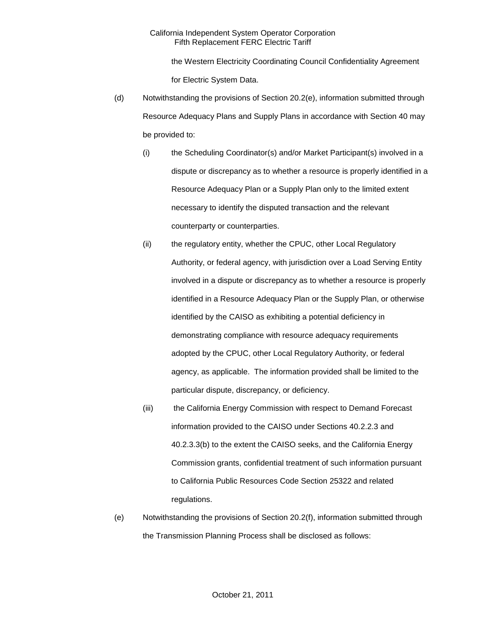the Western Electricity Coordinating Council Confidentiality Agreement for Electric System Data.

- (d) Notwithstanding the provisions of Section 20.2(e), information submitted through Resource Adequacy Plans and Supply Plans in accordance with Section 40 may be provided to:
	- (i) the Scheduling Coordinator(s) and/or Market Participant(s) involved in a dispute or discrepancy as to whether a resource is properly identified in a Resource Adequacy Plan or a Supply Plan only to the limited extent necessary to identify the disputed transaction and the relevant counterparty or counterparties.
	- (ii) the regulatory entity, whether the CPUC, other Local Regulatory Authority, or federal agency, with jurisdiction over a Load Serving Entity involved in a dispute or discrepancy as to whether a resource is properly identified in a Resource Adequacy Plan or the Supply Plan, or otherwise identified by the CAISO as exhibiting a potential deficiency in demonstrating compliance with resource adequacy requirements adopted by the CPUC, other Local Regulatory Authority, or federal agency, as applicable. The information provided shall be limited to the particular dispute, discrepancy, or deficiency.
	- (iii) the California Energy Commission with respect to Demand Forecast information provided to the CAISO under Sections 40.2.2.3 and 40.2.3.3(b) to the extent the CAISO seeks, and the California Energy Commission grants, confidential treatment of such information pursuant to California Public Resources Code Section 25322 and related regulations.
- (e) Notwithstanding the provisions of Section 20.2(f), information submitted through the Transmission Planning Process shall be disclosed as follows: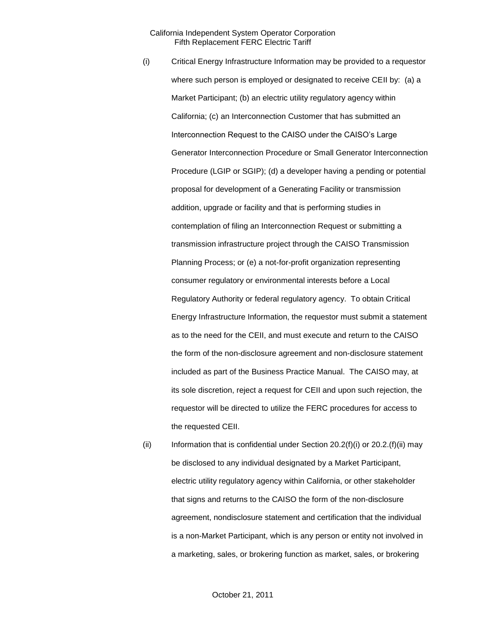- (i) Critical Energy Infrastructure Information may be provided to a requestor where such person is employed or designated to receive CEII by: (a) a Market Participant; (b) an electric utility regulatory agency within California; (c) an Interconnection Customer that has submitted an Interconnection Request to the CAISO under the CAISO's Large Generator Interconnection Procedure or Small Generator Interconnection Procedure (LGIP or SGIP); (d) a developer having a pending or potential proposal for development of a Generating Facility or transmission addition, upgrade or facility and that is performing studies in contemplation of filing an Interconnection Request or submitting a transmission infrastructure project through the CAISO Transmission Planning Process; or (e) a not-for-profit organization representing consumer regulatory or environmental interests before a Local Regulatory Authority or federal regulatory agency. To obtain Critical Energy Infrastructure Information, the requestor must submit a statement as to the need for the CEII, and must execute and return to the CAISO the form of the non-disclosure agreement and non-disclosure statement included as part of the Business Practice Manual. The CAISO may, at its sole discretion, reject a request for CEII and upon such rejection, the requestor will be directed to utilize the FERC procedures for access to the requested CEII.
- (ii) Information that is confidential under Section  $20.2(f)(i)$  or  $20.2(f)(ii)$  may be disclosed to any individual designated by a Market Participant, electric utility regulatory agency within California, or other stakeholder that signs and returns to the CAISO the form of the non-disclosure agreement, nondisclosure statement and certification that the individual is a non-Market Participant, which is any person or entity not involved in a marketing, sales, or brokering function as market, sales, or brokering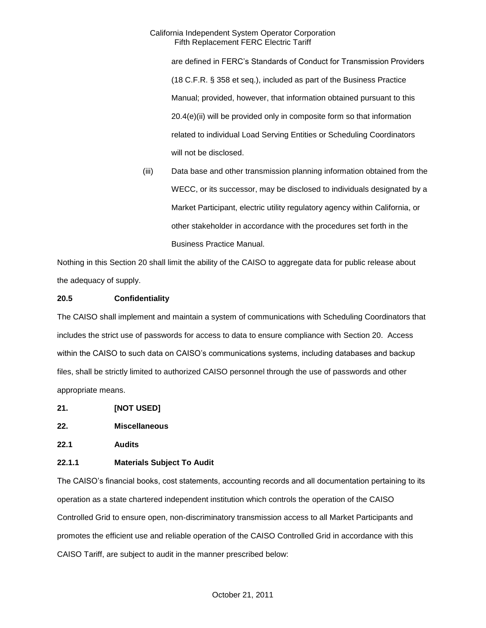are defined in FERC's Standards of Conduct for Transmission Providers (18 C.F.R. § 358 et seq.), included as part of the Business Practice Manual; provided, however, that information obtained pursuant to this 20.4(e)(ii) will be provided only in composite form so that information related to individual Load Serving Entities or Scheduling Coordinators will not be disclosed.

(iii) Data base and other transmission planning information obtained from the WECC, or its successor, may be disclosed to individuals designated by a Market Participant, electric utility regulatory agency within California, or other stakeholder in accordance with the procedures set forth in the Business Practice Manual.

Nothing in this Section 20 shall limit the ability of the CAISO to aggregate data for public release about the adequacy of supply.

# **20.5 Confidentiality**

The CAISO shall implement and maintain a system of communications with Scheduling Coordinators that includes the strict use of passwords for access to data to ensure compliance with Section 20. Access within the CAISO to such data on CAISO's communications systems, including databases and backup files, shall be strictly limited to authorized CAISO personnel through the use of passwords and other appropriate means.

- **21. [NOT USED]**
- **22. Miscellaneous**
- **22.1 Audits**

# **22.1.1 Materials Subject To Audit**

The CAISO's financial books, cost statements, accounting records and all documentation pertaining to its operation as a state chartered independent institution which controls the operation of the CAISO Controlled Grid to ensure open, non-discriminatory transmission access to all Market Participants and promotes the efficient use and reliable operation of the CAISO Controlled Grid in accordance with this CAISO Tariff, are subject to audit in the manner prescribed below: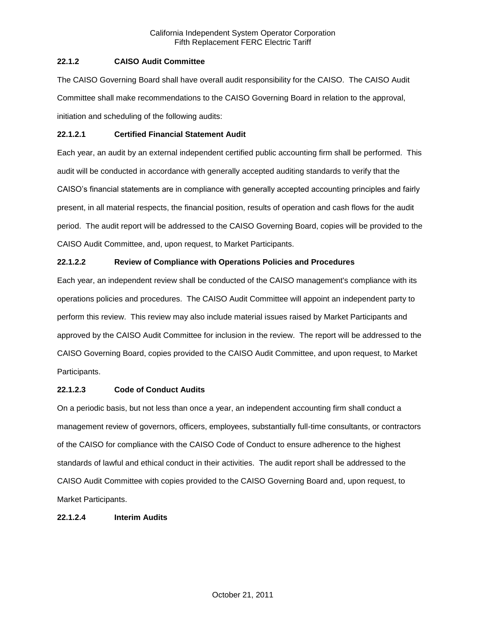# **22.1.2 CAISO Audit Committee**

The CAISO Governing Board shall have overall audit responsibility for the CAISO. The CAISO Audit Committee shall make recommendations to the CAISO Governing Board in relation to the approval, initiation and scheduling of the following audits:

### **22.1.2.1 Certified Financial Statement Audit**

Each year, an audit by an external independent certified public accounting firm shall be performed. This audit will be conducted in accordance with generally accepted auditing standards to verify that the CAISO's financial statements are in compliance with generally accepted accounting principles and fairly present, in all material respects, the financial position, results of operation and cash flows for the audit period. The audit report will be addressed to the CAISO Governing Board, copies will be provided to the CAISO Audit Committee, and, upon request, to Market Participants.

# **22.1.2.2 Review of Compliance with Operations Policies and Procedures**

Each year, an independent review shall be conducted of the CAISO management's compliance with its operations policies and procedures. The CAISO Audit Committee will appoint an independent party to perform this review. This review may also include material issues raised by Market Participants and approved by the CAISO Audit Committee for inclusion in the review. The report will be addressed to the CAISO Governing Board, copies provided to the CAISO Audit Committee, and upon request, to Market Participants.

### **22.1.2.3 Code of Conduct Audits**

On a periodic basis, but not less than once a year, an independent accounting firm shall conduct a management review of governors, officers, employees, substantially full-time consultants, or contractors of the CAISO for compliance with the CAISO Code of Conduct to ensure adherence to the highest standards of lawful and ethical conduct in their activities. The audit report shall be addressed to the CAISO Audit Committee with copies provided to the CAISO Governing Board and, upon request, to Market Participants.

### **22.1.2.4 Interim Audits**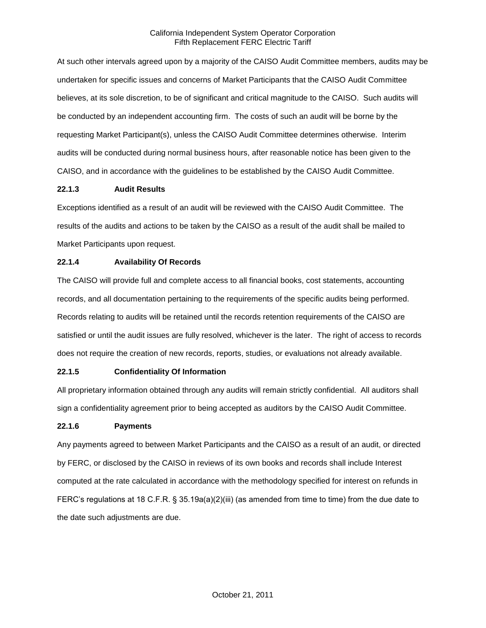At such other intervals agreed upon by a majority of the CAISO Audit Committee members, audits may be undertaken for specific issues and concerns of Market Participants that the CAISO Audit Committee believes, at its sole discretion, to be of significant and critical magnitude to the CAISO. Such audits will be conducted by an independent accounting firm. The costs of such an audit will be borne by the requesting Market Participant(s), unless the CAISO Audit Committee determines otherwise. Interim audits will be conducted during normal business hours, after reasonable notice has been given to the CAISO, and in accordance with the guidelines to be established by the CAISO Audit Committee.

# **22.1.3 Audit Results**

Exceptions identified as a result of an audit will be reviewed with the CAISO Audit Committee. The results of the audits and actions to be taken by the CAISO as a result of the audit shall be mailed to Market Participants upon request.

# **22.1.4 Availability Of Records**

The CAISO will provide full and complete access to all financial books, cost statements, accounting records, and all documentation pertaining to the requirements of the specific audits being performed. Records relating to audits will be retained until the records retention requirements of the CAISO are satisfied or until the audit issues are fully resolved, whichever is the later. The right of access to records does not require the creation of new records, reports, studies, or evaluations not already available.

# **22.1.5 Confidentiality Of Information**

All proprietary information obtained through any audits will remain strictly confidential. All auditors shall sign a confidentiality agreement prior to being accepted as auditors by the CAISO Audit Committee.

# **22.1.6 Payments**

Any payments agreed to between Market Participants and the CAISO as a result of an audit, or directed by FERC, or disclosed by the CAISO in reviews of its own books and records shall include Interest computed at the rate calculated in accordance with the methodology specified for interest on refunds in FERC's regulations at 18 C.F.R. § 35.19a(a)(2)(iii) (as amended from time to time) from the due date to the date such adjustments are due.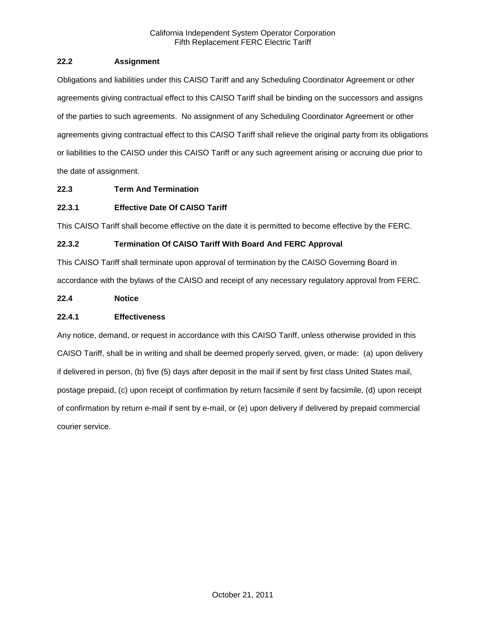# **22.2 Assignment**

Obligations and liabilities under this CAISO Tariff and any Scheduling Coordinator Agreement or other agreements giving contractual effect to this CAISO Tariff shall be binding on the successors and assigns of the parties to such agreements. No assignment of any Scheduling Coordinator Agreement or other agreements giving contractual effect to this CAISO Tariff shall relieve the original party from its obligations or liabilities to the CAISO under this CAISO Tariff or any such agreement arising or accruing due prior to the date of assignment.

# **22.3 Term And Termination**

# **22.3.1 Effective Date Of CAISO Tariff**

This CAISO Tariff shall become effective on the date it is permitted to become effective by the FERC.

# **22.3.2 Termination Of CAISO Tariff With Board And FERC Approval**

This CAISO Tariff shall terminate upon approval of termination by the CAISO Governing Board in accordance with the bylaws of the CAISO and receipt of any necessary regulatory approval from FERC.

# **22.4 Notice**

# **22.4.1 Effectiveness**

Any notice, demand, or request in accordance with this CAISO Tariff, unless otherwise provided in this CAISO Tariff, shall be in writing and shall be deemed properly served, given, or made: (a) upon delivery if delivered in person, (b) five (5) days after deposit in the mail if sent by first class United States mail, postage prepaid, (c) upon receipt of confirmation by return facsimile if sent by facsimile, (d) upon receipt of confirmation by return e-mail if sent by e-mail, or (e) upon delivery if delivered by prepaid commercial courier service.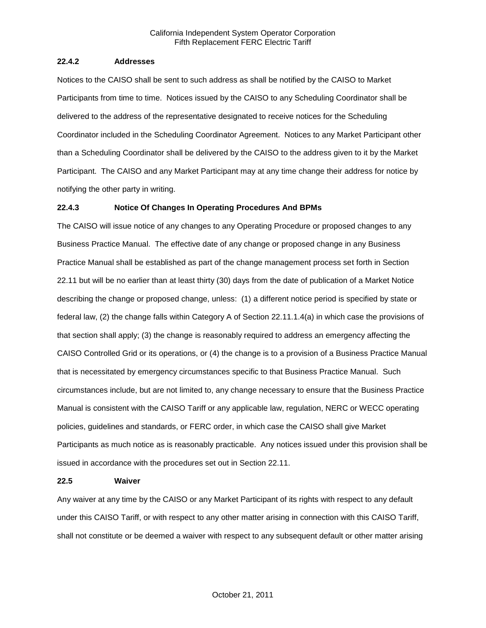### **22.4.2 Addresses**

Notices to the CAISO shall be sent to such address as shall be notified by the CAISO to Market Participants from time to time. Notices issued by the CAISO to any Scheduling Coordinator shall be delivered to the address of the representative designated to receive notices for the Scheduling Coordinator included in the Scheduling Coordinator Agreement. Notices to any Market Participant other than a Scheduling Coordinator shall be delivered by the CAISO to the address given to it by the Market Participant. The CAISO and any Market Participant may at any time change their address for notice by notifying the other party in writing.

### **22.4.3 Notice Of Changes In Operating Procedures And BPMs**

The CAISO will issue notice of any changes to any Operating Procedure or proposed changes to any Business Practice Manual. The effective date of any change or proposed change in any Business Practice Manual shall be established as part of the change management process set forth in Section 22.11 but will be no earlier than at least thirty (30) days from the date of publication of a Market Notice describing the change or proposed change, unless: (1) a different notice period is specified by state or federal law, (2) the change falls within Category A of Section 22.11.1.4(a) in which case the provisions of that section shall apply; (3) the change is reasonably required to address an emergency affecting the CAISO Controlled Grid or its operations, or (4) the change is to a provision of a Business Practice Manual that is necessitated by emergency circumstances specific to that Business Practice Manual. Such circumstances include, but are not limited to, any change necessary to ensure that the Business Practice Manual is consistent with the CAISO Tariff or any applicable law, regulation, NERC or WECC operating policies, guidelines and standards, or FERC order, in which case the CAISO shall give Market Participants as much notice as is reasonably practicable. Any notices issued under this provision shall be issued in accordance with the procedures set out in Section 22.11.

#### **22.5 Waiver**

Any waiver at any time by the CAISO or any Market Participant of its rights with respect to any default under this CAISO Tariff, or with respect to any other matter arising in connection with this CAISO Tariff, shall not constitute or be deemed a waiver with respect to any subsequent default or other matter arising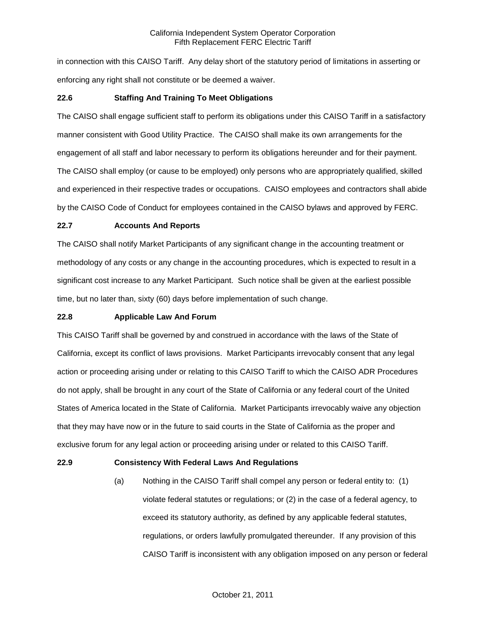in connection with this CAISO Tariff. Any delay short of the statutory period of limitations in asserting or enforcing any right shall not constitute or be deemed a waiver.

# **22.6 Staffing And Training To Meet Obligations**

The CAISO shall engage sufficient staff to perform its obligations under this CAISO Tariff in a satisfactory manner consistent with Good Utility Practice. The CAISO shall make its own arrangements for the engagement of all staff and labor necessary to perform its obligations hereunder and for their payment. The CAISO shall employ (or cause to be employed) only persons who are appropriately qualified, skilled and experienced in their respective trades or occupations. CAISO employees and contractors shall abide by the CAISO Code of Conduct for employees contained in the CAISO bylaws and approved by FERC.

### **22.7 Accounts And Reports**

The CAISO shall notify Market Participants of any significant change in the accounting treatment or methodology of any costs or any change in the accounting procedures, which is expected to result in a significant cost increase to any Market Participant. Such notice shall be given at the earliest possible time, but no later than, sixty (60) days before implementation of such change.

## **22.8 Applicable Law And Forum**

This CAISO Tariff shall be governed by and construed in accordance with the laws of the State of California, except its conflict of laws provisions. Market Participants irrevocably consent that any legal action or proceeding arising under or relating to this CAISO Tariff to which the CAISO ADR Procedures do not apply, shall be brought in any court of the State of California or any federal court of the United States of America located in the State of California. Market Participants irrevocably waive any objection that they may have now or in the future to said courts in the State of California as the proper and exclusive forum for any legal action or proceeding arising under or related to this CAISO Tariff.

### **22.9 Consistency With Federal Laws And Regulations**

(a) Nothing in the CAISO Tariff shall compel any person or federal entity to: (1) violate federal statutes or regulations; or (2) in the case of a federal agency, to exceed its statutory authority, as defined by any applicable federal statutes, regulations, or orders lawfully promulgated thereunder. If any provision of this CAISO Tariff is inconsistent with any obligation imposed on any person or federal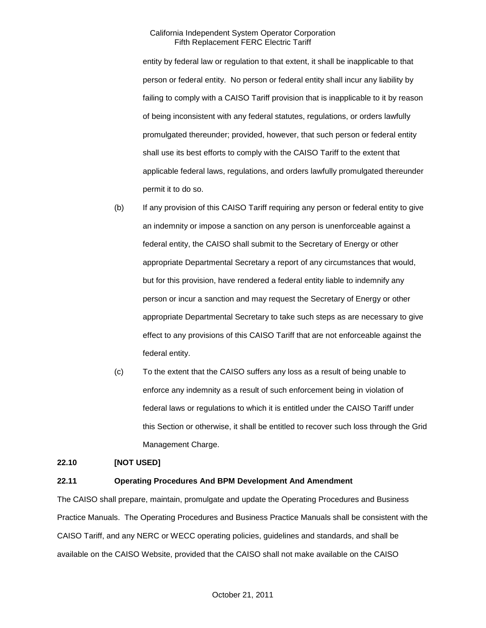entity by federal law or regulation to that extent, it shall be inapplicable to that person or federal entity. No person or federal entity shall incur any liability by failing to comply with a CAISO Tariff provision that is inapplicable to it by reason of being inconsistent with any federal statutes, regulations, or orders lawfully promulgated thereunder; provided, however, that such person or federal entity shall use its best efforts to comply with the CAISO Tariff to the extent that applicable federal laws, regulations, and orders lawfully promulgated thereunder permit it to do so.

- (b) If any provision of this CAISO Tariff requiring any person or federal entity to give an indemnity or impose a sanction on any person is unenforceable against a federal entity, the CAISO shall submit to the Secretary of Energy or other appropriate Departmental Secretary a report of any circumstances that would, but for this provision, have rendered a federal entity liable to indemnify any person or incur a sanction and may request the Secretary of Energy or other appropriate Departmental Secretary to take such steps as are necessary to give effect to any provisions of this CAISO Tariff that are not enforceable against the federal entity.
- (c) To the extent that the CAISO suffers any loss as a result of being unable to enforce any indemnity as a result of such enforcement being in violation of federal laws or regulations to which it is entitled under the CAISO Tariff under this Section or otherwise, it shall be entitled to recover such loss through the Grid Management Charge.

### **22.10 [NOT USED]**

# **22.11 Operating Procedures And BPM Development And Amendment**

The CAISO shall prepare, maintain, promulgate and update the Operating Procedures and Business Practice Manuals. The Operating Procedures and Business Practice Manuals shall be consistent with the CAISO Tariff, and any NERC or WECC operating policies, guidelines and standards, and shall be available on the CAISO Website, provided that the CAISO shall not make available on the CAISO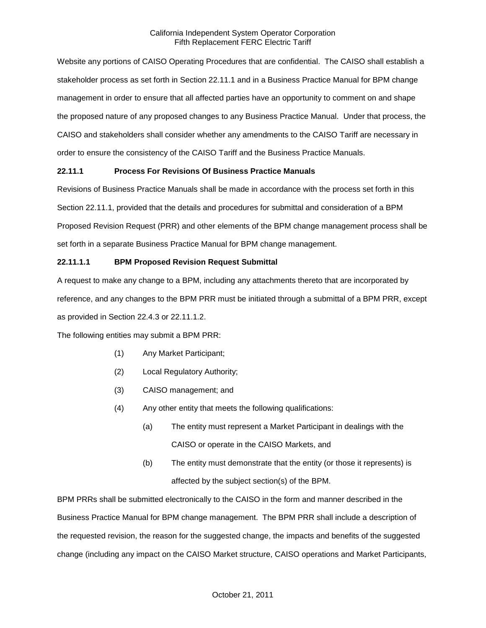Website any portions of CAISO Operating Procedures that are confidential. The CAISO shall establish a stakeholder process as set forth in Section 22.11.1 and in a Business Practice Manual for BPM change management in order to ensure that all affected parties have an opportunity to comment on and shape the proposed nature of any proposed changes to any Business Practice Manual. Under that process, the CAISO and stakeholders shall consider whether any amendments to the CAISO Tariff are necessary in order to ensure the consistency of the CAISO Tariff and the Business Practice Manuals.

# **22.11.1 Process For Revisions Of Business Practice Manuals**

Revisions of Business Practice Manuals shall be made in accordance with the process set forth in this Section 22.11.1, provided that the details and procedures for submittal and consideration of a BPM Proposed Revision Request (PRR) and other elements of the BPM change management process shall be set forth in a separate Business Practice Manual for BPM change management.

# **22.11.1.1 BPM Proposed Revision Request Submittal**

A request to make any change to a BPM, including any attachments thereto that are incorporated by reference, and any changes to the BPM PRR must be initiated through a submittal of a BPM PRR, except as provided in Section 22.4.3 or 22.11.1.2.

The following entities may submit a BPM PRR:

- (1) Any Market Participant;
- (2) Local Regulatory Authority;
- (3) CAISO management; and
- (4) Any other entity that meets the following qualifications:
	- (a) The entity must represent a Market Participant in dealings with the CAISO or operate in the CAISO Markets, and
	- (b) The entity must demonstrate that the entity (or those it represents) is affected by the subject section(s) of the BPM.

BPM PRRs shall be submitted electronically to the CAISO in the form and manner described in the Business Practice Manual for BPM change management. The BPM PRR shall include a description of the requested revision, the reason for the suggested change, the impacts and benefits of the suggested change (including any impact on the CAISO Market structure, CAISO operations and Market Participants,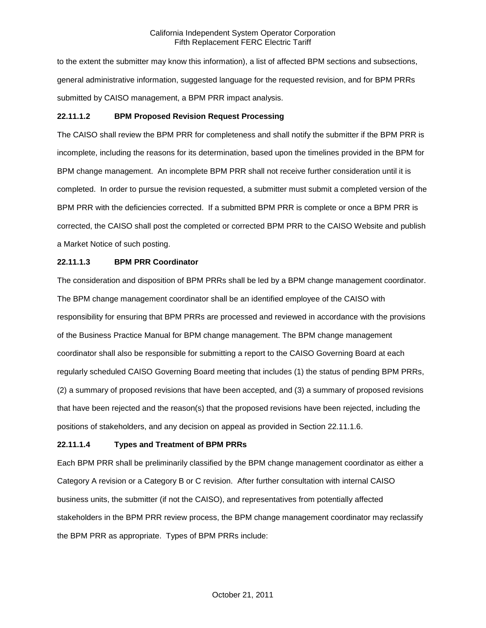to the extent the submitter may know this information), a list of affected BPM sections and subsections, general administrative information, suggested language for the requested revision, and for BPM PRRs submitted by CAISO management, a BPM PRR impact analysis.

# **22.11.1.2 BPM Proposed Revision Request Processing**

The CAISO shall review the BPM PRR for completeness and shall notify the submitter if the BPM PRR is incomplete, including the reasons for its determination, based upon the timelines provided in the BPM for BPM change management. An incomplete BPM PRR shall not receive further consideration until it is completed. In order to pursue the revision requested, a submitter must submit a completed version of the BPM PRR with the deficiencies corrected. If a submitted BPM PRR is complete or once a BPM PRR is corrected, the CAISO shall post the completed or corrected BPM PRR to the CAISO Website and publish a Market Notice of such posting.

# **22.11.1.3 BPM PRR Coordinator**

The consideration and disposition of BPM PRRs shall be led by a BPM change management coordinator. The BPM change management coordinator shall be an identified employee of the CAISO with responsibility for ensuring that BPM PRRs are processed and reviewed in accordance with the provisions of the Business Practice Manual for BPM change management. The BPM change management coordinator shall also be responsible for submitting a report to the CAISO Governing Board at each regularly scheduled CAISO Governing Board meeting that includes (1) the status of pending BPM PRRs, (2) a summary of proposed revisions that have been accepted, and (3) a summary of proposed revisions that have been rejected and the reason(s) that the proposed revisions have been rejected, including the positions of stakeholders, and any decision on appeal as provided in Section 22.11.1.6.

# **22.11.1.4 Types and Treatment of BPM PRRs**

Each BPM PRR shall be preliminarily classified by the BPM change management coordinator as either a Category A revision or a Category B or C revision. After further consultation with internal CAISO business units, the submitter (if not the CAISO), and representatives from potentially affected stakeholders in the BPM PRR review process, the BPM change management coordinator may reclassify the BPM PRR as appropriate. Types of BPM PRRs include: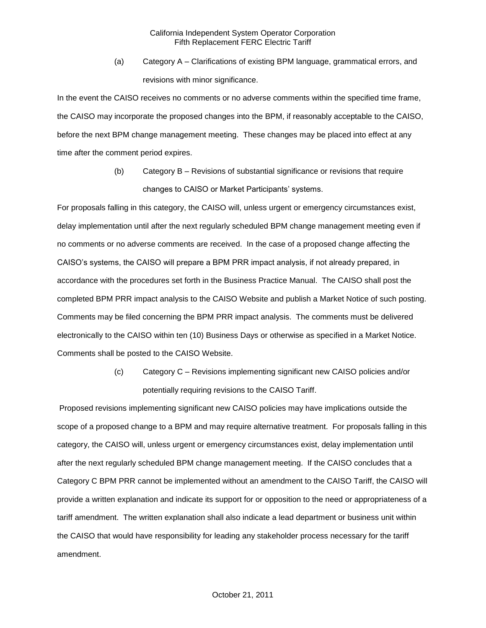(a) Category A – Clarifications of existing BPM language, grammatical errors, and revisions with minor significance.

In the event the CAISO receives no comments or no adverse comments within the specified time frame, the CAISO may incorporate the proposed changes into the BPM, if reasonably acceptable to the CAISO, before the next BPM change management meeting. These changes may be placed into effect at any time after the comment period expires.

> (b) Category B – Revisions of substantial significance or revisions that require changes to CAISO or Market Participants' systems.

For proposals falling in this category, the CAISO will, unless urgent or emergency circumstances exist, delay implementation until after the next regularly scheduled BPM change management meeting even if no comments or no adverse comments are received. In the case of a proposed change affecting the CAISO's systems, the CAISO will prepare a BPM PRR impact analysis, if not already prepared, in accordance with the procedures set forth in the Business Practice Manual. The CAISO shall post the completed BPM PRR impact analysis to the CAISO Website and publish a Market Notice of such posting. Comments may be filed concerning the BPM PRR impact analysis. The comments must be delivered electronically to the CAISO within ten (10) Business Days or otherwise as specified in a Market Notice. Comments shall be posted to the CAISO Website.

> (c) Category C – Revisions implementing significant new CAISO policies and/or potentially requiring revisions to the CAISO Tariff.

Proposed revisions implementing significant new CAISO policies may have implications outside the scope of a proposed change to a BPM and may require alternative treatment. For proposals falling in this category, the CAISO will, unless urgent or emergency circumstances exist, delay implementation until after the next regularly scheduled BPM change management meeting. If the CAISO concludes that a Category C BPM PRR cannot be implemented without an amendment to the CAISO Tariff, the CAISO will provide a written explanation and indicate its support for or opposition to the need or appropriateness of a tariff amendment. The written explanation shall also indicate a lead department or business unit within the CAISO that would have responsibility for leading any stakeholder process necessary for the tariff amendment.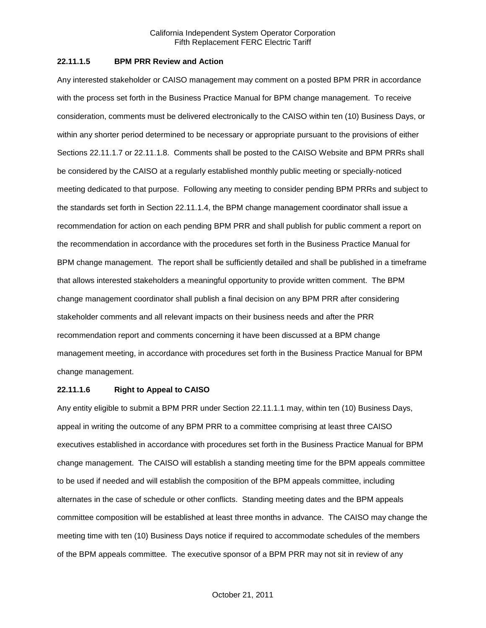### **22.11.1.5 BPM PRR Review and Action**

Any interested stakeholder or CAISO management may comment on a posted BPM PRR in accordance with the process set forth in the Business Practice Manual for BPM change management. To receive consideration, comments must be delivered electronically to the CAISO within ten (10) Business Days, or within any shorter period determined to be necessary or appropriate pursuant to the provisions of either Sections 22.11.1.7 or 22.11.1.8. Comments shall be posted to the CAISO Website and BPM PRRs shall be considered by the CAISO at a regularly established monthly public meeting or specially-noticed meeting dedicated to that purpose. Following any meeting to consider pending BPM PRRs and subject to the standards set forth in Section 22.11.1.4, the BPM change management coordinator shall issue a recommendation for action on each pending BPM PRR and shall publish for public comment a report on the recommendation in accordance with the procedures set forth in the Business Practice Manual for BPM change management. The report shall be sufficiently detailed and shall be published in a timeframe that allows interested stakeholders a meaningful opportunity to provide written comment. The BPM change management coordinator shall publish a final decision on any BPM PRR after considering stakeholder comments and all relevant impacts on their business needs and after the PRR recommendation report and comments concerning it have been discussed at a BPM change management meeting, in accordance with procedures set forth in the Business Practice Manual for BPM change management.

#### **22.11.1.6 Right to Appeal to CAISO**

Any entity eligible to submit a BPM PRR under Section 22.11.1.1 may, within ten (10) Business Days, appeal in writing the outcome of any BPM PRR to a committee comprising at least three CAISO executives established in accordance with procedures set forth in the Business Practice Manual for BPM change management. The CAISO will establish a standing meeting time for the BPM appeals committee to be used if needed and will establish the composition of the BPM appeals committee, including alternates in the case of schedule or other conflicts. Standing meeting dates and the BPM appeals committee composition will be established at least three months in advance. The CAISO may change the meeting time with ten (10) Business Days notice if required to accommodate schedules of the members of the BPM appeals committee. The executive sponsor of a BPM PRR may not sit in review of any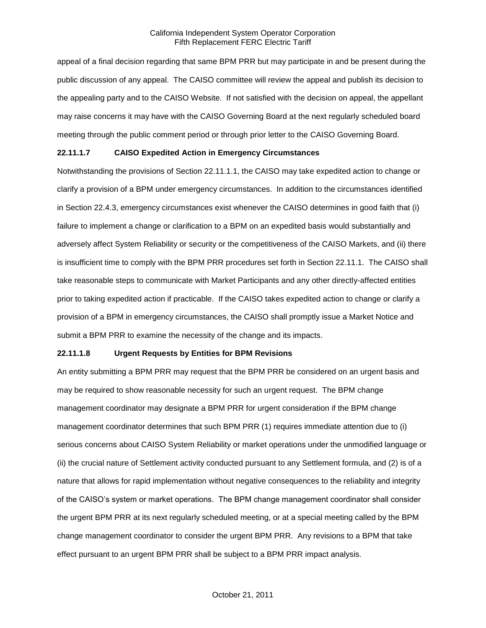appeal of a final decision regarding that same BPM PRR but may participate in and be present during the public discussion of any appeal. The CAISO committee will review the appeal and publish its decision to the appealing party and to the CAISO Website. If not satisfied with the decision on appeal, the appellant may raise concerns it may have with the CAISO Governing Board at the next regularly scheduled board meeting through the public comment period or through prior letter to the CAISO Governing Board.

### **22.11.1.7 CAISO Expedited Action in Emergency Circumstances**

Notwithstanding the provisions of Section 22.11.1.1, the CAISO may take expedited action to change or clarify a provision of a BPM under emergency circumstances. In addition to the circumstances identified in Section 22.4.3, emergency circumstances exist whenever the CAISO determines in good faith that (i) failure to implement a change or clarification to a BPM on an expedited basis would substantially and adversely affect System Reliability or security or the competitiveness of the CAISO Markets, and (ii) there is insufficient time to comply with the BPM PRR procedures set forth in Section 22.11.1. The CAISO shall take reasonable steps to communicate with Market Participants and any other directly-affected entities prior to taking expedited action if practicable. If the CAISO takes expedited action to change or clarify a provision of a BPM in emergency circumstances, the CAISO shall promptly issue a Market Notice and submit a BPM PRR to examine the necessity of the change and its impacts.

### **22.11.1.8 Urgent Requests by Entities for BPM Revisions**

An entity submitting a BPM PRR may request that the BPM PRR be considered on an urgent basis and may be required to show reasonable necessity for such an urgent request. The BPM change management coordinator may designate a BPM PRR for urgent consideration if the BPM change management coordinator determines that such BPM PRR (1) requires immediate attention due to (i) serious concerns about CAISO System Reliability or market operations under the unmodified language or (ii) the crucial nature of Settlement activity conducted pursuant to any Settlement formula, and (2) is of a nature that allows for rapid implementation without negative consequences to the reliability and integrity of the CAISO's system or market operations. The BPM change management coordinator shall consider the urgent BPM PRR at its next regularly scheduled meeting, or at a special meeting called by the BPM change management coordinator to consider the urgent BPM PRR. Any revisions to a BPM that take effect pursuant to an urgent BPM PRR shall be subject to a BPM PRR impact analysis.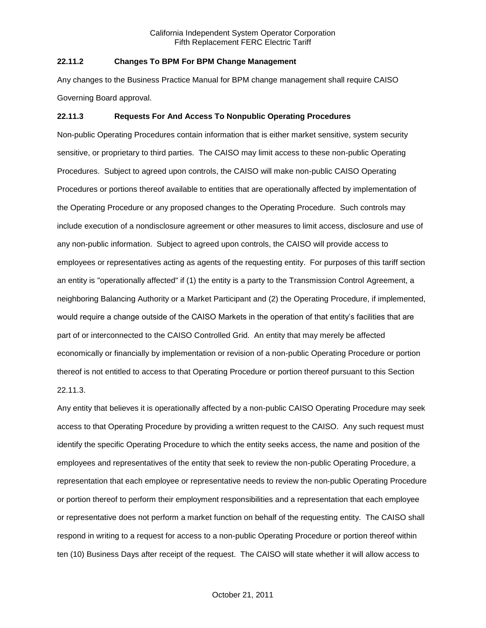### **22.11.2 Changes To BPM For BPM Change Management**

Any changes to the Business Practice Manual for BPM change management shall require CAISO Governing Board approval.

#### **22.11.3 Requests For And Access To Nonpublic Operating Procedures**

Non-public Operating Procedures contain information that is either market sensitive, system security sensitive, or proprietary to third parties. The CAISO may limit access to these non-public Operating Procedures. Subject to agreed upon controls, the CAISO will make non-public CAISO Operating Procedures or portions thereof available to entities that are operationally affected by implementation of the Operating Procedure or any proposed changes to the Operating Procedure. Such controls may include execution of a nondisclosure agreement or other measures to limit access, disclosure and use of any non-public information. Subject to agreed upon controls, the CAISO will provide access to employees or representatives acting as agents of the requesting entity. For purposes of this tariff section an entity is "operationally affected" if (1) the entity is a party to the Transmission Control Agreement, a neighboring Balancing Authority or a Market Participant and (2) the Operating Procedure, if implemented, would require a change outside of the CAISO Markets in the operation of that entity's facilities that are part of or interconnected to the CAISO Controlled Grid. An entity that may merely be affected economically or financially by implementation or revision of a non-public Operating Procedure or portion thereof is not entitled to access to that Operating Procedure or portion thereof pursuant to this Section 22.11.3.

Any entity that believes it is operationally affected by a non-public CAISO Operating Procedure may seek access to that Operating Procedure by providing a written request to the CAISO. Any such request must identify the specific Operating Procedure to which the entity seeks access, the name and position of the employees and representatives of the entity that seek to review the non-public Operating Procedure, a representation that each employee or representative needs to review the non-public Operating Procedure or portion thereof to perform their employment responsibilities and a representation that each employee or representative does not perform a market function on behalf of the requesting entity. The CAISO shall respond in writing to a request for access to a non-public Operating Procedure or portion thereof within ten (10) Business Days after receipt of the request. The CAISO will state whether it will allow access to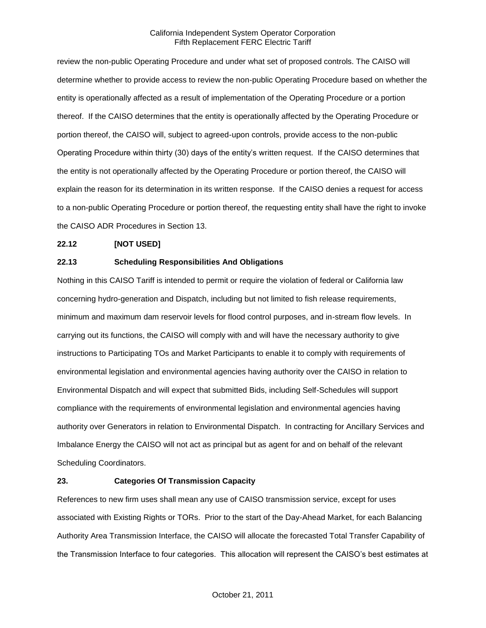review the non-public Operating Procedure and under what set of proposed controls. The CAISO will determine whether to provide access to review the non-public Operating Procedure based on whether the entity is operationally affected as a result of implementation of the Operating Procedure or a portion thereof. If the CAISO determines that the entity is operationally affected by the Operating Procedure or portion thereof, the CAISO will, subject to agreed-upon controls, provide access to the non-public Operating Procedure within thirty (30) days of the entity's written request. If the CAISO determines that the entity is not operationally affected by the Operating Procedure or portion thereof, the CAISO will explain the reason for its determination in its written response. If the CAISO denies a request for access to a non-public Operating Procedure or portion thereof, the requesting entity shall have the right to invoke the CAISO ADR Procedures in Section 13.

# **22.12 [NOT USED]**

# **22.13 Scheduling Responsibilities And Obligations**

Nothing in this CAISO Tariff is intended to permit or require the violation of federal or California law concerning hydro-generation and Dispatch, including but not limited to fish release requirements, minimum and maximum dam reservoir levels for flood control purposes, and in-stream flow levels. In carrying out its functions, the CAISO will comply with and will have the necessary authority to give instructions to Participating TOs and Market Participants to enable it to comply with requirements of environmental legislation and environmental agencies having authority over the CAISO in relation to Environmental Dispatch and will expect that submitted Bids, including Self-Schedules will support compliance with the requirements of environmental legislation and environmental agencies having authority over Generators in relation to Environmental Dispatch. In contracting for Ancillary Services and Imbalance Energy the CAISO will not act as principal but as agent for and on behalf of the relevant Scheduling Coordinators.

# **23. Categories Of Transmission Capacity**

References to new firm uses shall mean any use of CAISO transmission service, except for uses associated with Existing Rights or TORs. Prior to the start of the Day-Ahead Market, for each Balancing Authority Area Transmission Interface, the CAISO will allocate the forecasted Total Transfer Capability of the Transmission Interface to four categories. This allocation will represent the CAISO's best estimates at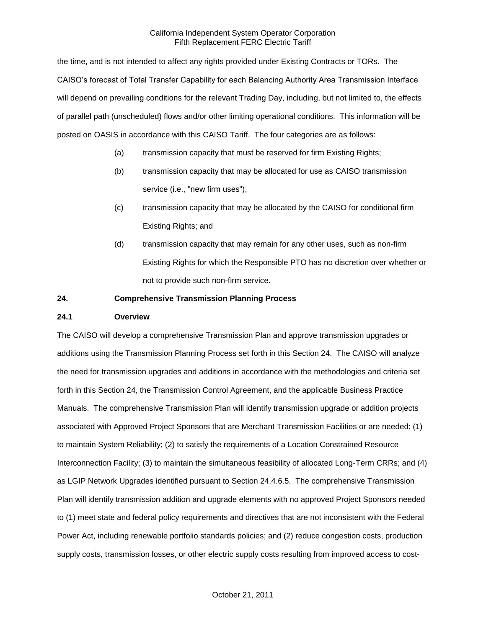the time, and is not intended to affect any rights provided under Existing Contracts or TORs. The CAISO's forecast of Total Transfer Capability for each Balancing Authority Area Transmission Interface will depend on prevailing conditions for the relevant Trading Day, including, but not limited to, the effects of parallel path (unscheduled) flows and/or other limiting operational conditions. This information will be posted on OASIS in accordance with this CAISO Tariff. The four categories are as follows:

- (a) transmission capacity that must be reserved for firm Existing Rights;
- (b) transmission capacity that may be allocated for use as CAISO transmission service (i.e., "new firm uses");
- (c) transmission capacity that may be allocated by the CAISO for conditional firm Existing Rights; and
- (d) transmission capacity that may remain for any other uses, such as non-firm Existing Rights for which the Responsible PTO has no discretion over whether or not to provide such non-firm service.

### **24. Comprehensive Transmission Planning Process**

### **24.1 Overview**

The CAISO will develop a comprehensive Transmission Plan and approve transmission upgrades or additions using the Transmission Planning Process set forth in this Section 24. The CAISO will analyze the need for transmission upgrades and additions in accordance with the methodologies and criteria set forth in this Section 24, the Transmission Control Agreement, and the applicable Business Practice Manuals. The comprehensive Transmission Plan will identify transmission upgrade or addition projects associated with Approved Project Sponsors that are Merchant Transmission Facilities or are needed: (1) to maintain System Reliability; (2) to satisfy the requirements of a Location Constrained Resource Interconnection Facility; (3) to maintain the simultaneous feasibility of allocated Long-Term CRRs; and (4) as LGIP Network Upgrades identified pursuant to Section 24.4.6.5. The comprehensive Transmission Plan will identify transmission addition and upgrade elements with no approved Project Sponsors needed to (1) meet state and federal policy requirements and directives that are not inconsistent with the Federal Power Act, including renewable portfolio standards policies; and (2) reduce congestion costs, production supply costs, transmission losses, or other electric supply costs resulting from improved access to cost-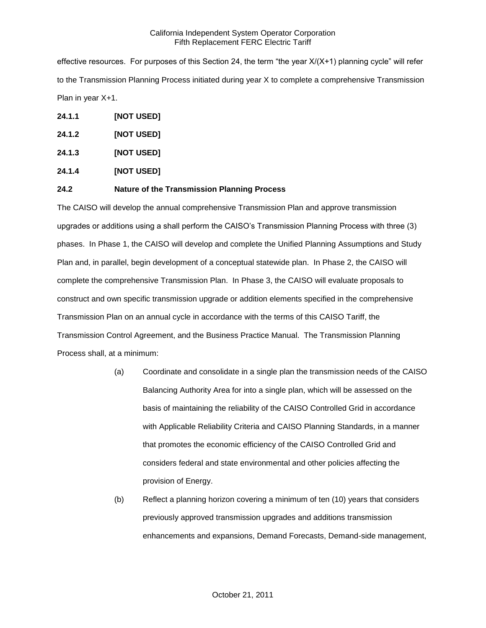effective resources. For purposes of this Section 24, the term "the year X/(X+1) planning cycle" will refer to the Transmission Planning Process initiated during year X to complete a comprehensive Transmission Plan in year X+1.

- **24.1.1 [NOT USED]**
- **24.1.2 [NOT USED]**
- **24.1.3 [NOT USED]**
- **24.1.4 [NOT USED]**

# **24.2 Nature of the Transmission Planning Process**

The CAISO will develop the annual comprehensive Transmission Plan and approve transmission upgrades or additions using a shall perform the CAISO's Transmission Planning Process with three (3) phases. In Phase 1, the CAISO will develop and complete the Unified Planning Assumptions and Study Plan and, in parallel, begin development of a conceptual statewide plan. In Phase 2, the CAISO will complete the comprehensive Transmission Plan. In Phase 3, the CAISO will evaluate proposals to construct and own specific transmission upgrade or addition elements specified in the comprehensive Transmission Plan on an annual cycle in accordance with the terms of this CAISO Tariff, the Transmission Control Agreement, and the Business Practice Manual. The Transmission Planning Process shall, at a minimum:

- (a) Coordinate and consolidate in a single plan the transmission needs of the CAISO Balancing Authority Area for into a single plan, which will be assessed on the basis of maintaining the reliability of the CAISO Controlled Grid in accordance with Applicable Reliability Criteria and CAISO Planning Standards, in a manner that promotes the economic efficiency of the CAISO Controlled Grid and considers federal and state environmental and other policies affecting the provision of Energy.
- (b) Reflect a planning horizon covering a minimum of ten (10) years that considers previously approved transmission upgrades and additions transmission enhancements and expansions, Demand Forecasts, Demand-side management,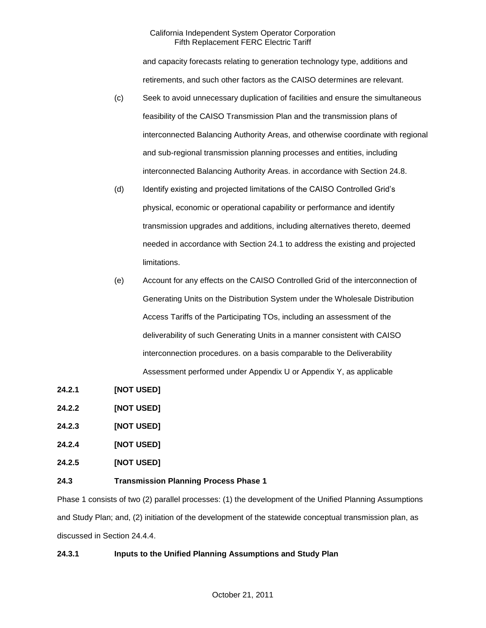and capacity forecasts relating to generation technology type, additions and retirements, and such other factors as the CAISO determines are relevant.

- (c) Seek to avoid unnecessary duplication of facilities and ensure the simultaneous feasibility of the CAISO Transmission Plan and the transmission plans of interconnected Balancing Authority Areas, and otherwise coordinate with regional and sub-regional transmission planning processes and entities, including interconnected Balancing Authority Areas. in accordance with Section 24.8.
- (d) Identify existing and projected limitations of the CAISO Controlled Grid's physical, economic or operational capability or performance and identify transmission upgrades and additions, including alternatives thereto, deemed needed in accordance with Section 24.1 to address the existing and projected limitations.
- (e) Account for any effects on the CAISO Controlled Grid of the interconnection of Generating Units on the Distribution System under the Wholesale Distribution Access Tariffs of the Participating TOs, including an assessment of the deliverability of such Generating Units in a manner consistent with CAISO interconnection procedures. on a basis comparable to the Deliverability Assessment performed under Appendix U or Appendix Y, as applicable
- **24.2.1 [NOT USED]**
- **24.2.2 [NOT USED]**
- **24.2.3 [NOT USED]**
- **24.2.4 [NOT USED]**
- **24.2.5 [NOT USED]**

# **24.3 Transmission Planning Process Phase 1**

Phase 1 consists of two (2) parallel processes: (1) the development of the Unified Planning Assumptions and Study Plan; and, (2) initiation of the development of the statewide conceptual transmission plan, as discussed in Section 24.4.4.

# **24.3.1 Inputs to the Unified Planning Assumptions and Study Plan**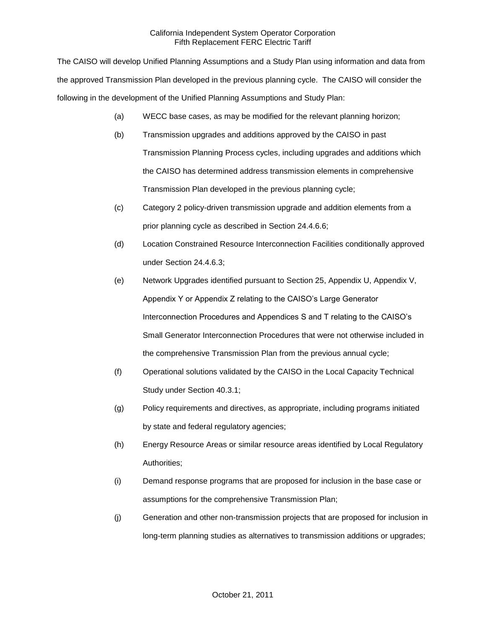The CAISO will develop Unified Planning Assumptions and a Study Plan using information and data from the approved Transmission Plan developed in the previous planning cycle. The CAISO will consider the following in the development of the Unified Planning Assumptions and Study Plan:

- (a) WECC base cases, as may be modified for the relevant planning horizon;
- (b) Transmission upgrades and additions approved by the CAISO in past Transmission Planning Process cycles, including upgrades and additions which the CAISO has determined address transmission elements in comprehensive Transmission Plan developed in the previous planning cycle;
- (c) Category 2 policy-driven transmission upgrade and addition elements from a prior planning cycle as described in Section 24.4.6.6;
- (d) Location Constrained Resource Interconnection Facilities conditionally approved under Section 24.4.6.3;
- (e) Network Upgrades identified pursuant to Section 25, Appendix U, Appendix V, Appendix Y or Appendix Z relating to the CAISO's Large Generator Interconnection Procedures and Appendices S and T relating to the CAISO's Small Generator Interconnection Procedures that were not otherwise included in the comprehensive Transmission Plan from the previous annual cycle;
- (f) Operational solutions validated by the CAISO in the Local Capacity Technical Study under Section 40.3.1;
- (g) Policy requirements and directives, as appropriate, including programs initiated by state and federal regulatory agencies;
- (h) Energy Resource Areas or similar resource areas identified by Local Regulatory Authorities;
- (i) Demand response programs that are proposed for inclusion in the base case or assumptions for the comprehensive Transmission Plan;
- (j) Generation and other non-transmission projects that are proposed for inclusion in long-term planning studies as alternatives to transmission additions or upgrades;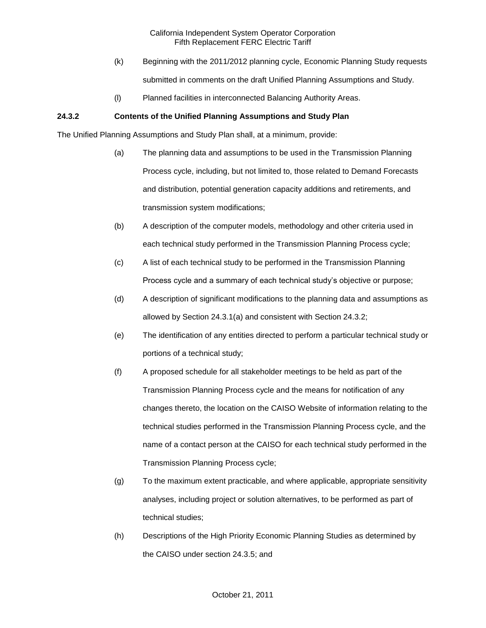- (k) Beginning with the 2011/2012 planning cycle, Economic Planning Study requests submitted in comments on the draft Unified Planning Assumptions and Study.
- (l) Planned facilities in interconnected Balancing Authority Areas.

# **24.3.2 Contents of the Unified Planning Assumptions and Study Plan**

The Unified Planning Assumptions and Study Plan shall, at a minimum, provide:

- (a) The planning data and assumptions to be used in the Transmission Planning Process cycle, including, but not limited to, those related to Demand Forecasts and distribution, potential generation capacity additions and retirements, and transmission system modifications;
- (b) A description of the computer models, methodology and other criteria used in each technical study performed in the Transmission Planning Process cycle;
- (c) A list of each technical study to be performed in the Transmission Planning Process cycle and a summary of each technical study's objective or purpose;
- (d) A description of significant modifications to the planning data and assumptions as allowed by Section 24.3.1(a) and consistent with Section 24.3.2;
- (e) The identification of any entities directed to perform a particular technical study or portions of a technical study;
- (f) A proposed schedule for all stakeholder meetings to be held as part of the Transmission Planning Process cycle and the means for notification of any changes thereto, the location on the CAISO Website of information relating to the technical studies performed in the Transmission Planning Process cycle, and the name of a contact person at the CAISO for each technical study performed in the Transmission Planning Process cycle;
- (g) To the maximum extent practicable, and where applicable, appropriate sensitivity analyses, including project or solution alternatives, to be performed as part of technical studies;
- (h) Descriptions of the High Priority Economic Planning Studies as determined by the CAISO under section 24.3.5; and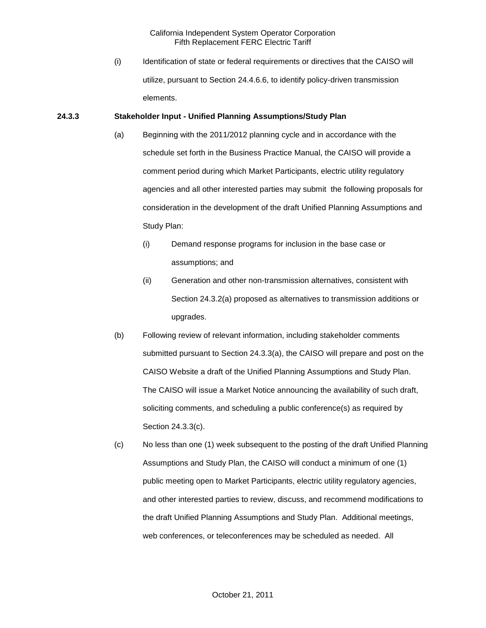(i) Identification of state or federal requirements or directives that the CAISO will utilize, pursuant to Section 24.4.6.6, to identify policy-driven transmission elements.

### **24.3.3 Stakeholder Input - Unified Planning Assumptions/Study Plan**

- (a) Beginning with the 2011/2012 planning cycle and in accordance with the schedule set forth in the Business Practice Manual, the CAISO will provide a comment period during which Market Participants, electric utility regulatory agencies and all other interested parties may submit the following proposals for consideration in the development of the draft Unified Planning Assumptions and Study Plan:
	- (i) Demand response programs for inclusion in the base case or assumptions; and
	- (ii) Generation and other non-transmission alternatives, consistent with Section 24.3.2(a) proposed as alternatives to transmission additions or upgrades.
- (b) Following review of relevant information, including stakeholder comments submitted pursuant to Section 24.3.3(a), the CAISO will prepare and post on the CAISO Website a draft of the Unified Planning Assumptions and Study Plan. The CAISO will issue a Market Notice announcing the availability of such draft, soliciting comments, and scheduling a public conference(s) as required by Section 24.3.3(c).
- (c) No less than one (1) week subsequent to the posting of the draft Unified Planning Assumptions and Study Plan, the CAISO will conduct a minimum of one (1) public meeting open to Market Participants, electric utility regulatory agencies, and other interested parties to review, discuss, and recommend modifications to the draft Unified Planning Assumptions and Study Plan. Additional meetings, web conferences, or teleconferences may be scheduled as needed. All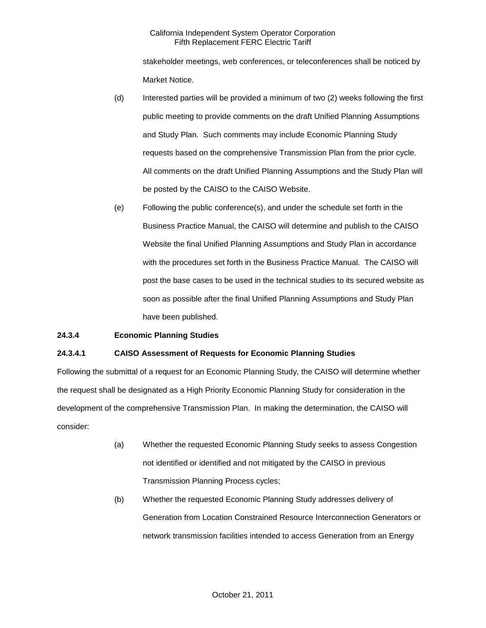stakeholder meetings, web conferences, or teleconferences shall be noticed by Market Notice.

- (d) Interested parties will be provided a minimum of two (2) weeks following the first public meeting to provide comments on the draft Unified Planning Assumptions and Study Plan. Such comments may include Economic Planning Study requests based on the comprehensive Transmission Plan from the prior cycle. All comments on the draft Unified Planning Assumptions and the Study Plan will be posted by the CAISO to the CAISO Website.
- (e) Following the public conference(s), and under the schedule set forth in the Business Practice Manual, the CAISO will determine and publish to the CAISO Website the final Unified Planning Assumptions and Study Plan in accordance with the procedures set forth in the Business Practice Manual. The CAISO will post the base cases to be used in the technical studies to its secured website as soon as possible after the final Unified Planning Assumptions and Study Plan have been published.

# **24.3.4 Economic Planning Studies**

### **24.3.4.1 CAISO Assessment of Requests for Economic Planning Studies**

Following the submittal of a request for an Economic Planning Study, the CAISO will determine whether the request shall be designated as a High Priority Economic Planning Study for consideration in the development of the comprehensive Transmission Plan. In making the determination, the CAISO will consider:

- (a) Whether the requested Economic Planning Study seeks to assess Congestion not identified or identified and not mitigated by the CAISO in previous Transmission Planning Process cycles;
- (b) Whether the requested Economic Planning Study addresses delivery of Generation from Location Constrained Resource Interconnection Generators or network transmission facilities intended to access Generation from an Energy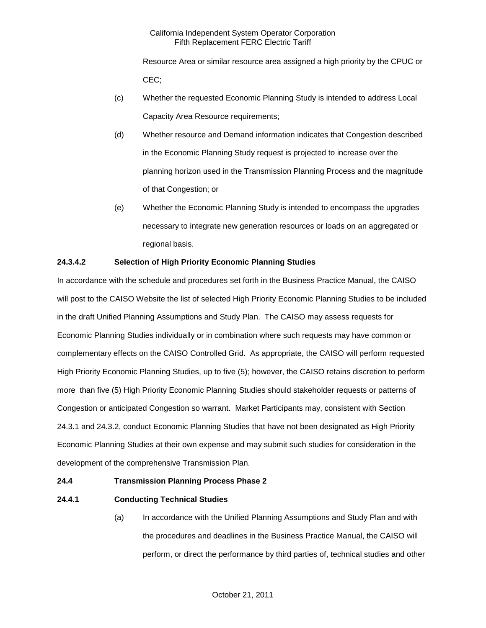Resource Area or similar resource area assigned a high priority by the CPUC or CEC;

- (c) Whether the requested Economic Planning Study is intended to address Local Capacity Area Resource requirements;
- (d) Whether resource and Demand information indicates that Congestion described in the Economic Planning Study request is projected to increase over the planning horizon used in the Transmission Planning Process and the magnitude of that Congestion; or
- (e) Whether the Economic Planning Study is intended to encompass the upgrades necessary to integrate new generation resources or loads on an aggregated or regional basis.

# **24.3.4.2 Selection of High Priority Economic Planning Studies**

In accordance with the schedule and procedures set forth in the Business Practice Manual, the CAISO will post to the CAISO Website the list of selected High Priority Economic Planning Studies to be included in the draft Unified Planning Assumptions and Study Plan. The CAISO may assess requests for Economic Planning Studies individually or in combination where such requests may have common or complementary effects on the CAISO Controlled Grid. As appropriate, the CAISO will perform requested High Priority Economic Planning Studies, up to five (5); however, the CAISO retains discretion to perform more than five (5) High Priority Economic Planning Studies should stakeholder requests or patterns of Congestion or anticipated Congestion so warrant. Market Participants may, consistent with Section 24.3.1 and 24.3.2, conduct Economic Planning Studies that have not been designated as High Priority Economic Planning Studies at their own expense and may submit such studies for consideration in the development of the comprehensive Transmission Plan.

# **24.4 Transmission Planning Process Phase 2**

# **24.4.1 Conducting Technical Studies**

(a) In accordance with the Unified Planning Assumptions and Study Plan and with the procedures and deadlines in the Business Practice Manual, the CAISO will perform, or direct the performance by third parties of, technical studies and other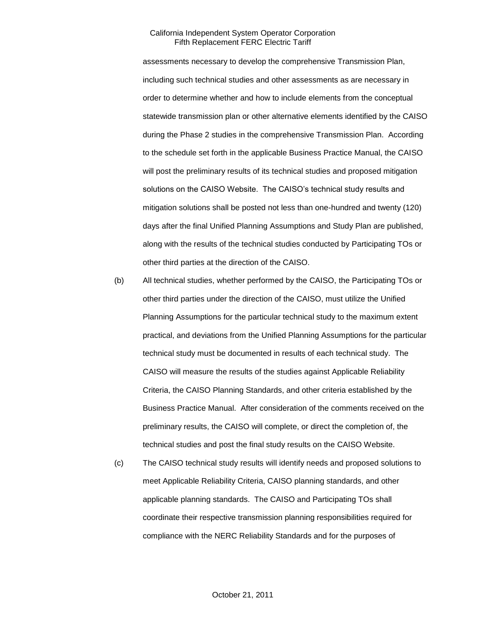assessments necessary to develop the comprehensive Transmission Plan, including such technical studies and other assessments as are necessary in order to determine whether and how to include elements from the conceptual statewide transmission plan or other alternative elements identified by the CAISO during the Phase 2 studies in the comprehensive Transmission Plan. According to the schedule set forth in the applicable Business Practice Manual, the CAISO will post the preliminary results of its technical studies and proposed mitigation solutions on the CAISO Website. The CAISO's technical study results and mitigation solutions shall be posted not less than one-hundred and twenty (120) days after the final Unified Planning Assumptions and Study Plan are published, along with the results of the technical studies conducted by Participating TOs or other third parties at the direction of the CAISO.

- (b) All technical studies, whether performed by the CAISO, the Participating TOs or other third parties under the direction of the CAISO, must utilize the Unified Planning Assumptions for the particular technical study to the maximum extent practical, and deviations from the Unified Planning Assumptions for the particular technical study must be documented in results of each technical study. The CAISO will measure the results of the studies against Applicable Reliability Criteria, the CAISO Planning Standards, and other criteria established by the Business Practice Manual. After consideration of the comments received on the preliminary results, the CAISO will complete, or direct the completion of, the technical studies and post the final study results on the CAISO Website.
- (c) The CAISO technical study results will identify needs and proposed solutions to meet Applicable Reliability Criteria, CAISO planning standards, and other applicable planning standards. The CAISO and Participating TOs shall coordinate their respective transmission planning responsibilities required for compliance with the NERC Reliability Standards and for the purposes of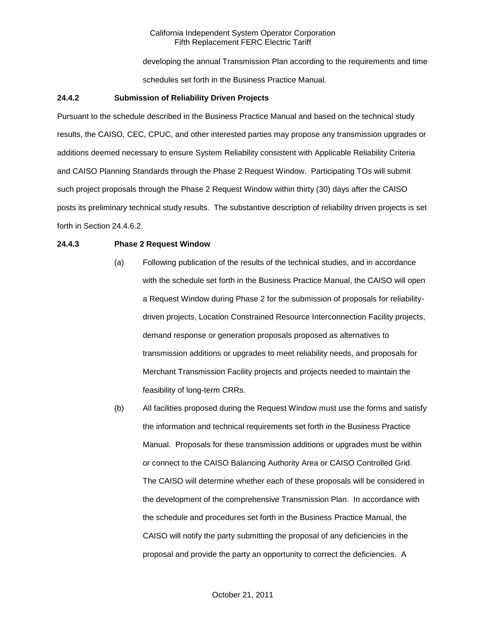developing the annual Transmission Plan according to the requirements and time schedules set forth in the Business Practice Manual.

### **24.4.2 Submission of Reliability Driven Projects**

Pursuant to the schedule described in the Business Practice Manual and based on the technical study results, the CAISO*,* CEC, CPUC, and other interested parties may propose any transmission upgrades or additions deemed necessary to ensure System Reliability consistent with Applicable Reliability Criteria and CAISO Planning Standards through the Phase 2 Request Window. Participating TOs will submit such project proposals through the Phase 2 Request Window within thirty (30) days after the CAISO posts its preliminary technical study results. The substantive description of reliability driven projects is set forth in Section 24.4.6.2.

# **24.4.3 Phase 2 Request Window**

- (a) Following publication of the results of the technical studies, and in accordance with the schedule set forth in the Business Practice Manual, the CAISO will open a Request Window during Phase 2 for the submission of proposals for reliabilitydriven projects, Location Constrained Resource Interconnection Facility projects, demand response or generation proposals proposed as alternatives to transmission additions or upgrades to meet reliability needs, and proposals for Merchant Transmission Facility projects and projects needed to maintain the feasibility of long-term CRRs.
- (b) All facilities proposed during the Request Window must use the forms and satisfy the information and technical requirements set forth in the Business Practice Manual. Proposals for these transmission additions or upgrades must be within or connect to the CAISO Balancing Authority Area or CAISO Controlled Grid. The CAISO will determine whether each of these proposals will be considered in the development of the comprehensive Transmission Plan. In accordance with the schedule and procedures set forth in the Business Practice Manual, the CAISO will notify the party submitting the proposal of any deficiencies in the proposal and provide the party an opportunity to correct the deficiencies. A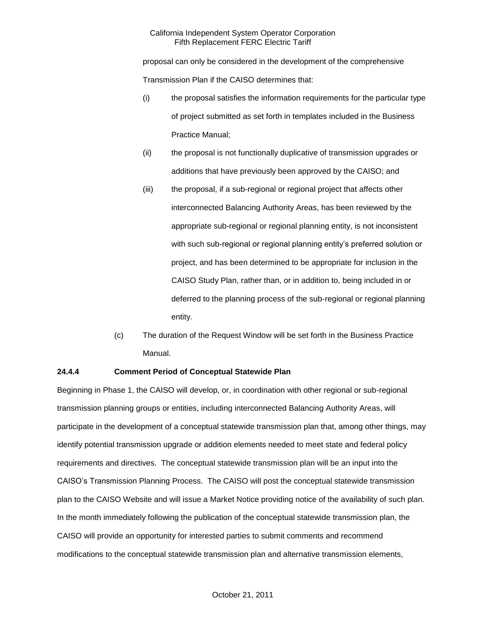proposal can only be considered in the development of the comprehensive Transmission Plan if the CAISO determines that:

- (i) the proposal satisfies the information requirements for the particular type of project submitted as set forth in templates included in the Business Practice Manual;
- (ii) the proposal is not functionally duplicative of transmission upgrades or additions that have previously been approved by the CAISO; and
- (iii) the proposal, if a sub-regional or regional project that affects other interconnected Balancing Authority Areas, has been reviewed by the appropriate sub-regional or regional planning entity, is not inconsistent with such sub-regional or regional planning entity's preferred solution or project, and has been determined to be appropriate for inclusion in the CAISO Study Plan, rather than, or in addition to, being included in or deferred to the planning process of the sub-regional or regional planning entity.
- (c) The duration of the Request Window will be set forth in the Business Practice Manual.

# **24.4.4 Comment Period of Conceptual Statewide Plan**

Beginning in Phase 1, the CAISO will develop, or, in coordination with other regional or sub-regional transmission planning groups or entities, including interconnected Balancing Authority Areas, will participate in the development of a conceptual statewide transmission plan that, among other things, may identify potential transmission upgrade or addition elements needed to meet state and federal policy requirements and directives. The conceptual statewide transmission plan will be an input into the CAISO's Transmission Planning Process. The CAISO will post the conceptual statewide transmission plan to the CAISO Website and will issue a Market Notice providing notice of the availability of such plan. In the month immediately following the publication of the conceptual statewide transmission plan, the CAISO will provide an opportunity for interested parties to submit comments and recommend modifications to the conceptual statewide transmission plan and alternative transmission elements,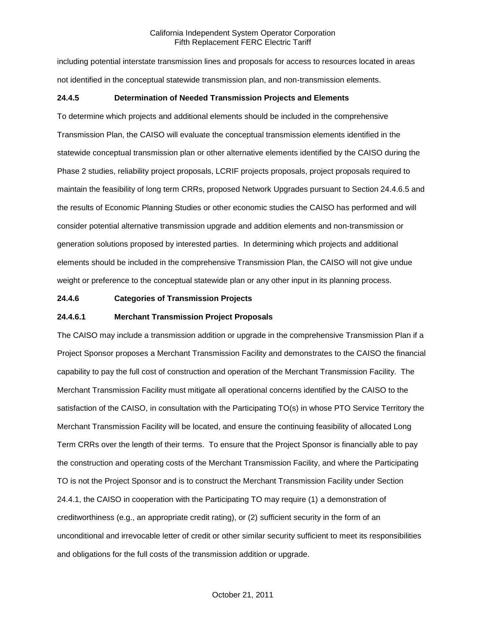including potential interstate transmission lines and proposals for access to resources located in areas not identified in the conceptual statewide transmission plan, and non-transmission elements.

# **24.4.5 Determination of Needed Transmission Projects and Elements**

To determine which projects and additional elements should be included in the comprehensive Transmission Plan, the CAISO will evaluate the conceptual transmission elements identified in the statewide conceptual transmission plan or other alternative elements identified by the CAISO during the Phase 2 studies, reliability project proposals, LCRIF projects proposals, project proposals required to maintain the feasibility of long term CRRs, proposed Network Upgrades pursuant to Section 24.4.6.5 and the results of Economic Planning Studies or other economic studies the CAISO has performed and will consider potential alternative transmission upgrade and addition elements and non-transmission or generation solutions proposed by interested parties. In determining which projects and additional elements should be included in the comprehensive Transmission Plan, the CAISO will not give undue weight or preference to the conceptual statewide plan or any other input in its planning process.

# **24.4.6 Categories of Transmission Projects**

## **24.4.6.1 Merchant Transmission Project Proposals**

The CAISO may include a transmission addition or upgrade in the comprehensive Transmission Plan if a Project Sponsor proposes a Merchant Transmission Facility and demonstrates to the CAISO the financial capability to pay the full cost of construction and operation of the Merchant Transmission Facility. The Merchant Transmission Facility must mitigate all operational concerns identified by the CAISO to the satisfaction of the CAISO, in consultation with the Participating TO(s) in whose PTO Service Territory the Merchant Transmission Facility will be located, and ensure the continuing feasibility of allocated Long Term CRRs over the length of their terms. To ensure that the Project Sponsor is financially able to pay the construction and operating costs of the Merchant Transmission Facility, and where the Participating TO is not the Project Sponsor and is to construct the Merchant Transmission Facility under Section 24.4.1, the CAISO in cooperation with the Participating TO may require (1) a demonstration of creditworthiness (e.g., an appropriate credit rating), or (2) sufficient security in the form of an unconditional and irrevocable letter of credit or other similar security sufficient to meet its responsibilities and obligations for the full costs of the transmission addition or upgrade.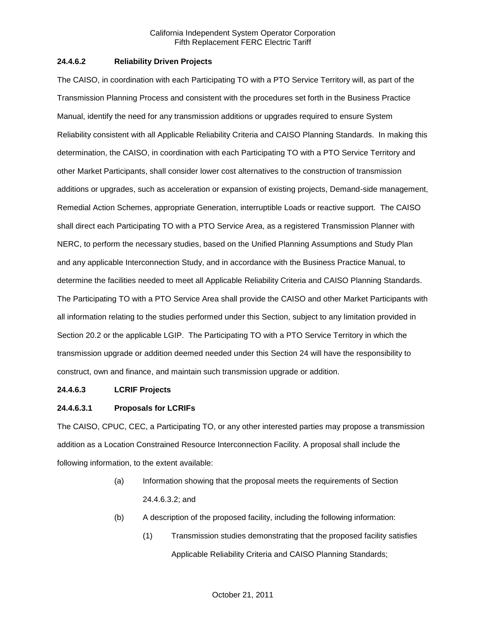# **24.4.6.2 Reliability Driven Projects**

The CAISO, in coordination with each Participating TO with a PTO Service Territory will, as part of the Transmission Planning Process and consistent with the procedures set forth in the Business Practice Manual, identify the need for any transmission additions or upgrades required to ensure System Reliability consistent with all Applicable Reliability Criteria and CAISO Planning Standards. In making this determination, the CAISO, in coordination with each Participating TO with a PTO Service Territory and other Market Participants, shall consider lower cost alternatives to the construction of transmission additions or upgrades, such as acceleration or expansion of existing projects, Demand-side management, Remedial Action Schemes, appropriate Generation, interruptible Loads or reactive support. The CAISO shall direct each Participating TO with a PTO Service Area, as a registered Transmission Planner with NERC, to perform the necessary studies, based on the Unified Planning Assumptions and Study Plan and any applicable Interconnection Study, and in accordance with the Business Practice Manual, to determine the facilities needed to meet all Applicable Reliability Criteria and CAISO Planning Standards. The Participating TO with a PTO Service Area shall provide the CAISO and other Market Participants with all information relating to the studies performed under this Section, subject to any limitation provided in Section 20.2 or the applicable LGIP. The Participating TO with a PTO Service Territory in which the transmission upgrade or addition deemed needed under this Section 24 will have the responsibility to construct, own and finance, and maintain such transmission upgrade or addition.

### **24.4.6.3 LCRIF Projects**

# **24.4.6.3.1 Proposals for LCRIFs**

The CAISO, CPUC, CEC, a Participating TO, or any other interested parties may propose a transmission addition as a Location Constrained Resource Interconnection Facility. A proposal shall include the following information, to the extent available:

- (a) Information showing that the proposal meets the requirements of Section 24.4.6.3.2; and
- (b) A description of the proposed facility, including the following information:
	- (1) Transmission studies demonstrating that the proposed facility satisfies Applicable Reliability Criteria and CAISO Planning Standards;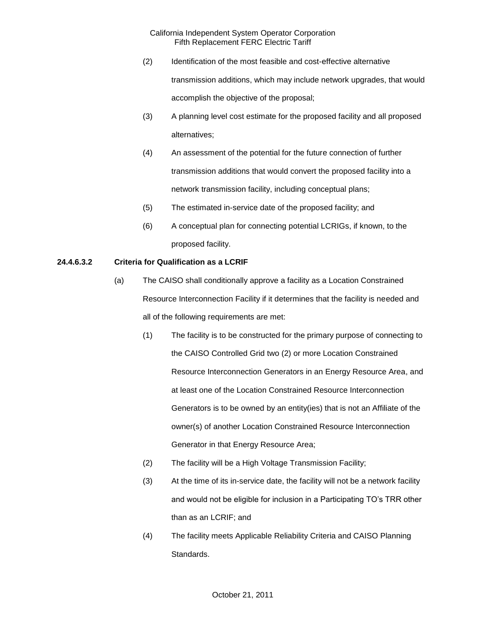- (2) Identification of the most feasible and cost-effective alternative transmission additions, which may include network upgrades, that would accomplish the objective of the proposal;
- (3) A planning level cost estimate for the proposed facility and all proposed alternatives;
- (4) An assessment of the potential for the future connection of further transmission additions that would convert the proposed facility into a network transmission facility, including conceptual plans;
- (5) The estimated in-service date of the proposed facility; and
- (6) A conceptual plan for connecting potential LCRIGs, if known, to the proposed facility.

# **24.4.6.3.2 Criteria for Qualification as a LCRIF**

- (a) The CAISO shall conditionally approve a facility as a Location Constrained Resource Interconnection Facility if it determines that the facility is needed and all of the following requirements are met:
	- (1) The facility is to be constructed for the primary purpose of connecting to the CAISO Controlled Grid two (2) or more Location Constrained Resource Interconnection Generators in an Energy Resource Area, and at least one of the Location Constrained Resource Interconnection Generators is to be owned by an entity(ies) that is not an Affiliate of the owner(s) of another Location Constrained Resource Interconnection Generator in that Energy Resource Area;
	- (2) The facility will be a High Voltage Transmission Facility;
	- (3) At the time of its in-service date, the facility will not be a network facility and would not be eligible for inclusion in a Participating TO's TRR other than as an LCRIF; and
	- (4) The facility meets Applicable Reliability Criteria and CAISO Planning Standards.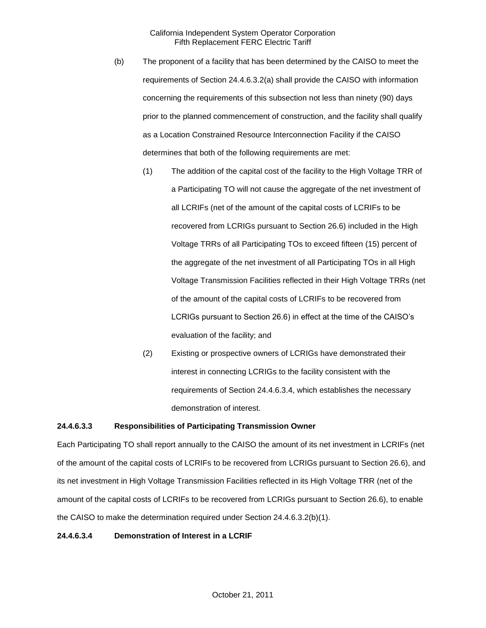- (b) The proponent of a facility that has been determined by the CAISO to meet the requirements of Section 24.4.6.3.2(a) shall provide the CAISO with information concerning the requirements of this subsection not less than ninety (90) days prior to the planned commencement of construction, and the facility shall qualify as a Location Constrained Resource Interconnection Facility if the CAISO determines that both of the following requirements are met:
	- (1) The addition of the capital cost of the facility to the High Voltage TRR of a Participating TO will not cause the aggregate of the net investment of all LCRIFs (net of the amount of the capital costs of LCRIFs to be recovered from LCRIGs pursuant to Section 26.6) included in the High Voltage TRRs of all Participating TOs to exceed fifteen (15) percent of the aggregate of the net investment of all Participating TOs in all High Voltage Transmission Facilities reflected in their High Voltage TRRs (net of the amount of the capital costs of LCRIFs to be recovered from LCRIGs pursuant to Section 26.6) in effect at the time of the CAISO's evaluation of the facility; and
	- (2) Existing or prospective owners of LCRIGs have demonstrated their interest in connecting LCRIGs to the facility consistent with the requirements of Section 24.4.6.3.4, which establishes the necessary demonstration of interest.

#### **24.4.6.3.3 Responsibilities of Participating Transmission Owner**

Each Participating TO shall report annually to the CAISO the amount of its net investment in LCRIFs (net of the amount of the capital costs of LCRIFs to be recovered from LCRIGs pursuant to Section 26.6), and its net investment in High Voltage Transmission Facilities reflected in its High Voltage TRR (net of the amount of the capital costs of LCRIFs to be recovered from LCRIGs pursuant to Section 26.6), to enable the CAISO to make the determination required under Section 24.4.6.3.2(b)(1).

#### **24.4.6.3.4 Demonstration of Interest in a LCRIF**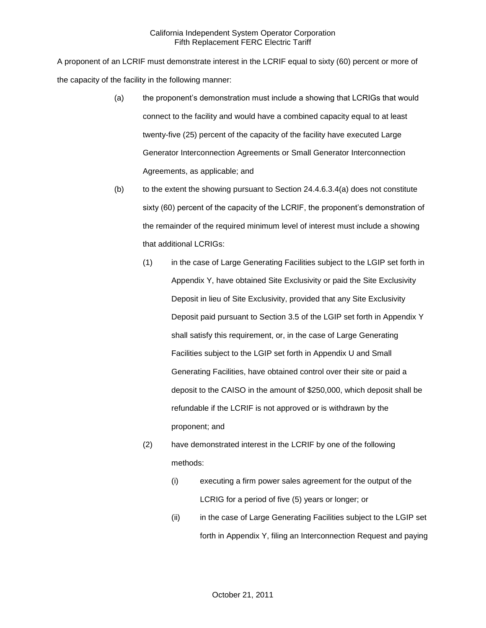A proponent of an LCRIF must demonstrate interest in the LCRIF equal to sixty (60) percent or more of the capacity of the facility in the following manner:

- (a) the proponent's demonstration must include a showing that LCRIGs that would connect to the facility and would have a combined capacity equal to at least twenty-five (25) percent of the capacity of the facility have executed Large Generator Interconnection Agreements or Small Generator Interconnection Agreements, as applicable; and
- $(b)$  to the extent the showing pursuant to Section 24.4.6.3.4(a) does not constitute sixty (60) percent of the capacity of the LCRIF, the proponent's demonstration of the remainder of the required minimum level of interest must include a showing that additional LCRIGs:
	- (1) in the case of Large Generating Facilities subject to the LGIP set forth in Appendix Y, have obtained Site Exclusivity or paid the Site Exclusivity Deposit in lieu of Site Exclusivity, provided that any Site Exclusivity Deposit paid pursuant to Section 3.5 of the LGIP set forth in Appendix Y shall satisfy this requirement, or, in the case of Large Generating Facilities subject to the LGIP set forth in Appendix U and Small Generating Facilities, have obtained control over their site or paid a deposit to the CAISO in the amount of \$250,000, which deposit shall be refundable if the LCRIF is not approved or is withdrawn by the proponent; and
	- (2) have demonstrated interest in the LCRIF by one of the following methods:
		- (i) executing a firm power sales agreement for the output of the LCRIG for a period of five (5) years or longer; or
		- (ii) in the case of Large Generating Facilities subject to the LGIP set forth in Appendix Y, filing an Interconnection Request and paying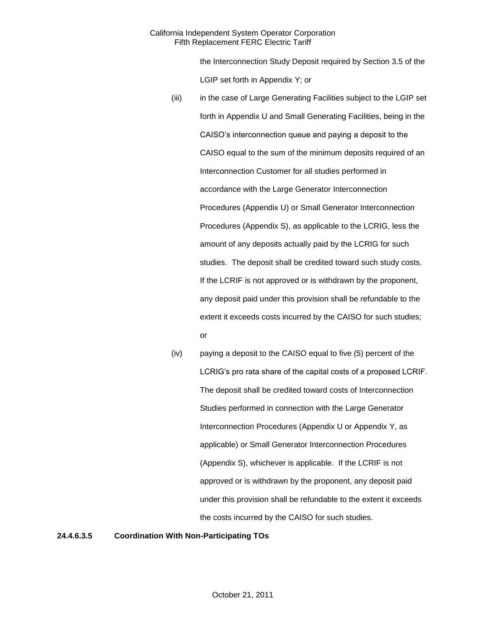the Interconnection Study Deposit required by Section 3.5 of the LGIP set forth in Appendix Y; or

- (iii) in the case of Large Generating Facilities subject to the LGIP set forth in Appendix U and Small Generating Facilities, being in the CAISO's interconnection queue and paying a deposit to the CAISO equal to the sum of the minimum deposits required of an Interconnection Customer for all studies performed in accordance with the Large Generator Interconnection Procedures (Appendix U) or Small Generator Interconnection Procedures (Appendix S), as applicable to the LCRIG, less the amount of any deposits actually paid by the LCRIG for such studies. The deposit shall be credited toward such study costs. If the LCRIF is not approved or is withdrawn by the proponent, any deposit paid under this provision shall be refundable to the extent it exceeds costs incurred by the CAISO for such studies; or
- (iv) paying a deposit to the CAISO equal to five (5) percent of the LCRIG's pro rata share of the capital costs of a proposed LCRIF. The deposit shall be credited toward costs of Interconnection Studies performed in connection with the Large Generator Interconnection Procedures (Appendix U or Appendix Y, as applicable) or Small Generator Interconnection Procedures (Appendix S), whichever is applicable. If the LCRIF is not approved or is withdrawn by the proponent, any deposit paid under this provision shall be refundable to the extent it exceeds the costs incurred by the CAISO for such studies.

**24.4.6.3.5 Coordination With Non-Participating TOs**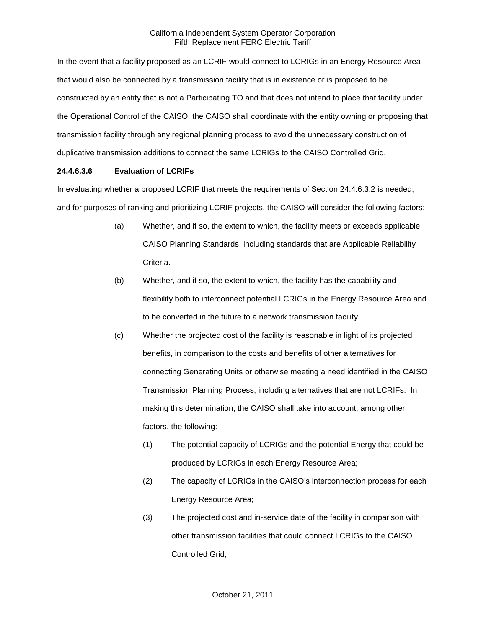In the event that a facility proposed as an LCRIF would connect to LCRIGs in an Energy Resource Area that would also be connected by a transmission facility that is in existence or is proposed to be constructed by an entity that is not a Participating TO and that does not intend to place that facility under the Operational Control of the CAISO, the CAISO shall coordinate with the entity owning or proposing that transmission facility through any regional planning process to avoid the unnecessary construction of duplicative transmission additions to connect the same LCRIGs to the CAISO Controlled Grid.

## **24.4.6.3.6 Evaluation of LCRIFs**

In evaluating whether a proposed LCRIF that meets the requirements of Section 24.4.6.3.2 is needed, and for purposes of ranking and prioritizing LCRIF projects, the CAISO will consider the following factors:

- (a) Whether, and if so, the extent to which, the facility meets or exceeds applicable CAISO Planning Standards, including standards that are Applicable Reliability Criteria.
- (b) Whether, and if so, the extent to which, the facility has the capability and flexibility both to interconnect potential LCRIGs in the Energy Resource Area and to be converted in the future to a network transmission facility.
- (c) Whether the projected cost of the facility is reasonable in light of its projected benefits, in comparison to the costs and benefits of other alternatives for connecting Generating Units or otherwise meeting a need identified in the CAISO Transmission Planning Process, including alternatives that are not LCRIFs. In making this determination, the CAISO shall take into account, among other factors, the following:
	- (1) The potential capacity of LCRIGs and the potential Energy that could be produced by LCRIGs in each Energy Resource Area;
	- (2) The capacity of LCRIGs in the CAISO's interconnection process for each Energy Resource Area;
	- (3) The projected cost and in-service date of the facility in comparison with other transmission facilities that could connect LCRIGs to the CAISO Controlled Grid;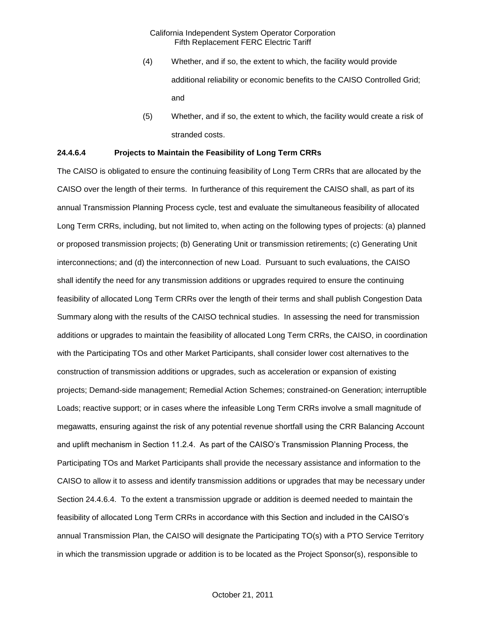- (4) Whether, and if so, the extent to which, the facility would provide additional reliability or economic benefits to the CAISO Controlled Grid; and
- (5) Whether, and if so, the extent to which, the facility would create a risk of stranded costs.

#### **24.4.6.4 Projects to Maintain the Feasibility of Long Term CRRs**

The CAISO is obligated to ensure the continuing feasibility of Long Term CRRs that are allocated by the CAISO over the length of their terms. In furtherance of this requirement the CAISO shall, as part of its annual Transmission Planning Process cycle, test and evaluate the simultaneous feasibility of allocated Long Term CRRs, including, but not limited to, when acting on the following types of projects: (a) planned or proposed transmission projects; (b) Generating Unit or transmission retirements; (c) Generating Unit interconnections; and (d) the interconnection of new Load. Pursuant to such evaluations, the CAISO shall identify the need for any transmission additions or upgrades required to ensure the continuing feasibility of allocated Long Term CRRs over the length of their terms and shall publish Congestion Data Summary along with the results of the CAISO technical studies. In assessing the need for transmission additions or upgrades to maintain the feasibility of allocated Long Term CRRs, the CAISO, in coordination with the Participating TOs and other Market Participants, shall consider lower cost alternatives to the construction of transmission additions or upgrades, such as acceleration or expansion of existing projects; Demand-side management; Remedial Action Schemes; constrained-on Generation; interruptible Loads; reactive support; or in cases where the infeasible Long Term CRRs involve a small magnitude of megawatts, ensuring against the risk of any potential revenue shortfall using the CRR Balancing Account and uplift mechanism in Section 11.2.4. As part of the CAISO's Transmission Planning Process, the Participating TOs and Market Participants shall provide the necessary assistance and information to the CAISO to allow it to assess and identify transmission additions or upgrades that may be necessary under Section 24.4.6.4. To the extent a transmission upgrade or addition is deemed needed to maintain the feasibility of allocated Long Term CRRs in accordance with this Section and included in the CAISO's annual Transmission Plan, the CAISO will designate the Participating TO(s) with a PTO Service Territory in which the transmission upgrade or addition is to be located as the Project Sponsor(s), responsible to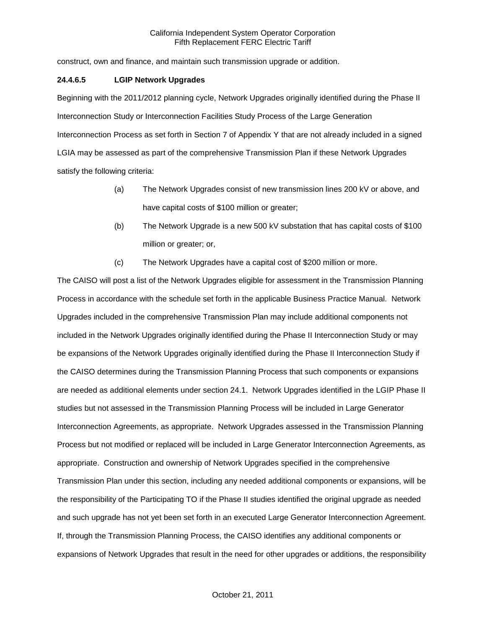construct, own and finance, and maintain such transmission upgrade or addition.

## **24.4.6.5 LGIP Network Upgrades**

Beginning with the 2011/2012 planning cycle, Network Upgrades originally identified during the Phase II Interconnection Study or Interconnection Facilities Study Process of the Large Generation Interconnection Process as set forth in Section 7 of Appendix Y that are not already included in a signed LGIA may be assessed as part of the comprehensive Transmission Plan if these Network Upgrades satisfy the following criteria:

- (a) The Network Upgrades consist of new transmission lines 200 kV or above, and have capital costs of \$100 million or greater;
- (b) The Network Upgrade is a new 500 kV substation that has capital costs of \$100 million or greater; or,
- (c) The Network Upgrades have a capital cost of \$200 million or more.

The CAISO will post a list of the Network Upgrades eligible for assessment in the Transmission Planning Process in accordance with the schedule set forth in the applicable Business Practice Manual. Network Upgrades included in the comprehensive Transmission Plan may include additional components not included in the Network Upgrades originally identified during the Phase II Interconnection Study or may be expansions of the Network Upgrades originally identified during the Phase II Interconnection Study if the CAISO determines during the Transmission Planning Process that such components or expansions are needed as additional elements under section 24.1. Network Upgrades identified in the LGIP Phase II studies but not assessed in the Transmission Planning Process will be included in Large Generator Interconnection Agreements, as appropriate. Network Upgrades assessed in the Transmission Planning Process but not modified or replaced will be included in Large Generator Interconnection Agreements, as appropriate. Construction and ownership of Network Upgrades specified in the comprehensive Transmission Plan under this section, including any needed additional components or expansions, will be the responsibility of the Participating TO if the Phase II studies identified the original upgrade as needed and such upgrade has not yet been set forth in an executed Large Generator Interconnection Agreement. If, through the Transmission Planning Process, the CAISO identifies any additional components or expansions of Network Upgrades that result in the need for other upgrades or additions, the responsibility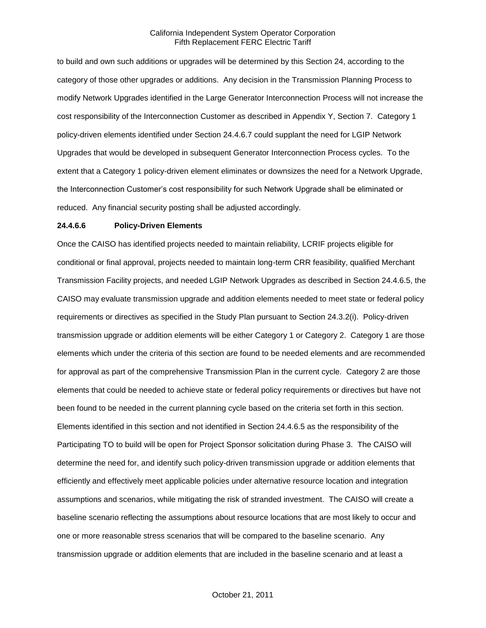to build and own such additions or upgrades will be determined by this Section 24, according to the category of those other upgrades or additions. Any decision in the Transmission Planning Process to modify Network Upgrades identified in the Large Generator Interconnection Process will not increase the cost responsibility of the Interconnection Customer as described in Appendix Y, Section 7. Category 1 policy-driven elements identified under Section 24.4.6.7 could supplant the need for LGIP Network Upgrades that would be developed in subsequent Generator Interconnection Process cycles. To the extent that a Category 1 policy-driven element eliminates or downsizes the need for a Network Upgrade, the Interconnection Customer's cost responsibility for such Network Upgrade shall be eliminated or reduced. Any financial security posting shall be adjusted accordingly.

#### **24.4.6.6 Policy-Driven Elements**

Once the CAISO has identified projects needed to maintain reliability, LCRIF projects eligible for conditional or final approval, projects needed to maintain long-term CRR feasibility, qualified Merchant Transmission Facility projects, and needed LGIP Network Upgrades as described in Section 24.4.6.5, the CAISO may evaluate transmission upgrade and addition elements needed to meet state or federal policy requirements or directives as specified in the Study Plan pursuant to Section 24.3.2(i). Policy-driven transmission upgrade or addition elements will be either Category 1 or Category 2. Category 1 are those elements which under the criteria of this section are found to be needed elements and are recommended for approval as part of the comprehensive Transmission Plan in the current cycle. Category 2 are those elements that could be needed to achieve state or federal policy requirements or directives but have not been found to be needed in the current planning cycle based on the criteria set forth in this section. Elements identified in this section and not identified in Section 24.4.6.5 as the responsibility of the Participating TO to build will be open for Project Sponsor solicitation during Phase 3. The CAISO will determine the need for, and identify such policy-driven transmission upgrade or addition elements that efficiently and effectively meet applicable policies under alternative resource location and integration assumptions and scenarios, while mitigating the risk of stranded investment. The CAISO will create a baseline scenario reflecting the assumptions about resource locations that are most likely to occur and one or more reasonable stress scenarios that will be compared to the baseline scenario. Any transmission upgrade or addition elements that are included in the baseline scenario and at least a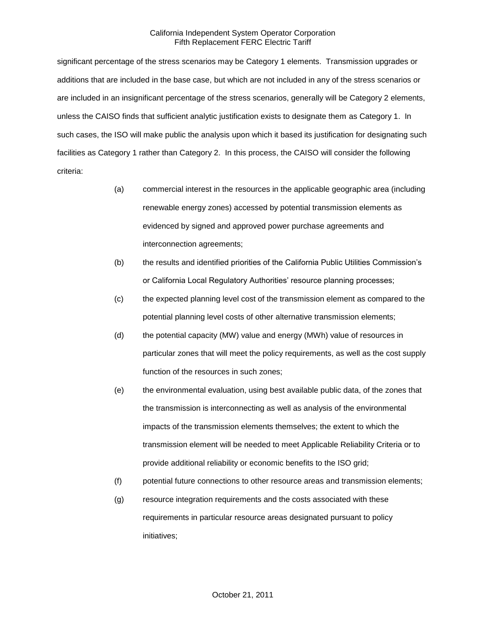significant percentage of the stress scenarios may be Category 1 elements. Transmission upgrades or additions that are included in the base case, but which are not included in any of the stress scenarios or are included in an insignificant percentage of the stress scenarios, generally will be Category 2 elements, unless the CAISO finds that sufficient analytic justification exists to designate them as Category 1. In such cases, the ISO will make public the analysis upon which it based its justification for designating such facilities as Category 1 rather than Category 2. In this process, the CAISO will consider the following criteria:

- (a) commercial interest in the resources in the applicable geographic area (including renewable energy zones) accessed by potential transmission elements as evidenced by signed and approved power purchase agreements and interconnection agreements;
- (b) the results and identified priorities of the California Public Utilities Commission's or California Local Regulatory Authorities' resource planning processes;
- (c) the expected planning level cost of the transmission element as compared to the potential planning level costs of other alternative transmission elements;
- (d) the potential capacity (MW) value and energy (MWh) value of resources in particular zones that will meet the policy requirements, as well as the cost supply function of the resources in such zones;
- (e) the environmental evaluation, using best available public data, of the zones that the transmission is interconnecting as well as analysis of the environmental impacts of the transmission elements themselves; the extent to which the transmission element will be needed to meet Applicable Reliability Criteria or to provide additional reliability or economic benefits to the ISO grid;
- (f) potential future connections to other resource areas and transmission elements;
- (g) resource integration requirements and the costs associated with these requirements in particular resource areas designated pursuant to policy initiatives;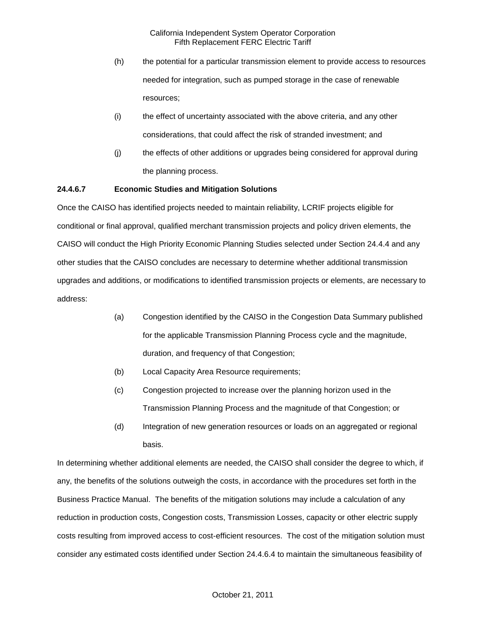- (h) the potential for a particular transmission element to provide access to resources needed for integration, such as pumped storage in the case of renewable resources;
- (i) the effect of uncertainty associated with the above criteria, and any other considerations, that could affect the risk of stranded investment; and
- (j) the effects of other additions or upgrades being considered for approval during the planning process.

#### **24.4.6.7 Economic Studies and Mitigation Solutions**

Once the CAISO has identified projects needed to maintain reliability, LCRIF projects eligible for conditional or final approval, qualified merchant transmission projects and policy driven elements, the CAISO will conduct the High Priority Economic Planning Studies selected under Section 24.4.4 and any other studies that the CAISO concludes are necessary to determine whether additional transmission upgrades and additions, or modifications to identified transmission projects or elements, are necessary to address:

- (a) Congestion identified by the CAISO in the Congestion Data Summary published for the applicable Transmission Planning Process cycle and the magnitude, duration, and frequency of that Congestion;
- (b) Local Capacity Area Resource requirements;
- (c) Congestion projected to increase over the planning horizon used in the Transmission Planning Process and the magnitude of that Congestion; or
- (d) Integration of new generation resources or loads on an aggregated or regional basis.

In determining whether additional elements are needed, the CAISO shall consider the degree to which, if any, the benefits of the solutions outweigh the costs, in accordance with the procedures set forth in the Business Practice Manual. The benefits of the mitigation solutions may include a calculation of any reduction in production costs, Congestion costs, Transmission Losses, capacity or other electric supply costs resulting from improved access to cost-efficient resources. The cost of the mitigation solution must consider any estimated costs identified under Section 24.4.6.4 to maintain the simultaneous feasibility of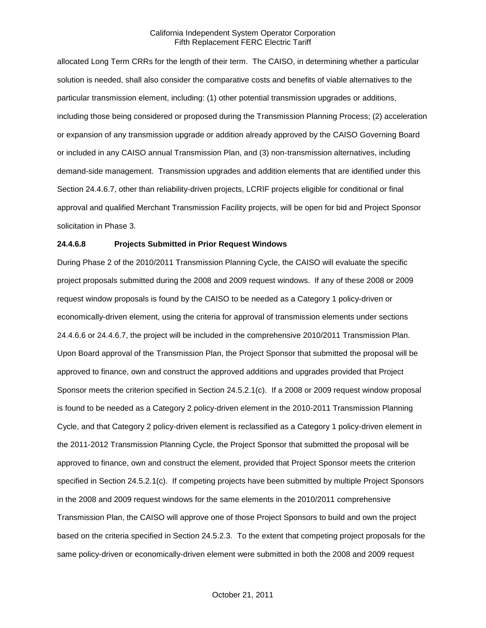allocated Long Term CRRs for the length of their term. The CAISO, in determining whether a particular solution is needed, shall also consider the comparative costs and benefits of viable alternatives to the particular transmission element, including: (1) other potential transmission upgrades or additions, including those being considered or proposed during the Transmission Planning Process; (2) acceleration or expansion of any transmission upgrade or addition already approved by the CAISO Governing Board or included in any CAISO annual Transmission Plan, and (3) non-transmission alternatives, including demand-side management. Transmission upgrades and addition elements that are identified under this Section 24.4.6.7, other than reliability-driven projects, LCRIF projects eligible for conditional or final approval and qualified Merchant Transmission Facility projects, will be open for bid and Project Sponsor solicitation in Phase 3.

#### **24.4.6.8 Projects Submitted in Prior Request Windows**

During Phase 2 of the 2010/2011 Transmission Planning Cycle, the CAISO will evaluate the specific project proposals submitted during the 2008 and 2009 request windows. If any of these 2008 or 2009 request window proposals is found by the CAISO to be needed as a Category 1 policy-driven or economically-driven element, using the criteria for approval of transmission elements under sections 24.4.6.6 or 24.4.6.7, the project will be included in the comprehensive 2010/2011 Transmission Plan. Upon Board approval of the Transmission Plan, the Project Sponsor that submitted the proposal will be approved to finance, own and construct the approved additions and upgrades provided that Project Sponsor meets the criterion specified in Section 24.5.2.1(c). If a 2008 or 2009 request window proposal is found to be needed as a Category 2 policy-driven element in the 2010-2011 Transmission Planning Cycle, and that Category 2 policy-driven element is reclassified as a Category 1 policy-driven element in the 2011-2012 Transmission Planning Cycle, the Project Sponsor that submitted the proposal will be approved to finance, own and construct the element, provided that Project Sponsor meets the criterion specified in Section 24.5.2.1(c). If competing projects have been submitted by multiple Project Sponsors in the 2008 and 2009 request windows for the same elements in the 2010/2011 comprehensive Transmission Plan, the CAISO will approve one of those Project Sponsors to build and own the project based on the criteria specified in Section 24.5.2.3. To the extent that competing project proposals for the same policy-driven or economically-driven element were submitted in both the 2008 and 2009 request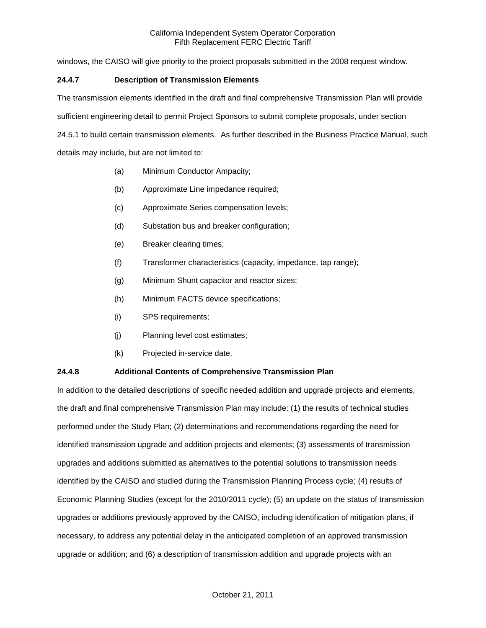windows, the CAISO will give priority to the proiect proposals submitted in the 2008 request window.

## **24.4.7 Description of Transmission Elements**

The transmission elements identified in the draft and final comprehensive Transmission Plan will provide

sufficient engineering detail to permit Project Sponsors to submit complete proposals, under section

24.5.1 to build certain transmission elements. As further described in the Business Practice Manual, such details may include, but are not limited to:

- (a) Minimum Conductor Ampacity;
- (b) Approximate Line impedance required;
- (c) Approximate Series compensation levels;
- (d) Substation bus and breaker configuration;
- (e) Breaker clearing times;
- (f) Transformer characteristics (capacity, impedance, tap range);
- (g) Minimum Shunt capacitor and reactor sizes;
- (h) Minimum FACTS device specifications;
- (i) SPS requirements;
- (j) Planning level cost estimates;
- (k) Projected in-service date.

#### **24.4.8 Additional Contents of Comprehensive Transmission Plan**

In addition to the detailed descriptions of specific needed addition and upgrade projects and elements, the draft and final comprehensive Transmission Plan may include: (1) the results of technical studies performed under the Study Plan; (2) determinations and recommendations regarding the need for identified transmission upgrade and addition projects and elements; (3) assessments of transmission upgrades and additions submitted as alternatives to the potential solutions to transmission needs identified by the CAISO and studied during the Transmission Planning Process cycle; (4) results of Economic Planning Studies (except for the 2010/2011 cycle); (5) an update on the status of transmission upgrades or additions previously approved by the CAISO, including identification of mitigation plans, if necessary, to address any potential delay in the anticipated completion of an approved transmission upgrade or addition; and (6) a description of transmission addition and upgrade projects with an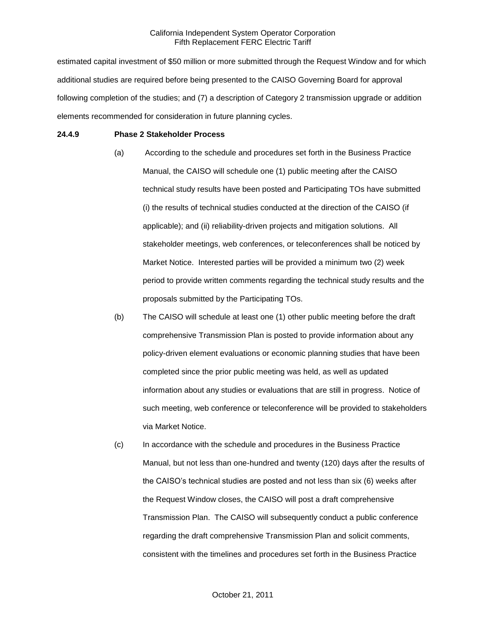estimated capital investment of \$50 million or more submitted through the Request Window and for which additional studies are required before being presented to the CAISO Governing Board for approval following completion of the studies; and (7) a description of Category 2 transmission upgrade or addition elements recommended for consideration in future planning cycles.

#### **24.4.9 Phase 2 Stakeholder Process**

- (a) According to the schedule and procedures set forth in the Business Practice Manual, the CAISO will schedule one (1) public meeting after the CAISO technical study results have been posted and Participating TOs have submitted (i) the results of technical studies conducted at the direction of the CAISO (if applicable); and (ii) reliability-driven projects and mitigation solutions. All stakeholder meetings, web conferences, or teleconferences shall be noticed by Market Notice. Interested parties will be provided a minimum two (2) week period to provide written comments regarding the technical study results and the proposals submitted by the Participating TOs.
- (b) The CAISO will schedule at least one (1) other public meeting before the draft comprehensive Transmission Plan is posted to provide information about any policy-driven element evaluations or economic planning studies that have been completed since the prior public meeting was held, as well as updated information about any studies or evaluations that are still in progress. Notice of such meeting, web conference or teleconference will be provided to stakeholders via Market Notice.
- (c) In accordance with the schedule and procedures in the Business Practice Manual, but not less than one-hundred and twenty (120) days after the results of the CAISO's technical studies are posted and not less than six (6) weeks after the Request Window closes, the CAISO will post a draft comprehensive Transmission Plan. The CAISO will subsequently conduct a public conference regarding the draft comprehensive Transmission Plan and solicit comments, consistent with the timelines and procedures set forth in the Business Practice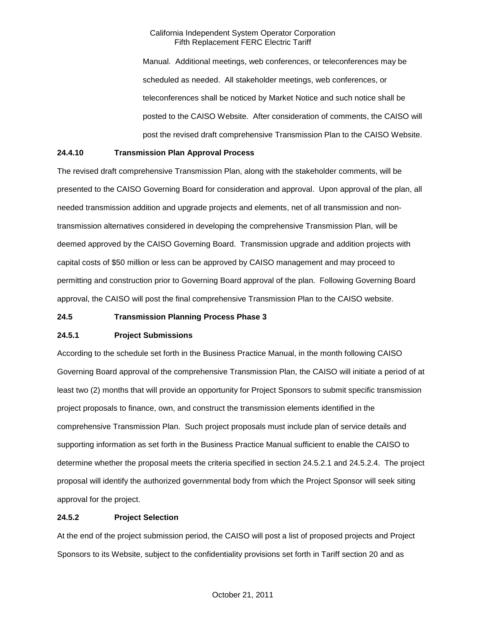Manual. Additional meetings, web conferences, or teleconferences may be scheduled as needed. All stakeholder meetings, web conferences, or teleconferences shall be noticed by Market Notice and such notice shall be posted to the CAISO Website. After consideration of comments, the CAISO will post the revised draft comprehensive Transmission Plan to the CAISO Website.

## **24.4.10 Transmission Plan Approval Process**

The revised draft comprehensive Transmission Plan, along with the stakeholder comments, will be presented to the CAISO Governing Board for consideration and approval. Upon approval of the plan, all needed transmission addition and upgrade projects and elements, net of all transmission and nontransmission alternatives considered in developing the comprehensive Transmission Plan, will be deemed approved by the CAISO Governing Board. Transmission upgrade and addition projects with capital costs of \$50 million or less can be approved by CAISO management and may proceed to permitting and construction prior to Governing Board approval of the plan. Following Governing Board approval, the CAISO will post the final comprehensive Transmission Plan to the CAISO website.

#### **24.5 Transmission Planning Process Phase 3**

#### **24.5.1 Project Submissions**

According to the schedule set forth in the Business Practice Manual, in the month following CAISO Governing Board approval of the comprehensive Transmission Plan, the CAISO will initiate a period of at least two (2) months that will provide an opportunity for Project Sponsors to submit specific transmission project proposals to finance, own, and construct the transmission elements identified in the comprehensive Transmission Plan. Such project proposals must include plan of service details and supporting information as set forth in the Business Practice Manual sufficient to enable the CAISO to determine whether the proposal meets the criteria specified in section 24.5.2.1 and 24.5.2.4. The project proposal will identify the authorized governmental body from which the Project Sponsor will seek siting approval for the project.

### **24.5.2 Project Selection**

At the end of the project submission period, the CAISO will post a list of proposed projects and Project Sponsors to its Website, subject to the confidentiality provisions set forth in Tariff section 20 and as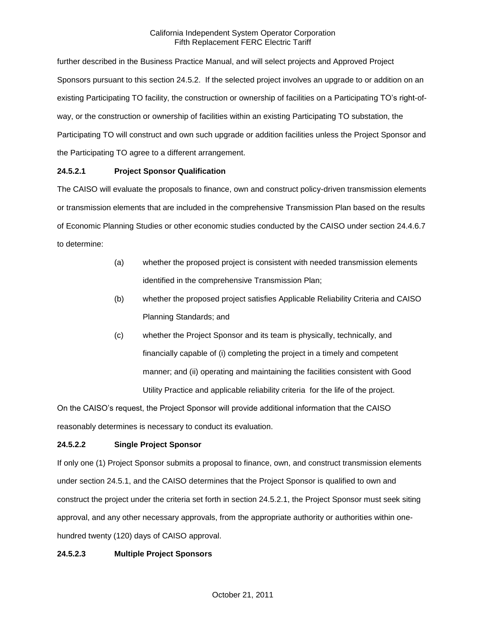further described in the Business Practice Manual, and will select projects and Approved Project Sponsors pursuant to this section 24.5.2. If the selected project involves an upgrade to or addition on an existing Participating TO facility, the construction or ownership of facilities on a Participating TO's right-ofway, or the construction or ownership of facilities within an existing Participating TO substation, the Participating TO will construct and own such upgrade or addition facilities unless the Project Sponsor and the Participating TO agree to a different arrangement.

## **24.5.2.1 Project Sponsor Qualification**

The CAISO will evaluate the proposals to finance, own and construct policy-driven transmission elements or transmission elements that are included in the comprehensive Transmission Plan based on the results of Economic Planning Studies or other economic studies conducted by the CAISO under section 24.4.6.7 to determine:

- (a) whether the proposed project is consistent with needed transmission elements identified in the comprehensive Transmission Plan;
- (b) whether the proposed project satisfies Applicable Reliability Criteria and CAISO Planning Standards; and
- (c) whether the Project Sponsor and its team is physically, technically, and financially capable of (i) completing the project in a timely and competent manner; and (ii) operating and maintaining the facilities consistent with Good Utility Practice and applicable reliability criteria for the life of the project.

On the CAISO's request, the Project Sponsor will provide additional information that the CAISO reasonably determines is necessary to conduct its evaluation.

## **24.5.2.2 Single Project Sponsor**

If only one (1) Project Sponsor submits a proposal to finance, own, and construct transmission elements under section 24.5.1, and the CAISO determines that the Project Sponsor is qualified to own and construct the project under the criteria set forth in section 24.5.2.1, the Project Sponsor must seek siting approval, and any other necessary approvals, from the appropriate authority or authorities within onehundred twenty (120) days of CAISO approval.

#### **24.5.2.3 Multiple Project Sponsors**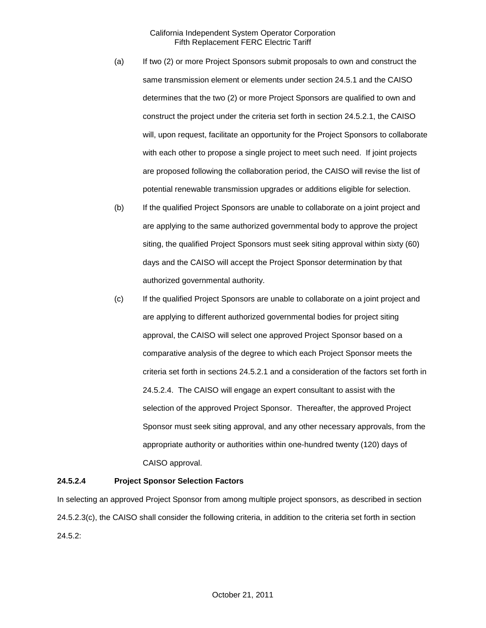- (a) If two (2) or more Project Sponsors submit proposals to own and construct the same transmission element or elements under section 24.5.1 and the CAISO determines that the two (2) or more Project Sponsors are qualified to own and construct the project under the criteria set forth in section 24.5.2.1, the CAISO will, upon request, facilitate an opportunity for the Project Sponsors to collaborate with each other to propose a single project to meet such need. If joint projects are proposed following the collaboration period, the CAISO will revise the list of potential renewable transmission upgrades or additions eligible for selection.
- (b) If the qualified Project Sponsors are unable to collaborate on a joint project and are applying to the same authorized governmental body to approve the project siting, the qualified Project Sponsors must seek siting approval within sixty (60) days and the CAISO will accept the Project Sponsor determination by that authorized governmental authority.
- (c) If the qualified Project Sponsors are unable to collaborate on a joint project and are applying to different authorized governmental bodies for project siting approval, the CAISO will select one approved Project Sponsor based on a comparative analysis of the degree to which each Project Sponsor meets the criteria set forth in sections 24.5.2.1 and a consideration of the factors set forth in 24.5.2.4. The CAISO will engage an expert consultant to assist with the selection of the approved Project Sponsor. Thereafter, the approved Project Sponsor must seek siting approval, and any other necessary approvals, from the appropriate authority or authorities within one-hundred twenty (120) days of CAISO approval.

#### **24.5.2.4 Project Sponsor Selection Factors**

In selecting an approved Project Sponsor from among multiple project sponsors, as described in section 24.5.2.3(c), the CAISO shall consider the following criteria, in addition to the criteria set forth in section 24.5.2: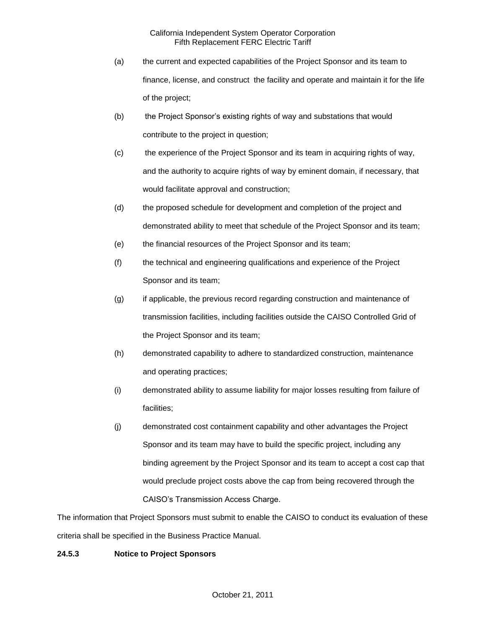- (a) the current and expected capabilities of the Project Sponsor and its team to finance, license, and construct the facility and operate and maintain it for the life of the project;
- (b) the Project Sponsor's existing rights of way and substations that would contribute to the project in question;
- (c) the experience of the Project Sponsor and its team in acquiring rights of way, and the authority to acquire rights of way by eminent domain, if necessary, that would facilitate approval and construction;
- (d) the proposed schedule for development and completion of the project and demonstrated ability to meet that schedule of the Project Sponsor and its team;
- (e) the financial resources of the Project Sponsor and its team;
- (f) the technical and engineering qualifications and experience of the Project Sponsor and its team;
- (g) if applicable, the previous record regarding construction and maintenance of transmission facilities, including facilities outside the CAISO Controlled Grid of the Project Sponsor and its team;
- (h) demonstrated capability to adhere to standardized construction, maintenance and operating practices;
- (i) demonstrated ability to assume liability for major losses resulting from failure of facilities;
- (j) demonstrated cost containment capability and other advantages the Project Sponsor and its team may have to build the specific project, including any binding agreement by the Project Sponsor and its team to accept a cost cap that would preclude project costs above the cap from being recovered through the CAISO's Transmission Access Charge.

The information that Project Sponsors must submit to enable the CAISO to conduct its evaluation of these criteria shall be specified in the Business Practice Manual.

## **24.5.3 Notice to Project Sponsors**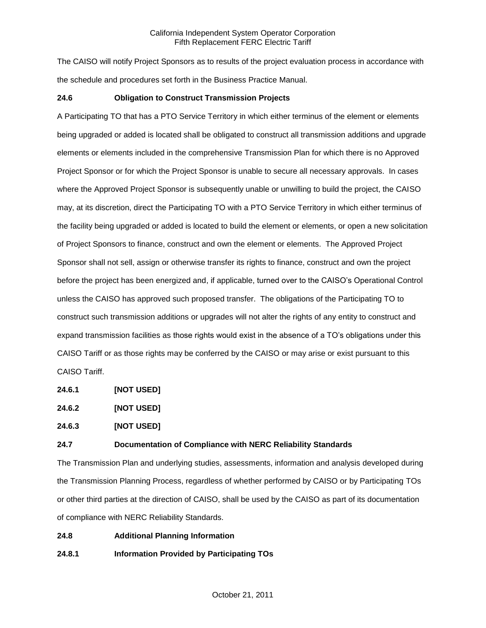The CAISO will notify Project Sponsors as to results of the project evaluation process in accordance with the schedule and procedures set forth in the Business Practice Manual.

## **24.6 Obligation to Construct Transmission Projects**

A Participating TO that has a PTO Service Territory in which either terminus of the element or elements being upgraded or added is located shall be obligated to construct all transmission additions and upgrade elements or elements included in the comprehensive Transmission Plan for which there is no Approved Project Sponsor or for which the Project Sponsor is unable to secure all necessary approvals. In cases where the Approved Project Sponsor is subsequently unable or unwilling to build the project, the CAISO may, at its discretion, direct the Participating TO with a PTO Service Territory in which either terminus of the facility being upgraded or added is located to build the element or elements, or open a new solicitation of Project Sponsors to finance, construct and own the element or elements. The Approved Project Sponsor shall not sell, assign or otherwise transfer its rights to finance, construct and own the project before the project has been energized and, if applicable, turned over to the CAISO's Operational Control unless the CAISO has approved such proposed transfer. The obligations of the Participating TO to construct such transmission additions or upgrades will not alter the rights of any entity to construct and expand transmission facilities as those rights would exist in the absence of a TO's obligations under this CAISO Tariff or as those rights may be conferred by the CAISO or may arise or exist pursuant to this CAISO Tariff.

**24.6.1 [NOT USED]**

**24.6.2 [NOT USED]**

**24.6.3 [NOT USED]**

#### **24.7 Documentation of Compliance with NERC Reliability Standards**

The Transmission Plan and underlying studies, assessments, information and analysis developed during the Transmission Planning Process, regardless of whether performed by CAISO or by Participating TOs or other third parties at the direction of CAISO, shall be used by the CAISO as part of its documentation of compliance with NERC Reliability Standards.

**24.8 Additional Planning Information**

**24.8.1 Information Provided by Participating TOs**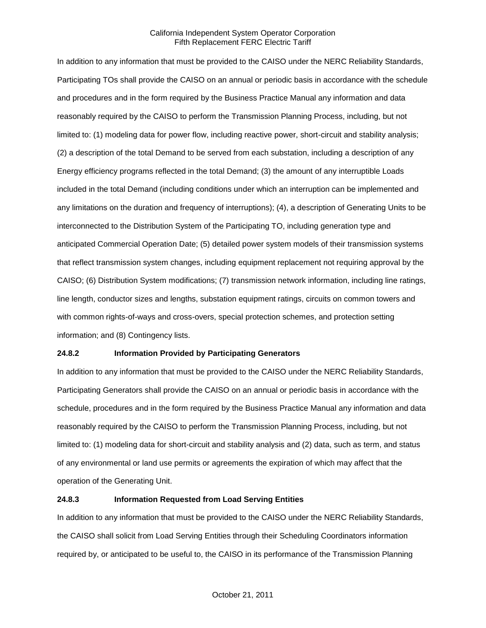In addition to any information that must be provided to the CAISO under the NERC Reliability Standards, Participating TOs shall provide the CAISO on an annual or periodic basis in accordance with the schedule and procedures and in the form required by the Business Practice Manual any information and data reasonably required by the CAISO to perform the Transmission Planning Process, including, but not limited to: (1) modeling data for power flow, including reactive power, short-circuit and stability analysis; (2) a description of the total Demand to be served from each substation, including a description of any Energy efficiency programs reflected in the total Demand; (3) the amount of any interruptible Loads included in the total Demand (including conditions under which an interruption can be implemented and any limitations on the duration and frequency of interruptions); (4), a description of Generating Units to be interconnected to the Distribution System of the Participating TO, including generation type and anticipated Commercial Operation Date; (5) detailed power system models of their transmission systems that reflect transmission system changes, including equipment replacement not requiring approval by the CAISO; (6) Distribution System modifications; (7) transmission network information, including line ratings, line length, conductor sizes and lengths, substation equipment ratings, circuits on common towers and with common rights-of-ways and cross-overs, special protection schemes, and protection setting information; and (8) Contingency lists.

#### **24.8.2 Information Provided by Participating Generators**

In addition to any information that must be provided to the CAISO under the NERC Reliability Standards, Participating Generators shall provide the CAISO on an annual or periodic basis in accordance with the schedule, procedures and in the form required by the Business Practice Manual any information and data reasonably required by the CAISO to perform the Transmission Planning Process, including, but not limited to: (1) modeling data for short-circuit and stability analysis and (2) data, such as term, and status of any environmental or land use permits or agreements the expiration of which may affect that the operation of the Generating Unit.

### **24.8.3 Information Requested from Load Serving Entities**

In addition to any information that must be provided to the CAISO under the NERC Reliability Standards, the CAISO shall solicit from Load Serving Entities through their Scheduling Coordinators information required by, or anticipated to be useful to, the CAISO in its performance of the Transmission Planning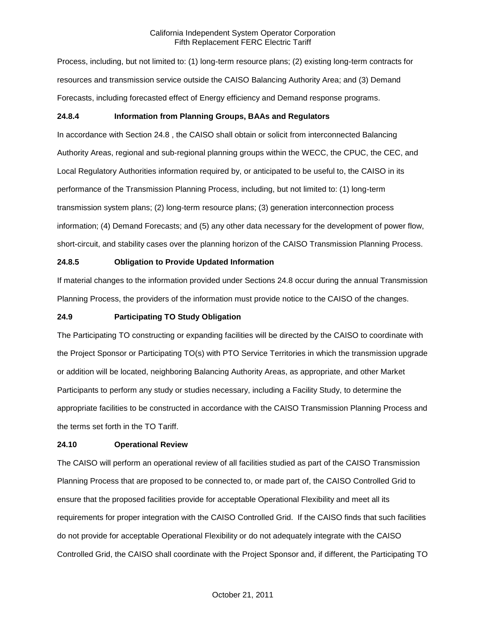Process, including, but not limited to: (1) long-term resource plans; (2) existing long-term contracts for resources and transmission service outside the CAISO Balancing Authority Area; and (3) Demand Forecasts, including forecasted effect of Energy efficiency and Demand response programs.

## **24.8.4 Information from Planning Groups, BAAs and Regulators**

In accordance with Section 24.8 , the CAISO shall obtain or solicit from interconnected Balancing Authority Areas, regional and sub-regional planning groups within the WECC, the CPUC, the CEC, and Local Regulatory Authorities information required by, or anticipated to be useful to, the CAISO in its performance of the Transmission Planning Process, including, but not limited to: (1) long-term transmission system plans; (2) long-term resource plans; (3) generation interconnection process information; (4) Demand Forecasts; and (5) any other data necessary for the development of power flow, short-circuit, and stability cases over the planning horizon of the CAISO Transmission Planning Process.

## **24.8.5 Obligation to Provide Updated Information**

If material changes to the information provided under Sections 24.8 occur during the annual Transmission Planning Process, the providers of the information must provide notice to the CAISO of the changes.

### **24.9 Participating TO Study Obligation**

The Participating TO constructing or expanding facilities will be directed by the CAISO to coordinate with the Project Sponsor or Participating TO(s) with PTO Service Territories in which the transmission upgrade or addition will be located, neighboring Balancing Authority Areas, as appropriate, and other Market Participants to perform any study or studies necessary, including a Facility Study, to determine the appropriate facilities to be constructed in accordance with the CAISO Transmission Planning Process and the terms set forth in the TO Tariff.

#### **24.10 Operational Review**

The CAISO will perform an operational review of all facilities studied as part of the CAISO Transmission Planning Process that are proposed to be connected to, or made part of, the CAISO Controlled Grid to ensure that the proposed facilities provide for acceptable Operational Flexibility and meet all its requirements for proper integration with the CAISO Controlled Grid. If the CAISO finds that such facilities do not provide for acceptable Operational Flexibility or do not adequately integrate with the CAISO Controlled Grid, the CAISO shall coordinate with the Project Sponsor and, if different, the Participating TO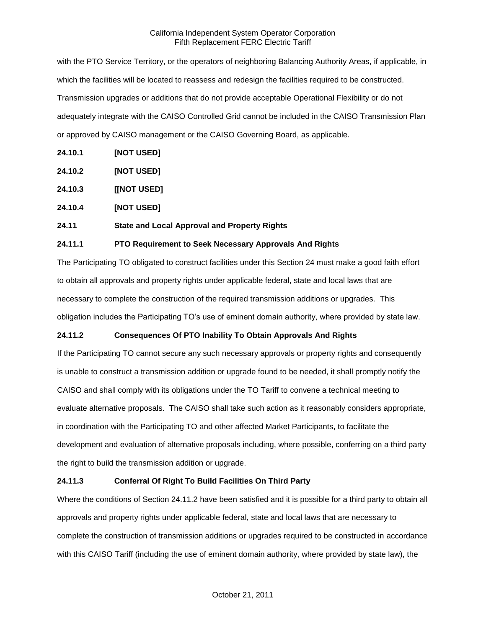with the PTO Service Territory, or the operators of neighboring Balancing Authority Areas, if applicable, in which the facilities will be located to reassess and redesign the facilities required to be constructed. Transmission upgrades or additions that do not provide acceptable Operational Flexibility or do not adequately integrate with the CAISO Controlled Grid cannot be included in the CAISO Transmission Plan or approved by CAISO management or the CAISO Governing Board, as applicable.

- **24.10.1 [NOT USED]**
- **24.10.2 [NOT USED]**
- **24.10.3 [[NOT USED]**
- **24.10.4 [NOT USED]**

## **24.11 State and Local Approval and Property Rights**

## **24.11.1 PTO Requirement to Seek Necessary Approvals And Rights**

The Participating TO obligated to construct facilities under this Section 24 must make a good faith effort to obtain all approvals and property rights under applicable federal, state and local laws that are necessary to complete the construction of the required transmission additions or upgrades. This obligation includes the Participating TO's use of eminent domain authority, where provided by state law.

## **24.11.2 Consequences Of PTO Inability To Obtain Approvals And Rights**

If the Participating TO cannot secure any such necessary approvals or property rights and consequently is unable to construct a transmission addition or upgrade found to be needed, it shall promptly notify the CAISO and shall comply with its obligations under the TO Tariff to convene a technical meeting to evaluate alternative proposals. The CAISO shall take such action as it reasonably considers appropriate, in coordination with the Participating TO and other affected Market Participants, to facilitate the development and evaluation of alternative proposals including, where possible, conferring on a third party the right to build the transmission addition or upgrade.

## **24.11.3 Conferral Of Right To Build Facilities On Third Party**

Where the conditions of Section 24.11.2 have been satisfied and it is possible for a third party to obtain all approvals and property rights under applicable federal, state and local laws that are necessary to complete the construction of transmission additions or upgrades required to be constructed in accordance with this CAISO Tariff (including the use of eminent domain authority, where provided by state law), the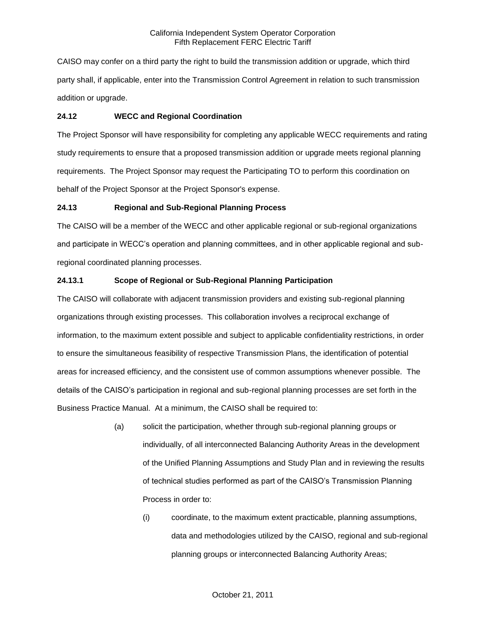CAISO may confer on a third party the right to build the transmission addition or upgrade, which third party shall, if applicable, enter into the Transmission Control Agreement in relation to such transmission addition or upgrade.

## **24.12 WECC and Regional Coordination**

The Project Sponsor will have responsibility for completing any applicable WECC requirements and rating study requirements to ensure that a proposed transmission addition or upgrade meets regional planning requirements. The Project Sponsor may request the Participating TO to perform this coordination on behalf of the Project Sponsor at the Project Sponsor's expense.

# **24.13 Regional and Sub-Regional Planning Process**

The CAISO will be a member of the WECC and other applicable regional or sub-regional organizations and participate in WECC's operation and planning committees, and in other applicable regional and subregional coordinated planning processes.

# **24.13.1 Scope of Regional or Sub-Regional Planning Participation**

The CAISO will collaborate with adjacent transmission providers and existing sub-regional planning organizations through existing processes. This collaboration involves a reciprocal exchange of information, to the maximum extent possible and subject to applicable confidentiality restrictions, in order to ensure the simultaneous feasibility of respective Transmission Plans, the identification of potential areas for increased efficiency, and the consistent use of common assumptions whenever possible. The details of the CAISO's participation in regional and sub-regional planning processes are set forth in the Business Practice Manual. At a minimum, the CAISO shall be required to:

- (a) solicit the participation, whether through sub-regional planning groups or individually, of all interconnected Balancing Authority Areas in the development of the Unified Planning Assumptions and Study Plan and in reviewing the results of technical studies performed as part of the CAISO's Transmission Planning Process in order to:
	- (i) coordinate, to the maximum extent practicable, planning assumptions, data and methodologies utilized by the CAISO, regional and sub-regional planning groups or interconnected Balancing Authority Areas;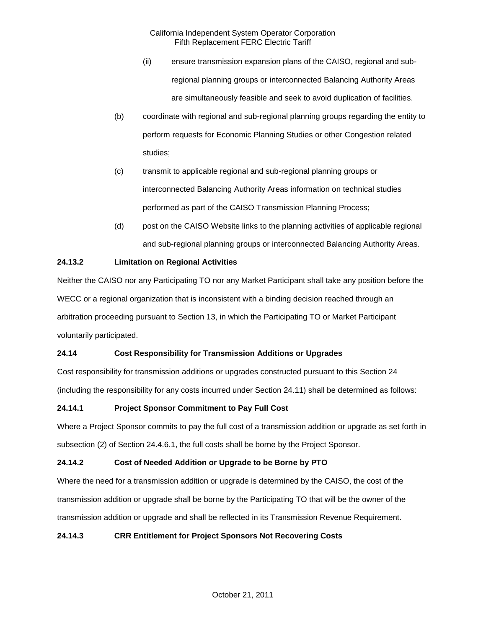- (ii) ensure transmission expansion plans of the CAISO, regional and subregional planning groups or interconnected Balancing Authority Areas are simultaneously feasible and seek to avoid duplication of facilities.
- (b) coordinate with regional and sub-regional planning groups regarding the entity to perform requests for Economic Planning Studies or other Congestion related studies;
- (c) transmit to applicable regional and sub-regional planning groups or interconnected Balancing Authority Areas information on technical studies performed as part of the CAISO Transmission Planning Process;
- (d) post on the CAISO Website links to the planning activities of applicable regional and sub-regional planning groups or interconnected Balancing Authority Areas.

# **24.13.2 Limitation on Regional Activities**

Neither the CAISO nor any Participating TO nor any Market Participant shall take any position before the WECC or a regional organization that is inconsistent with a binding decision reached through an arbitration proceeding pursuant to Section 13, in which the Participating TO or Market Participant voluntarily participated.

## **24.14 Cost Responsibility for Transmission Additions or Upgrades**

Cost responsibility for transmission additions or upgrades constructed pursuant to this Section 24 (including the responsibility for any costs incurred under Section 24.11) shall be determined as follows:

## **24.14.1 Project Sponsor Commitment to Pay Full Cost**

Where a Project Sponsor commits to pay the full cost of a transmission addition or upgrade as set forth in subsection (2) of Section 24.4.6.1, the full costs shall be borne by the Project Sponsor.

## **24.14.2 Cost of Needed Addition or Upgrade to be Borne by PTO**

Where the need for a transmission addition or upgrade is determined by the CAISO, the cost of the transmission addition or upgrade shall be borne by the Participating TO that will be the owner of the transmission addition or upgrade and shall be reflected in its Transmission Revenue Requirement.

## **24.14.3 CRR Entitlement for Project Sponsors Not Recovering Costs**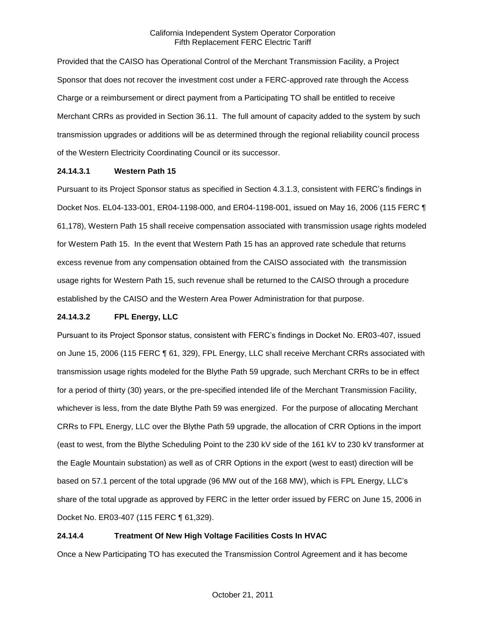Provided that the CAISO has Operational Control of the Merchant Transmission Facility, a Project Sponsor that does not recover the investment cost under a FERC-approved rate through the Access Charge or a reimbursement or direct payment from a Participating TO shall be entitled to receive Merchant CRRs as provided in Section 36.11. The full amount of capacity added to the system by such transmission upgrades or additions will be as determined through the regional reliability council process of the Western Electricity Coordinating Council or its successor.

## **24.14.3.1 Western Path 15**

Pursuant to its Project Sponsor status as specified in Section 4.3.1.3, consistent with FERC's findings in Docket Nos. EL04-133-001, ER04-1198-000, and ER04-1198-001, issued on May 16, 2006 (115 FERC ¶ 61,178), Western Path 15 shall receive compensation associated with transmission usage rights modeled for Western Path 15. In the event that Western Path 15 has an approved rate schedule that returns excess revenue from any compensation obtained from the CAISO associated with the transmission usage rights for Western Path 15, such revenue shall be returned to the CAISO through a procedure established by the CAISO and the Western Area Power Administration for that purpose.

## **24.14.3.2 FPL Energy, LLC**

Pursuant to its Project Sponsor status, consistent with FERC's findings in Docket No. ER03-407, issued on June 15, 2006 (115 FERC ¶ 61, 329), FPL Energy, LLC shall receive Merchant CRRs associated with transmission usage rights modeled for the Blythe Path 59 upgrade, such Merchant CRRs to be in effect for a period of thirty (30) years, or the pre-specified intended life of the Merchant Transmission Facility, whichever is less, from the date Blythe Path 59 was energized. For the purpose of allocating Merchant CRRs to FPL Energy, LLC over the Blythe Path 59 upgrade, the allocation of CRR Options in the import (east to west, from the Blythe Scheduling Point to the 230 kV side of the 161 kV to 230 kV transformer at the Eagle Mountain substation) as well as of CRR Options in the export (west to east) direction will be based on 57.1 percent of the total upgrade (96 MW out of the 168 MW), which is FPL Energy, LLC's share of the total upgrade as approved by FERC in the letter order issued by FERC on June 15, 2006 in Docket No. ER03-407 (115 FERC ¶ 61,329).

## **24.14.4 Treatment Of New High Voltage Facilities Costs In HVAC**

Once a New Participating TO has executed the Transmission Control Agreement and it has become